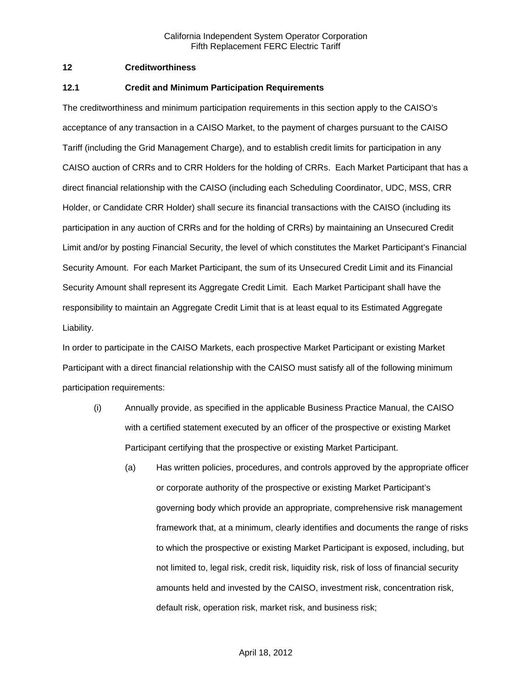### **12 Creditworthiness**

#### **12.1 Credit and Minimum Participation Requirements**

The creditworthiness and minimum participation requirements in this section apply to the CAISO's acceptance of any transaction in a CAISO Market, to the payment of charges pursuant to the CAISO Tariff (including the Grid Management Charge), and to establish credit limits for participation in any CAISO auction of CRRs and to CRR Holders for the holding of CRRs. Each Market Participant that has a direct financial relationship with the CAISO (including each Scheduling Coordinator, UDC, MSS, CRR Holder, or Candidate CRR Holder) shall secure its financial transactions with the CAISO (including its participation in any auction of CRRs and for the holding of CRRs) by maintaining an Unsecured Credit Limit and/or by posting Financial Security, the level of which constitutes the Market Participant's Financial Security Amount. For each Market Participant, the sum of its Unsecured Credit Limit and its Financial Security Amount shall represent its Aggregate Credit Limit. Each Market Participant shall have the responsibility to maintain an Aggregate Credit Limit that is at least equal to its Estimated Aggregate Liability.

In order to participate in the CAISO Markets, each prospective Market Participant or existing Market Participant with a direct financial relationship with the CAISO must satisfy all of the following minimum participation requirements:

- (i) Annually provide, as specified in the applicable Business Practice Manual, the CAISO with a certified statement executed by an officer of the prospective or existing Market Participant certifying that the prospective or existing Market Participant.
	- (a) Has written policies, procedures, and controls approved by the appropriate officer or corporate authority of the prospective or existing Market Participant's governing body which provide an appropriate, comprehensive risk management framework that, at a minimum, clearly identifies and documents the range of risks to which the prospective or existing Market Participant is exposed, including, but not limited to, legal risk, credit risk, liquidity risk, risk of loss of financial security amounts held and invested by the CAISO, investment risk, concentration risk, default risk, operation risk, market risk, and business risk;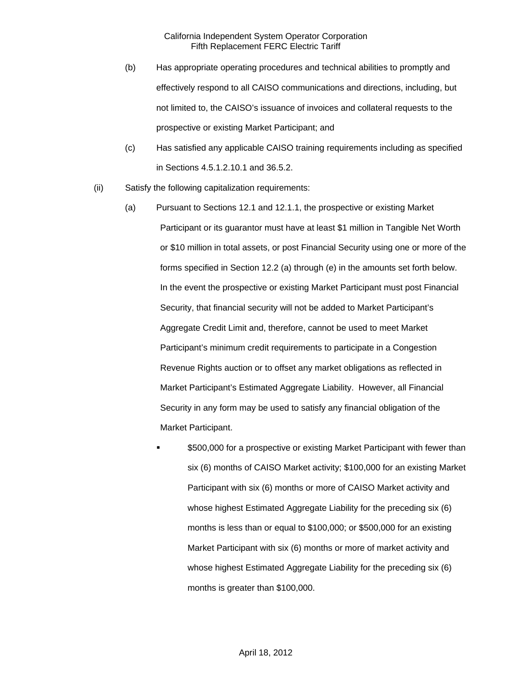- (b) Has appropriate operating procedures and technical abilities to promptly and effectively respond to all CAISO communications and directions, including, but not limited to, the CAISO's issuance of invoices and collateral requests to the prospective or existing Market Participant; and
- (c) Has satisfied any applicable CAISO training requirements including as specified in Sections 4.5.1.2.10.1 and 36.5.2.
- (ii) Satisfy the following capitalization requirements:
	- (a) Pursuant to Sections 12.1 and 12.1.1, the prospective or existing Market Participant or its guarantor must have at least \$1 million in Tangible Net Worth or \$10 million in total assets, or post Financial Security using one or more of the forms specified in Section 12.2 (a) through (e) in the amounts set forth below. In the event the prospective or existing Market Participant must post Financial Security, that financial security will not be added to Market Participant's Aggregate Credit Limit and, therefore, cannot be used to meet Market Participant's minimum credit requirements to participate in a Congestion Revenue Rights auction or to offset any market obligations as reflected in Market Participant's Estimated Aggregate Liability. However, all Financial Security in any form may be used to satisfy any financial obligation of the Market Participant.
		- \$500,000 for a prospective or existing Market Participant with fewer than six (6) months of CAISO Market activity; \$100,000 for an existing Market Participant with six (6) months or more of CAISO Market activity and whose highest Estimated Aggregate Liability for the preceding six (6) months is less than or equal to \$100,000; or \$500,000 for an existing Market Participant with six (6) months or more of market activity and whose highest Estimated Aggregate Liability for the preceding six (6) months is greater than \$100,000.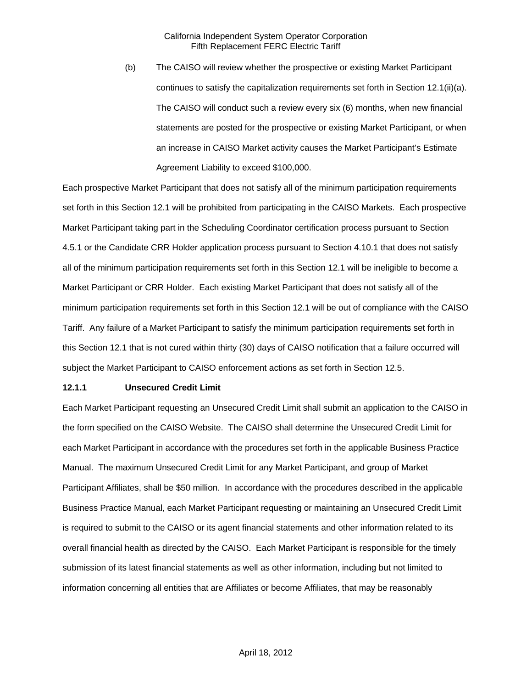(b) The CAISO will review whether the prospective or existing Market Participant continues to satisfy the capitalization requirements set forth in Section 12.1(ii)(a). The CAISO will conduct such a review every six (6) months, when new financial statements are posted for the prospective or existing Market Participant, or when an increase in CAISO Market activity causes the Market Participant's Estimate Agreement Liability to exceed \$100,000.

Each prospective Market Participant that does not satisfy all of the minimum participation requirements set forth in this Section 12.1 will be prohibited from participating in the CAISO Markets. Each prospective Market Participant taking part in the Scheduling Coordinator certification process pursuant to Section 4.5.1 or the Candidate CRR Holder application process pursuant to Section 4.10.1 that does not satisfy all of the minimum participation requirements set forth in this Section 12.1 will be ineligible to become a Market Participant or CRR Holder. Each existing Market Participant that does not satisfy all of the minimum participation requirements set forth in this Section 12.1 will be out of compliance with the CAISO Tariff. Any failure of a Market Participant to satisfy the minimum participation requirements set forth in this Section 12.1 that is not cured within thirty (30) days of CAISO notification that a failure occurred will subject the Market Participant to CAISO enforcement actions as set forth in Section 12.5.

### **12.1.1 Unsecured Credit Limit**

Each Market Participant requesting an Unsecured Credit Limit shall submit an application to the CAISO in the form specified on the CAISO Website. The CAISO shall determine the Unsecured Credit Limit for each Market Participant in accordance with the procedures set forth in the applicable Business Practice Manual. The maximum Unsecured Credit Limit for any Market Participant, and group of Market Participant Affiliates, shall be \$50 million. In accordance with the procedures described in the applicable Business Practice Manual, each Market Participant requesting or maintaining an Unsecured Credit Limit is required to submit to the CAISO or its agent financial statements and other information related to its overall financial health as directed by the CAISO. Each Market Participant is responsible for the timely submission of its latest financial statements as well as other information, including but not limited to information concerning all entities that are Affiliates or become Affiliates, that may be reasonably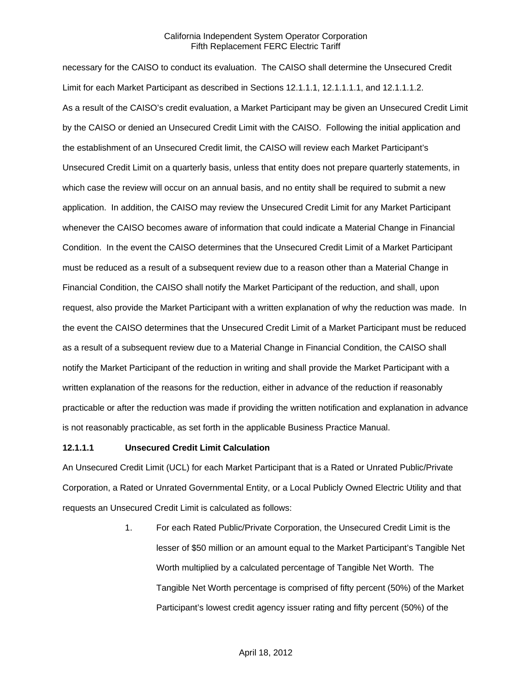necessary for the CAISO to conduct its evaluation. The CAISO shall determine the Unsecured Credit Limit for each Market Participant as described in Sections 12.1.1.1, 12.1.1.1.1, and 12.1.1.1.2. As a result of the CAISO's credit evaluation, a Market Participant may be given an Unsecured Credit Limit by the CAISO or denied an Unsecured Credit Limit with the CAISO. Following the initial application and the establishment of an Unsecured Credit limit, the CAISO will review each Market Participant's Unsecured Credit Limit on a quarterly basis, unless that entity does not prepare quarterly statements, in which case the review will occur on an annual basis, and no entity shall be required to submit a new application. In addition, the CAISO may review the Unsecured Credit Limit for any Market Participant whenever the CAISO becomes aware of information that could indicate a Material Change in Financial Condition. In the event the CAISO determines that the Unsecured Credit Limit of a Market Participant must be reduced as a result of a subsequent review due to a reason other than a Material Change in Financial Condition, the CAISO shall notify the Market Participant of the reduction, and shall, upon request, also provide the Market Participant with a written explanation of why the reduction was made. In the event the CAISO determines that the Unsecured Credit Limit of a Market Participant must be reduced as a result of a subsequent review due to a Material Change in Financial Condition, the CAISO shall notify the Market Participant of the reduction in writing and shall provide the Market Participant with a written explanation of the reasons for the reduction, either in advance of the reduction if reasonably practicable or after the reduction was made if providing the written notification and explanation in advance is not reasonably practicable, as set forth in the applicable Business Practice Manual.

#### **12.1.1.1 Unsecured Credit Limit Calculation**

An Unsecured Credit Limit (UCL) for each Market Participant that is a Rated or Unrated Public/Private Corporation, a Rated or Unrated Governmental Entity, or a Local Publicly Owned Electric Utility and that requests an Unsecured Credit Limit is calculated as follows:

> 1. For each Rated Public/Private Corporation, the Unsecured Credit Limit is the lesser of \$50 million or an amount equal to the Market Participant's Tangible Net Worth multiplied by a calculated percentage of Tangible Net Worth. The Tangible Net Worth percentage is comprised of fifty percent (50%) of the Market Participant's lowest credit agency issuer rating and fifty percent (50%) of the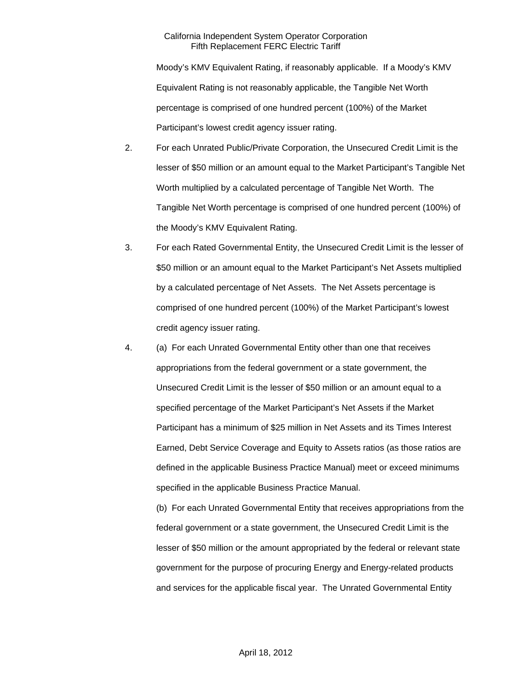Moody's KMV Equivalent Rating, if reasonably applicable. If a Moody's KMV Equivalent Rating is not reasonably applicable, the Tangible Net Worth percentage is comprised of one hundred percent (100%) of the Market Participant's lowest credit agency issuer rating.

- 2. For each Unrated Public/Private Corporation, the Unsecured Credit Limit is the lesser of \$50 million or an amount equal to the Market Participant's Tangible Net Worth multiplied by a calculated percentage of Tangible Net Worth. The Tangible Net Worth percentage is comprised of one hundred percent (100%) of the Moody's KMV Equivalent Rating.
- 3. For each Rated Governmental Entity, the Unsecured Credit Limit is the lesser of \$50 million or an amount equal to the Market Participant's Net Assets multiplied by a calculated percentage of Net Assets. The Net Assets percentage is comprised of one hundred percent (100%) of the Market Participant's lowest credit agency issuer rating.
- 4. (a) For each Unrated Governmental Entity other than one that receives appropriations from the federal government or a state government, the Unsecured Credit Limit is the lesser of \$50 million or an amount equal to a specified percentage of the Market Participant's Net Assets if the Market Participant has a minimum of \$25 million in Net Assets and its Times Interest Earned, Debt Service Coverage and Equity to Assets ratios (as those ratios are defined in the applicable Business Practice Manual) meet or exceed minimums specified in the applicable Business Practice Manual.

(b) For each Unrated Governmental Entity that receives appropriations from the federal government or a state government, the Unsecured Credit Limit is the lesser of \$50 million or the amount appropriated by the federal or relevant state government for the purpose of procuring Energy and Energy-related products and services for the applicable fiscal year. The Unrated Governmental Entity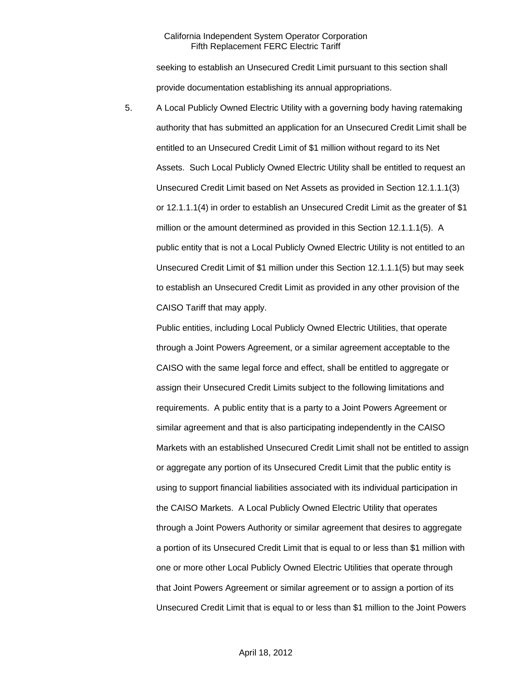seeking to establish an Unsecured Credit Limit pursuant to this section shall provide documentation establishing its annual appropriations.

5. A Local Publicly Owned Electric Utility with a governing body having ratemaking authority that has submitted an application for an Unsecured Credit Limit shall be entitled to an Unsecured Credit Limit of \$1 million without regard to its Net Assets. Such Local Publicly Owned Electric Utility shall be entitled to request an Unsecured Credit Limit based on Net Assets as provided in Section 12.1.1.1(3) or 12.1.1.1(4) in order to establish an Unsecured Credit Limit as the greater of \$1 million or the amount determined as provided in this Section 12.1.1.1(5). A public entity that is not a Local Publicly Owned Electric Utility is not entitled to an Unsecured Credit Limit of \$1 million under this Section 12.1.1.1(5) but may seek to establish an Unsecured Credit Limit as provided in any other provision of the CAISO Tariff that may apply.

Public entities, including Local Publicly Owned Electric Utilities, that operate through a Joint Powers Agreement, or a similar agreement acceptable to the CAISO with the same legal force and effect, shall be entitled to aggregate or assign their Unsecured Credit Limits subject to the following limitations and requirements. A public entity that is a party to a Joint Powers Agreement or similar agreement and that is also participating independently in the CAISO Markets with an established Unsecured Credit Limit shall not be entitled to assign or aggregate any portion of its Unsecured Credit Limit that the public entity is using to support financial liabilities associated with its individual participation in the CAISO Markets. A Local Publicly Owned Electric Utility that operates through a Joint Powers Authority or similar agreement that desires to aggregate a portion of its Unsecured Credit Limit that is equal to or less than \$1 million with one or more other Local Publicly Owned Electric Utilities that operate through that Joint Powers Agreement or similar agreement or to assign a portion of its Unsecured Credit Limit that is equal to or less than \$1 million to the Joint Powers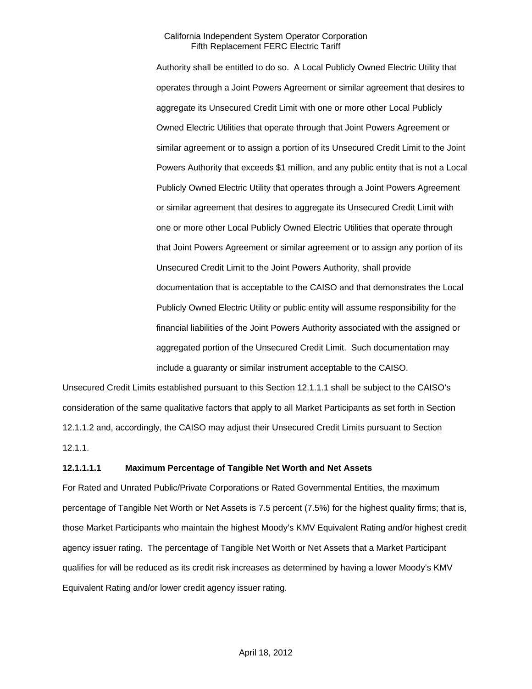Authority shall be entitled to do so. A Local Publicly Owned Electric Utility that operates through a Joint Powers Agreement or similar agreement that desires to aggregate its Unsecured Credit Limit with one or more other Local Publicly Owned Electric Utilities that operate through that Joint Powers Agreement or similar agreement or to assign a portion of its Unsecured Credit Limit to the Joint Powers Authority that exceeds \$1 million, and any public entity that is not a Local Publicly Owned Electric Utility that operates through a Joint Powers Agreement or similar agreement that desires to aggregate its Unsecured Credit Limit with one or more other Local Publicly Owned Electric Utilities that operate through that Joint Powers Agreement or similar agreement or to assign any portion of its Unsecured Credit Limit to the Joint Powers Authority, shall provide documentation that is acceptable to the CAISO and that demonstrates the Local Publicly Owned Electric Utility or public entity will assume responsibility for the financial liabilities of the Joint Powers Authority associated with the assigned or aggregated portion of the Unsecured Credit Limit. Such documentation may include a guaranty or similar instrument acceptable to the CAISO.

Unsecured Credit Limits established pursuant to this Section 12.1.1.1 shall be subject to the CAISO's consideration of the same qualitative factors that apply to all Market Participants as set forth in Section 12.1.1.2 and, accordingly, the CAISO may adjust their Unsecured Credit Limits pursuant to Section 12.1.1.

#### **12.1.1.1.1 Maximum Percentage of Tangible Net Worth and Net Assets**

For Rated and Unrated Public/Private Corporations or Rated Governmental Entities, the maximum percentage of Tangible Net Worth or Net Assets is 7.5 percent (7.5%) for the highest quality firms; that is, those Market Participants who maintain the highest Moody's KMV Equivalent Rating and/or highest credit agency issuer rating. The percentage of Tangible Net Worth or Net Assets that a Market Participant qualifies for will be reduced as its credit risk increases as determined by having a lower Moody's KMV Equivalent Rating and/or lower credit agency issuer rating.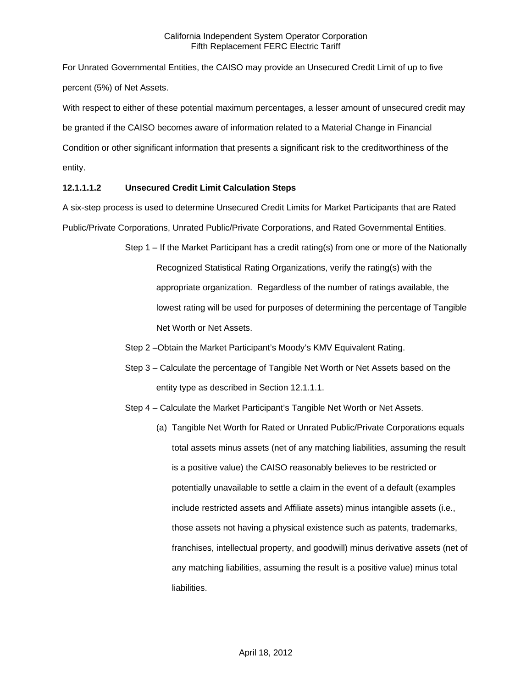For Unrated Governmental Entities, the CAISO may provide an Unsecured Credit Limit of up to five percent (5%) of Net Assets.

With respect to either of these potential maximum percentages, a lesser amount of unsecured credit may be granted if the CAISO becomes aware of information related to a Material Change in Financial Condition or other significant information that presents a significant risk to the creditworthiness of the entity.

# **12.1.1.1.2 Unsecured Credit Limit Calculation Steps**

A six-step process is used to determine Unsecured Credit Limits for Market Participants that are Rated Public/Private Corporations, Unrated Public/Private Corporations, and Rated Governmental Entities.

- Step 1 If the Market Participant has a credit rating(s) from one or more of the Nationally Recognized Statistical Rating Organizations, verify the rating(s) with the appropriate organization. Regardless of the number of ratings available, the lowest rating will be used for purposes of determining the percentage of Tangible Net Worth or Net Assets.
- Step 2 –Obtain the Market Participant's Moody's KMV Equivalent Rating.
- Step 3 Calculate the percentage of Tangible Net Worth or Net Assets based on the entity type as described in Section 12.1.1.1.
- Step 4 Calculate the Market Participant's Tangible Net Worth or Net Assets.
	- (a) Tangible Net Worth for Rated or Unrated Public/Private Corporations equals total assets minus assets (net of any matching liabilities, assuming the result is a positive value) the CAISO reasonably believes to be restricted or potentially unavailable to settle a claim in the event of a default (examples include restricted assets and Affiliate assets) minus intangible assets (i.e., those assets not having a physical existence such as patents, trademarks, franchises, intellectual property, and goodwill) minus derivative assets (net of any matching liabilities, assuming the result is a positive value) minus total liabilities.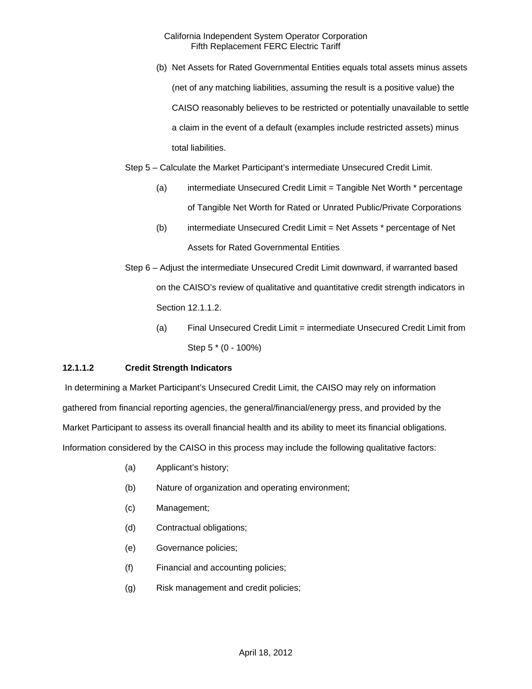(b) Net Assets for Rated Governmental Entities equals total assets minus assets (net of any matching liabilities, assuming the result is a positive value) the CAISO reasonably believes to be restricted or potentially unavailable to settle a claim in the event of a default (examples include restricted assets) minus total liabilities.

Step 5 – Calculate the Market Participant's intermediate Unsecured Credit Limit.

- (a) intermediate Unsecured Credit Limit = Tangible Net Worth \* percentage of Tangible Net Worth for Rated or Unrated Public/Private Corporations
- (b) intermediate Unsecured Credit Limit = Net Assets \* percentage of Net Assets for Rated Governmental Entities
- Step 6 Adjust the intermediate Unsecured Credit Limit downward, if warranted based on the CAISO's review of qualitative and quantitative credit strength indicators in Section 12.1.1.2.
	- (a) Final Unsecured Credit Limit = intermediate Unsecured Credit Limit from Step 5 \* (0 - 100%)

# **12.1.1.2 Credit Strength Indicators**

 In determining a Market Participant's Unsecured Credit Limit, the CAISO may rely on information gathered from financial reporting agencies, the general/financial/energy press, and provided by the Market Participant to assess its overall financial health and its ability to meet its financial obligations. Information considered by the CAISO in this process may include the following qualitative factors:

- (a) Applicant's history;
- (b) Nature of organization and operating environment;
- (c) Management;
- (d) Contractual obligations;
- (e) Governance policies;
- (f) Financial and accounting policies;
- (g) Risk management and credit policies;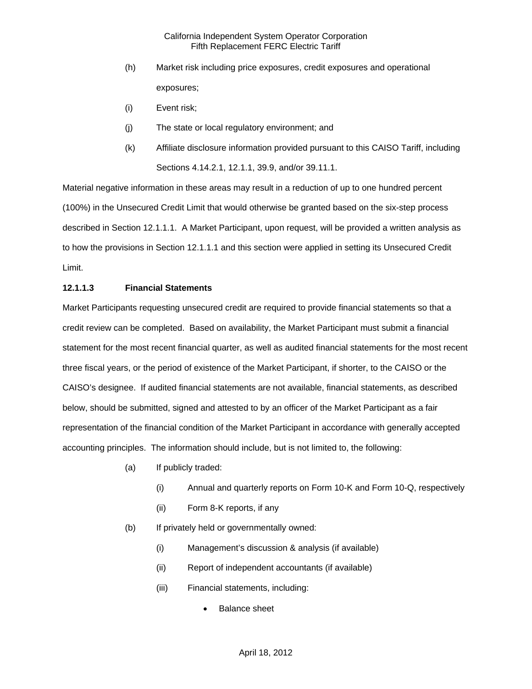- (h) Market risk including price exposures, credit exposures and operational exposures;
- (i) Event risk;
- (j) The state or local regulatory environment; and
- (k) Affiliate disclosure information provided pursuant to this CAISO Tariff, including Sections 4.14.2.1, 12.1.1, 39.9, and/or 39.11.1.

Material negative information in these areas may result in a reduction of up to one hundred percent (100%) in the Unsecured Credit Limit that would otherwise be granted based on the six-step process described in Section 12.1.1.1. A Market Participant, upon request, will be provided a written analysis as to how the provisions in Section 12.1.1.1 and this section were applied in setting its Unsecured Credit Limit.

### **12.1.1.3 Financial Statements**

Market Participants requesting unsecured credit are required to provide financial statements so that a credit review can be completed. Based on availability, the Market Participant must submit a financial statement for the most recent financial quarter, as well as audited financial statements for the most recent three fiscal years, or the period of existence of the Market Participant, if shorter, to the CAISO or the CAISO's designee. If audited financial statements are not available, financial statements, as described below, should be submitted, signed and attested to by an officer of the Market Participant as a fair representation of the financial condition of the Market Participant in accordance with generally accepted accounting principles. The information should include, but is not limited to, the following:

- (a) If publicly traded:
	- (i) Annual and quarterly reports on Form 10-K and Form 10-Q, respectively
	- (ii) Form 8-K reports, if any
- (b) If privately held or governmentally owned:
	- (i) Management's discussion & analysis (if available)
	- (ii) Report of independent accountants (if available)
	- (iii) Financial statements, including:
		- Balance sheet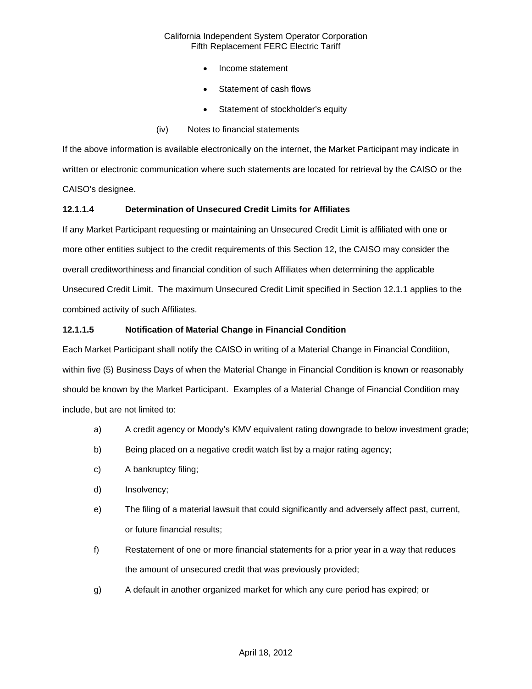- Income statement
- Statement of cash flows
- Statement of stockholder's equity
- (iv) Notes to financial statements

If the above information is available electronically on the internet, the Market Participant may indicate in written or electronic communication where such statements are located for retrieval by the CAISO or the CAISO's designee.

### **12.1.1.4 Determination of Unsecured Credit Limits for Affiliates**

If any Market Participant requesting or maintaining an Unsecured Credit Limit is affiliated with one or more other entities subject to the credit requirements of this Section 12, the CAISO may consider the overall creditworthiness and financial condition of such Affiliates when determining the applicable Unsecured Credit Limit. The maximum Unsecured Credit Limit specified in Section 12.1.1 applies to the combined activity of such Affiliates.

### **12.1.1.5 Notification of Material Change in Financial Condition**

Each Market Participant shall notify the CAISO in writing of a Material Change in Financial Condition, within five (5) Business Days of when the Material Change in Financial Condition is known or reasonably should be known by the Market Participant. Examples of a Material Change of Financial Condition may include, but are not limited to:

- a) A credit agency or Moody's KMV equivalent rating downgrade to below investment grade;
- b) Being placed on a negative credit watch list by a major rating agency;
- c) A bankruptcy filing;
- d) Insolvency;
- e) The filing of a material lawsuit that could significantly and adversely affect past, current, or future financial results;
- f) Restatement of one or more financial statements for a prior year in a way that reduces the amount of unsecured credit that was previously provided;
- g) A default in another organized market for which any cure period has expired; or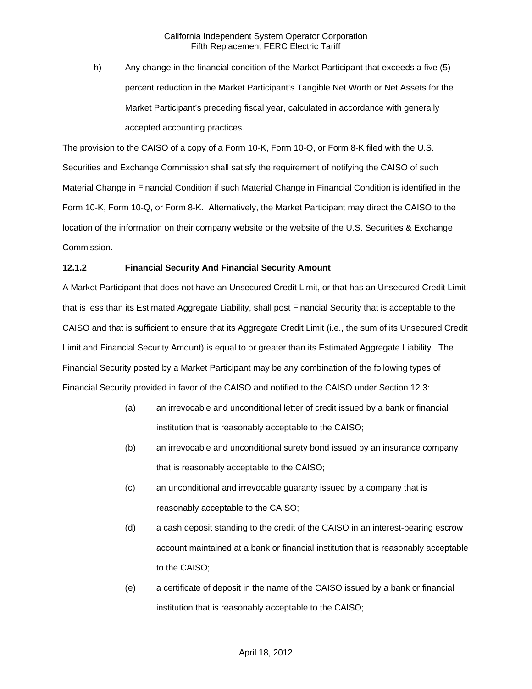h) Any change in the financial condition of the Market Participant that exceeds a five (5) percent reduction in the Market Participant's Tangible Net Worth or Net Assets for the Market Participant's preceding fiscal year, calculated in accordance with generally accepted accounting practices.

The provision to the CAISO of a copy of a Form 10-K, Form 10-Q, or Form 8-K filed with the U.S. Securities and Exchange Commission shall satisfy the requirement of notifying the CAISO of such Material Change in Financial Condition if such Material Change in Financial Condition is identified in the Form 10-K, Form 10-Q, or Form 8-K. Alternatively, the Market Participant may direct the CAISO to the location of the information on their company website or the website of the U.S. Securities & Exchange Commission.

# **12.1.2 Financial Security And Financial Security Amount**

A Market Participant that does not have an Unsecured Credit Limit, or that has an Unsecured Credit Limit that is less than its Estimated Aggregate Liability, shall post Financial Security that is acceptable to the CAISO and that is sufficient to ensure that its Aggregate Credit Limit (i.e., the sum of its Unsecured Credit Limit and Financial Security Amount) is equal to or greater than its Estimated Aggregate Liability. The Financial Security posted by a Market Participant may be any combination of the following types of Financial Security provided in favor of the CAISO and notified to the CAISO under Section 12.3:

- (a) an irrevocable and unconditional letter of credit issued by a bank or financial institution that is reasonably acceptable to the CAISO;
- (b) an irrevocable and unconditional surety bond issued by an insurance company that is reasonably acceptable to the CAISO;
- (c) an unconditional and irrevocable guaranty issued by a company that is reasonably acceptable to the CAISO;
- (d) a cash deposit standing to the credit of the CAISO in an interest-bearing escrow account maintained at a bank or financial institution that is reasonably acceptable to the CAISO;
- (e) a certificate of deposit in the name of the CAISO issued by a bank or financial institution that is reasonably acceptable to the CAISO;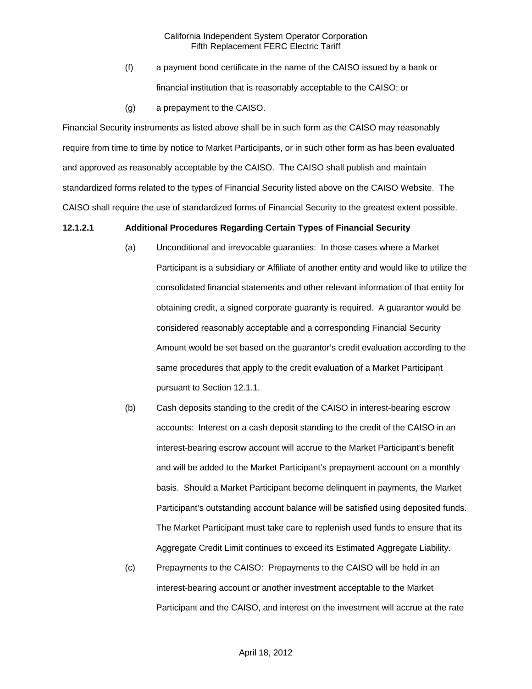- (f) a payment bond certificate in the name of the CAISO issued by a bank or financial institution that is reasonably acceptable to the CAISO; or
- (g) a prepayment to the CAISO.

Financial Security instruments as listed above shall be in such form as the CAISO may reasonably require from time to time by notice to Market Participants, or in such other form as has been evaluated and approved as reasonably acceptable by the CAISO. The CAISO shall publish and maintain standardized forms related to the types of Financial Security listed above on the CAISO Website. The CAISO shall require the use of standardized forms of Financial Security to the greatest extent possible.

#### **12.1.2.1 Additional Procedures Regarding Certain Types of Financial Security**

- (a) Unconditional and irrevocable guaranties: In those cases where a Market Participant is a subsidiary or Affiliate of another entity and would like to utilize the consolidated financial statements and other relevant information of that entity for obtaining credit, a signed corporate guaranty is required. A guarantor would be considered reasonably acceptable and a corresponding Financial Security Amount would be set based on the guarantor's credit evaluation according to the same procedures that apply to the credit evaluation of a Market Participant pursuant to Section 12.1.1.
- (b) Cash deposits standing to the credit of the CAISO in interest-bearing escrow accounts: Interest on a cash deposit standing to the credit of the CAISO in an interest-bearing escrow account will accrue to the Market Participant's benefit and will be added to the Market Participant's prepayment account on a monthly basis. Should a Market Participant become delinquent in payments, the Market Participant's outstanding account balance will be satisfied using deposited funds. The Market Participant must take care to replenish used funds to ensure that its Aggregate Credit Limit continues to exceed its Estimated Aggregate Liability.
- (c) Prepayments to the CAISO: Prepayments to the CAISO will be held in an interest-bearing account or another investment acceptable to the Market Participant and the CAISO, and interest on the investment will accrue at the rate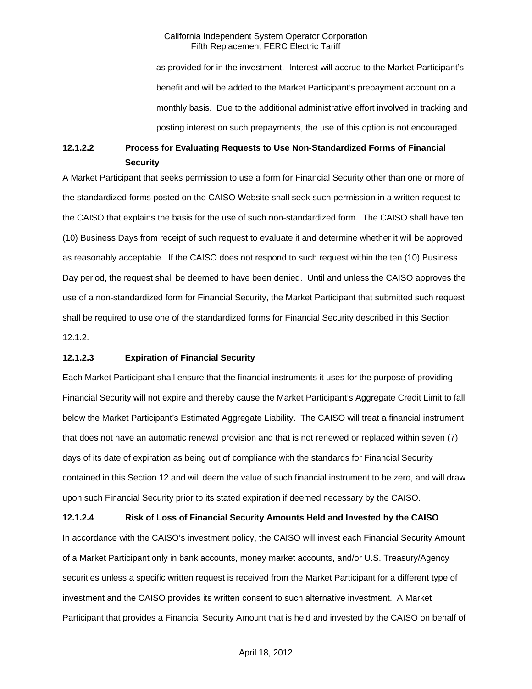as provided for in the investment. Interest will accrue to the Market Participant's benefit and will be added to the Market Participant's prepayment account on a monthly basis. Due to the additional administrative effort involved in tracking and posting interest on such prepayments, the use of this option is not encouraged.

# **12.1.2.2 Process for Evaluating Requests to Use Non-Standardized Forms of Financial Security**

A Market Participant that seeks permission to use a form for Financial Security other than one or more of the standardized forms posted on the CAISO Website shall seek such permission in a written request to the CAISO that explains the basis for the use of such non-standardized form. The CAISO shall have ten (10) Business Days from receipt of such request to evaluate it and determine whether it will be approved as reasonably acceptable. If the CAISO does not respond to such request within the ten (10) Business Day period, the request shall be deemed to have been denied. Until and unless the CAISO approves the use of a non-standardized form for Financial Security, the Market Participant that submitted such request shall be required to use one of the standardized forms for Financial Security described in this Section 12.1.2.

#### **12.1.2.3 Expiration of Financial Security**

Each Market Participant shall ensure that the financial instruments it uses for the purpose of providing Financial Security will not expire and thereby cause the Market Participant's Aggregate Credit Limit to fall below the Market Participant's Estimated Aggregate Liability. The CAISO will treat a financial instrument that does not have an automatic renewal provision and that is not renewed or replaced within seven (7) days of its date of expiration as being out of compliance with the standards for Financial Security contained in this Section 12 and will deem the value of such financial instrument to be zero, and will draw upon such Financial Security prior to its stated expiration if deemed necessary by the CAISO.

**12.1.2.4 Risk of Loss of Financial Security Amounts Held and Invested by the CAISO**  In accordance with the CAISO's investment policy, the CAISO will invest each Financial Security Amount of a Market Participant only in bank accounts, money market accounts, and/or U.S. Treasury/Agency securities unless a specific written request is received from the Market Participant for a different type of investment and the CAISO provides its written consent to such alternative investment. A Market Participant that provides a Financial Security Amount that is held and invested by the CAISO on behalf of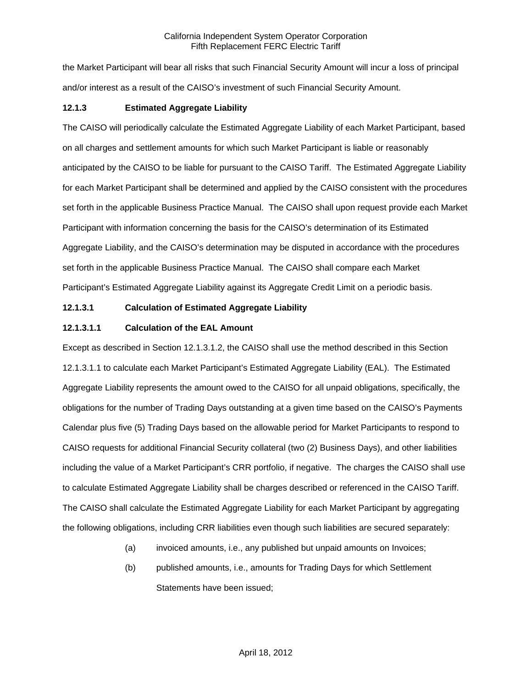the Market Participant will bear all risks that such Financial Security Amount will incur a loss of principal and/or interest as a result of the CAISO's investment of such Financial Security Amount.

# **12.1.3 Estimated Aggregate Liability**

The CAISO will periodically calculate the Estimated Aggregate Liability of each Market Participant, based on all charges and settlement amounts for which such Market Participant is liable or reasonably anticipated by the CAISO to be liable for pursuant to the CAISO Tariff. The Estimated Aggregate Liability for each Market Participant shall be determined and applied by the CAISO consistent with the procedures set forth in the applicable Business Practice Manual. The CAISO shall upon request provide each Market Participant with information concerning the basis for the CAISO's determination of its Estimated Aggregate Liability, and the CAISO's determination may be disputed in accordance with the procedures set forth in the applicable Business Practice Manual. The CAISO shall compare each Market Participant's Estimated Aggregate Liability against its Aggregate Credit Limit on a periodic basis.

# **12.1.3.1 Calculation of Estimated Aggregate Liability**

# **12.1.3.1.1 Calculation of the EAL Amount**

Except as described in Section 12.1.3.1.2, the CAISO shall use the method described in this Section 12.1.3.1.1 to calculate each Market Participant's Estimated Aggregate Liability (EAL). The Estimated Aggregate Liability represents the amount owed to the CAISO for all unpaid obligations, specifically, the obligations for the number of Trading Days outstanding at a given time based on the CAISO's Payments Calendar plus five (5) Trading Days based on the allowable period for Market Participants to respond to CAISO requests for additional Financial Security collateral (two (2) Business Days), and other liabilities including the value of a Market Participant's CRR portfolio, if negative. The charges the CAISO shall use to calculate Estimated Aggregate Liability shall be charges described or referenced in the CAISO Tariff. The CAISO shall calculate the Estimated Aggregate Liability for each Market Participant by aggregating the following obligations, including CRR liabilities even though such liabilities are secured separately:

- (a) invoiced amounts, i.e., any published but unpaid amounts on Invoices;
- (b) published amounts, i.e., amounts for Trading Days for which Settlement Statements have been issued;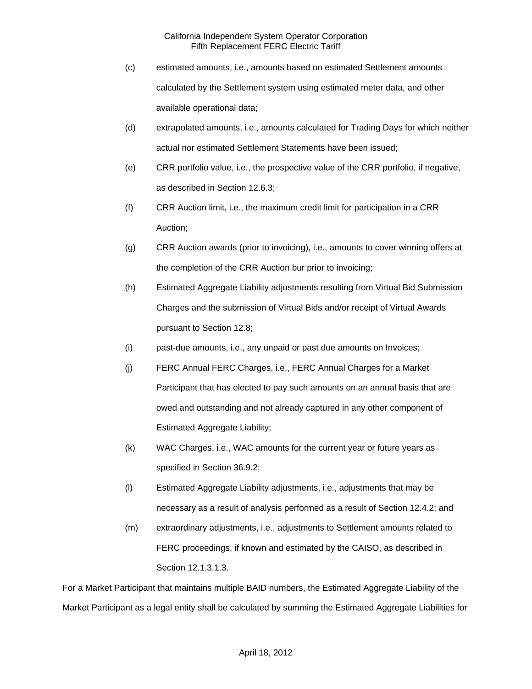- (c) estimated amounts, i.e., amounts based on estimated Settlement amounts calculated by the Settlement system using estimated meter data, and other available operational data;
- (d) extrapolated amounts, i.e., amounts calculated for Trading Days for which neither actual nor estimated Settlement Statements have been issued;
- (e) CRR portfolio value, i.e., the prospective value of the CRR portfolio, if negative, as described in Section 12.6.3;
- (f) CRR Auction limit, i.e., the maximum credit limit for participation in a CRR Auction;
- (g) CRR Auction awards (prior to invoicing), i.e., amounts to cover winning offers at the completion of the CRR Auction bur prior to invoicing;
- (h) Estimated Aggregate Liability adjustments resulting from Virtual Bid Submission Charges and the submission of Virtual Bids and/or receipt of Virtual Awards pursuant to Section 12.8;
- (i) past-due amounts, i.e., any unpaid or past due amounts on Invoices;
- (j) FERC Annual FERC Charges, i.e., FERC Annual Charges for a Market Participant that has elected to pay such amounts on an annual basis that are owed and outstanding and not already captured in any other component of Estimated Aggregate Liability;
- (k) WAC Charges, i.e., WAC amounts for the current year or future years as specified in Section 36.9.2;
- (l) Estimated Aggregate Liability adjustments, i.e., adjustments that may be necessary as a result of analysis performed as a result of Section 12.4.2; and
- (m) extraordinary adjustments, i.e., adjustments to Settlement amounts related to FERC proceedings, if known and estimated by the CAISO, as described in Section 12.1.3.1.3.

For a Market Participant that maintains multiple BAID numbers, the Estimated Aggregate Liability of the Market Participant as a legal entity shall be calculated by summing the Estimated Aggregate Liabilities for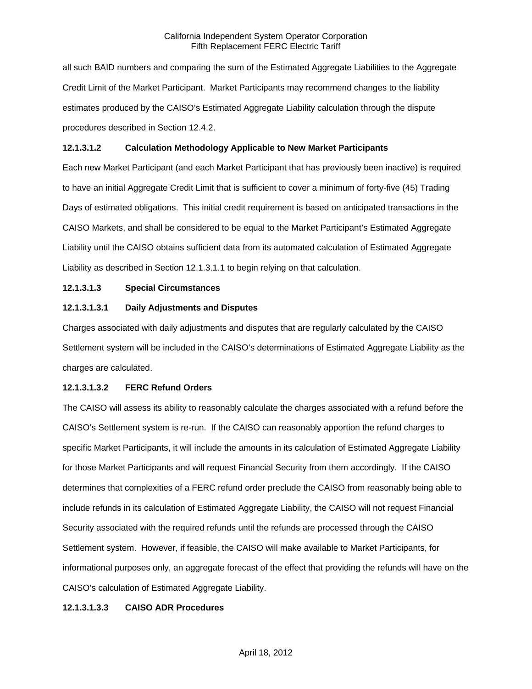all such BAID numbers and comparing the sum of the Estimated Aggregate Liabilities to the Aggregate Credit Limit of the Market Participant. Market Participants may recommend changes to the liability estimates produced by the CAISO's Estimated Aggregate Liability calculation through the dispute procedures described in Section 12.4.2.

### **12.1.3.1.2 Calculation Methodology Applicable to New Market Participants**

Each new Market Participant (and each Market Participant that has previously been inactive) is required to have an initial Aggregate Credit Limit that is sufficient to cover a minimum of forty-five (45) Trading Days of estimated obligations. This initial credit requirement is based on anticipated transactions in the CAISO Markets, and shall be considered to be equal to the Market Participant's Estimated Aggregate Liability until the CAISO obtains sufficient data from its automated calculation of Estimated Aggregate Liability as described in Section 12.1.3.1.1 to begin relying on that calculation.

# **12.1.3.1.3 Special Circumstances**

### **12.1.3.1.3.1 Daily Adjustments and Disputes**

Charges associated with daily adjustments and disputes that are regularly calculated by the CAISO Settlement system will be included in the CAISO's determinations of Estimated Aggregate Liability as the charges are calculated.

#### **12.1.3.1.3.2 FERC Refund Orders**

The CAISO will assess its ability to reasonably calculate the charges associated with a refund before the CAISO's Settlement system is re-run. If the CAISO can reasonably apportion the refund charges to specific Market Participants, it will include the amounts in its calculation of Estimated Aggregate Liability for those Market Participants and will request Financial Security from them accordingly. If the CAISO determines that complexities of a FERC refund order preclude the CAISO from reasonably being able to include refunds in its calculation of Estimated Aggregate Liability, the CAISO will not request Financial Security associated with the required refunds until the refunds are processed through the CAISO Settlement system. However, if feasible, the CAISO will make available to Market Participants, for informational purposes only, an aggregate forecast of the effect that providing the refunds will have on the CAISO's calculation of Estimated Aggregate Liability.

### **12.1.3.1.3.3 CAISO ADR Procedures**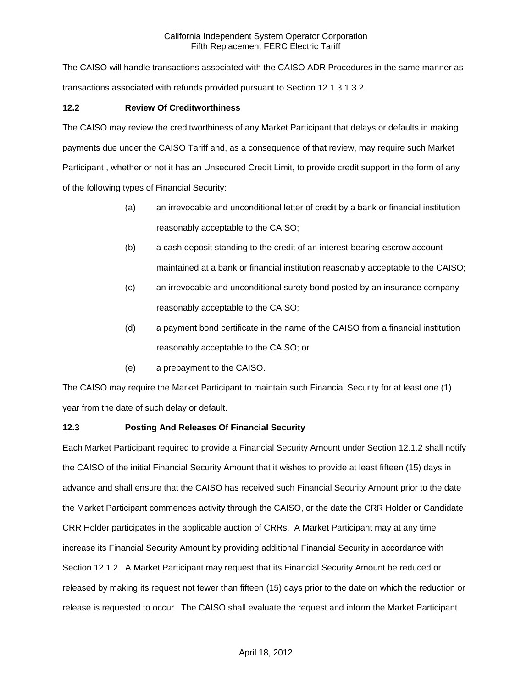The CAISO will handle transactions associated with the CAISO ADR Procedures in the same manner as transactions associated with refunds provided pursuant to Section 12.1.3.1.3.2.

# **12.2 Review Of Creditworthiness**

The CAISO may review the creditworthiness of any Market Participant that delays or defaults in making payments due under the CAISO Tariff and, as a consequence of that review, may require such Market Participant , whether or not it has an Unsecured Credit Limit, to provide credit support in the form of any of the following types of Financial Security:

- (a) an irrevocable and unconditional letter of credit by a bank or financial institution reasonably acceptable to the CAISO;
- (b) a cash deposit standing to the credit of an interest-bearing escrow account maintained at a bank or financial institution reasonably acceptable to the CAISO;
- (c) an irrevocable and unconditional surety bond posted by an insurance company reasonably acceptable to the CAISO;
- (d) a payment bond certificate in the name of the CAISO from a financial institution reasonably acceptable to the CAISO; or
- (e) a prepayment to the CAISO.

The CAISO may require the Market Participant to maintain such Financial Security for at least one (1) year from the date of such delay or default.

# **12.3 Posting And Releases Of Financial Security**

Each Market Participant required to provide a Financial Security Amount under Section 12.1.2 shall notify the CAISO of the initial Financial Security Amount that it wishes to provide at least fifteen (15) days in advance and shall ensure that the CAISO has received such Financial Security Amount prior to the date the Market Participant commences activity through the CAISO, or the date the CRR Holder or Candidate CRR Holder participates in the applicable auction of CRRs. A Market Participant may at any time increase its Financial Security Amount by providing additional Financial Security in accordance with Section 12.1.2. A Market Participant may request that its Financial Security Amount be reduced or released by making its request not fewer than fifteen (15) days prior to the date on which the reduction or release is requested to occur. The CAISO shall evaluate the request and inform the Market Participant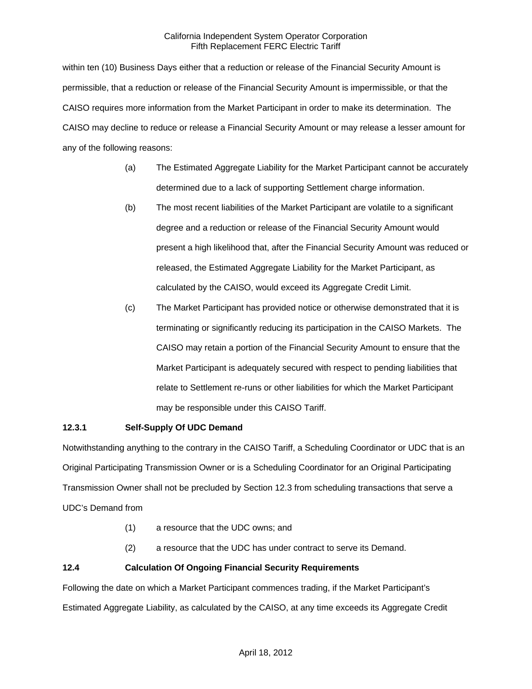within ten (10) Business Days either that a reduction or release of the Financial Security Amount is permissible, that a reduction or release of the Financial Security Amount is impermissible, or that the CAISO requires more information from the Market Participant in order to make its determination. The CAISO may decline to reduce or release a Financial Security Amount or may release a lesser amount for any of the following reasons:

- (a) The Estimated Aggregate Liability for the Market Participant cannot be accurately determined due to a lack of supporting Settlement charge information.
- (b) The most recent liabilities of the Market Participant are volatile to a significant degree and a reduction or release of the Financial Security Amount would present a high likelihood that, after the Financial Security Amount was reduced or released, the Estimated Aggregate Liability for the Market Participant, as calculated by the CAISO, would exceed its Aggregate Credit Limit.
- (c) The Market Participant has provided notice or otherwise demonstrated that it is terminating or significantly reducing its participation in the CAISO Markets. The CAISO may retain a portion of the Financial Security Amount to ensure that the Market Participant is adequately secured with respect to pending liabilities that relate to Settlement re-runs or other liabilities for which the Market Participant may be responsible under this CAISO Tariff.

# **12.3.1 Self-Supply Of UDC Demand**

Notwithstanding anything to the contrary in the CAISO Tariff, a Scheduling Coordinator or UDC that is an Original Participating Transmission Owner or is a Scheduling Coordinator for an Original Participating Transmission Owner shall not be precluded by Section 12.3 from scheduling transactions that serve a UDC's Demand from

- (1) a resource that the UDC owns; and
- (2) a resource that the UDC has under contract to serve its Demand.

# **12.4 Calculation Of Ongoing Financial Security Requirements**

Following the date on which a Market Participant commences trading, if the Market Participant's Estimated Aggregate Liability, as calculated by the CAISO, at any time exceeds its Aggregate Credit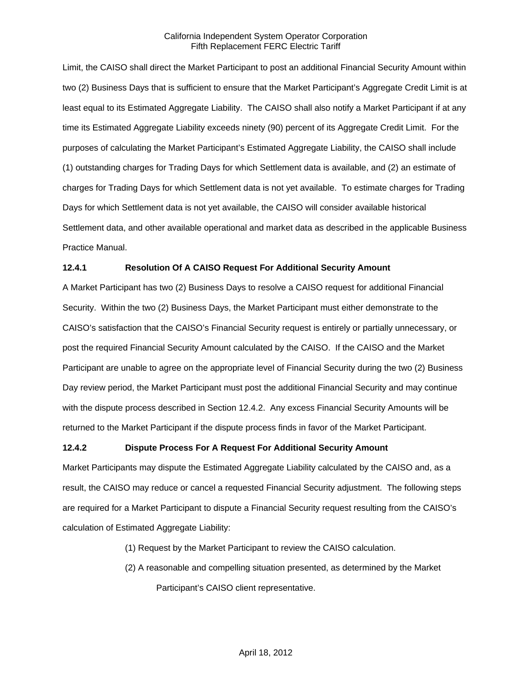Limit, the CAISO shall direct the Market Participant to post an additional Financial Security Amount within two (2) Business Days that is sufficient to ensure that the Market Participant's Aggregate Credit Limit is at least equal to its Estimated Aggregate Liability. The CAISO shall also notify a Market Participant if at any time its Estimated Aggregate Liability exceeds ninety (90) percent of its Aggregate Credit Limit. For the purposes of calculating the Market Participant's Estimated Aggregate Liability, the CAISO shall include (1) outstanding charges for Trading Days for which Settlement data is available, and (2) an estimate of charges for Trading Days for which Settlement data is not yet available. To estimate charges for Trading Days for which Settlement data is not yet available, the CAISO will consider available historical Settlement data, and other available operational and market data as described in the applicable Business Practice Manual.

# **12.4.1 Resolution Of A CAISO Request For Additional Security Amount**

A Market Participant has two (2) Business Days to resolve a CAISO request for additional Financial Security. Within the two (2) Business Days, the Market Participant must either demonstrate to the CAISO's satisfaction that the CAISO's Financial Security request is entirely or partially unnecessary, or post the required Financial Security Amount calculated by the CAISO. If the CAISO and the Market Participant are unable to agree on the appropriate level of Financial Security during the two (2) Business Day review period, the Market Participant must post the additional Financial Security and may continue with the dispute process described in Section 12.4.2. Any excess Financial Security Amounts will be returned to the Market Participant if the dispute process finds in favor of the Market Participant.

#### **12.4.2 Dispute Process For A Request For Additional Security Amount**

Market Participants may dispute the Estimated Aggregate Liability calculated by the CAISO and, as a result, the CAISO may reduce or cancel a requested Financial Security adjustment. The following steps are required for a Market Participant to dispute a Financial Security request resulting from the CAISO's calculation of Estimated Aggregate Liability:

- (1) Request by the Market Participant to review the CAISO calculation.
- (2) A reasonable and compelling situation presented, as determined by the Market Participant's CAISO client representative.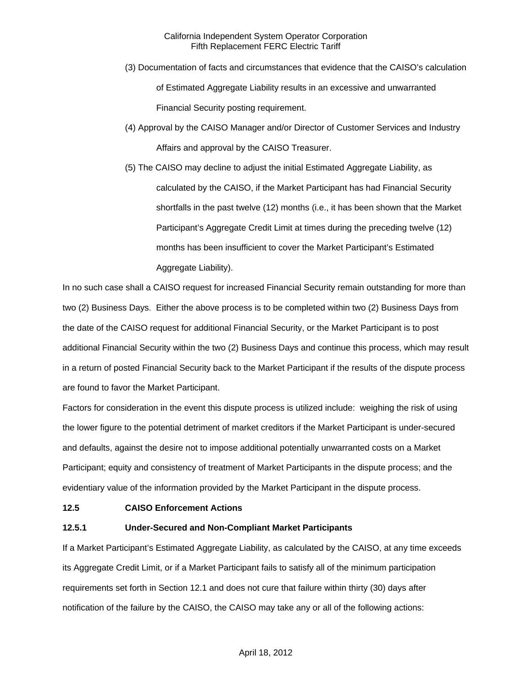- (3) Documentation of facts and circumstances that evidence that the CAISO's calculation of Estimated Aggregate Liability results in an excessive and unwarranted Financial Security posting requirement.
- (4) Approval by the CAISO Manager and/or Director of Customer Services and Industry Affairs and approval by the CAISO Treasurer.
- (5) The CAISO may decline to adjust the initial Estimated Aggregate Liability, as calculated by the CAISO, if the Market Participant has had Financial Security shortfalls in the past twelve (12) months (i.e., it has been shown that the Market Participant's Aggregate Credit Limit at times during the preceding twelve (12) months has been insufficient to cover the Market Participant's Estimated Aggregate Liability).

In no such case shall a CAISO request for increased Financial Security remain outstanding for more than two (2) Business Days. Either the above process is to be completed within two (2) Business Days from the date of the CAISO request for additional Financial Security, or the Market Participant is to post additional Financial Security within the two (2) Business Days and continue this process, which may result in a return of posted Financial Security back to the Market Participant if the results of the dispute process are found to favor the Market Participant.

Factors for consideration in the event this dispute process is utilized include: weighing the risk of using the lower figure to the potential detriment of market creditors if the Market Participant is under-secured and defaults, against the desire not to impose additional potentially unwarranted costs on a Market Participant; equity and consistency of treatment of Market Participants in the dispute process; and the evidentiary value of the information provided by the Market Participant in the dispute process.

#### **12.5 CAISO Enforcement Actions**

# **12.5.1 Under-Secured and Non-Compliant Market Participants**

If a Market Participant's Estimated Aggregate Liability, as calculated by the CAISO, at any time exceeds its Aggregate Credit Limit, or if a Market Participant fails to satisfy all of the minimum participation requirements set forth in Section 12.1 and does not cure that failure within thirty (30) days after notification of the failure by the CAISO, the CAISO may take any or all of the following actions: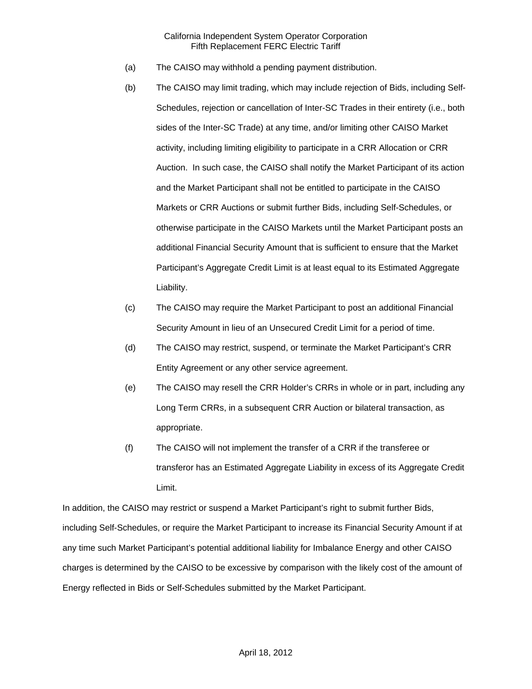- (a) The CAISO may withhold a pending payment distribution.
- (b) The CAISO may limit trading, which may include rejection of Bids, including Self-Schedules, rejection or cancellation of Inter-SC Trades in their entirety (i.e., both sides of the Inter-SC Trade) at any time, and/or limiting other CAISO Market activity, including limiting eligibility to participate in a CRR Allocation or CRR Auction. In such case, the CAISO shall notify the Market Participant of its action and the Market Participant shall not be entitled to participate in the CAISO Markets or CRR Auctions or submit further Bids, including Self-Schedules, or otherwise participate in the CAISO Markets until the Market Participant posts an additional Financial Security Amount that is sufficient to ensure that the Market Participant's Aggregate Credit Limit is at least equal to its Estimated Aggregate Liability.
- (c) The CAISO may require the Market Participant to post an additional Financial Security Amount in lieu of an Unsecured Credit Limit for a period of time.
- (d) The CAISO may restrict, suspend, or terminate the Market Participant's CRR Entity Agreement or any other service agreement.
- (e) The CAISO may resell the CRR Holder's CRRs in whole or in part, including any Long Term CRRs, in a subsequent CRR Auction or bilateral transaction, as appropriate.
- (f) The CAISO will not implement the transfer of a CRR if the transferee or transferor has an Estimated Aggregate Liability in excess of its Aggregate Credit Limit.

In addition, the CAISO may restrict or suspend a Market Participant's right to submit further Bids, including Self-Schedules, or require the Market Participant to increase its Financial Security Amount if at any time such Market Participant's potential additional liability for Imbalance Energy and other CAISO charges is determined by the CAISO to be excessive by comparison with the likely cost of the amount of Energy reflected in Bids or Self-Schedules submitted by the Market Participant.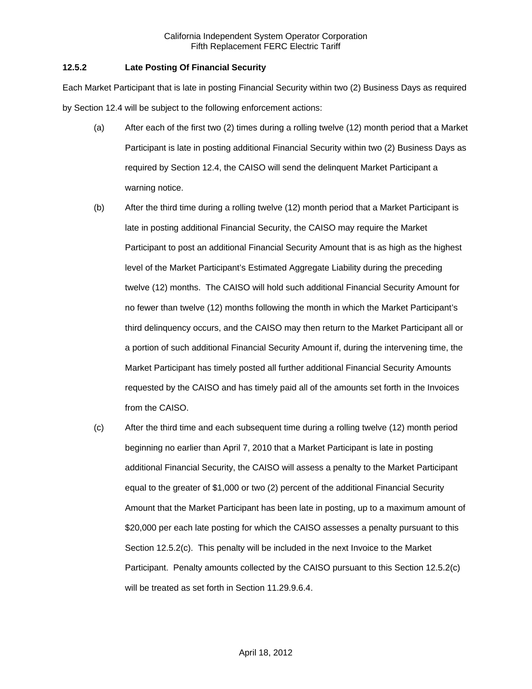# **12.5.2 Late Posting Of Financial Security**

Each Market Participant that is late in posting Financial Security within two (2) Business Days as required by Section 12.4 will be subject to the following enforcement actions:

- (a) After each of the first two (2) times during a rolling twelve (12) month period that a Market Participant is late in posting additional Financial Security within two (2) Business Days as required by Section 12.4, the CAISO will send the delinquent Market Participant a warning notice.
- (b) After the third time during a rolling twelve (12) month period that a Market Participant is late in posting additional Financial Security, the CAISO may require the Market Participant to post an additional Financial Security Amount that is as high as the highest level of the Market Participant's Estimated Aggregate Liability during the preceding twelve (12) months. The CAISO will hold such additional Financial Security Amount for no fewer than twelve (12) months following the month in which the Market Participant's third delinquency occurs, and the CAISO may then return to the Market Participant all or a portion of such additional Financial Security Amount if, during the intervening time, the Market Participant has timely posted all further additional Financial Security Amounts requested by the CAISO and has timely paid all of the amounts set forth in the Invoices from the CAISO.
- (c) After the third time and each subsequent time during a rolling twelve (12) month period beginning no earlier than April 7, 2010 that a Market Participant is late in posting additional Financial Security, the CAISO will assess a penalty to the Market Participant equal to the greater of \$1,000 or two (2) percent of the additional Financial Security Amount that the Market Participant has been late in posting, up to a maximum amount of \$20,000 per each late posting for which the CAISO assesses a penalty pursuant to this Section 12.5.2(c). This penalty will be included in the next Invoice to the Market Participant. Penalty amounts collected by the CAISO pursuant to this Section 12.5.2(c) will be treated as set forth in Section 11.29.9.6.4.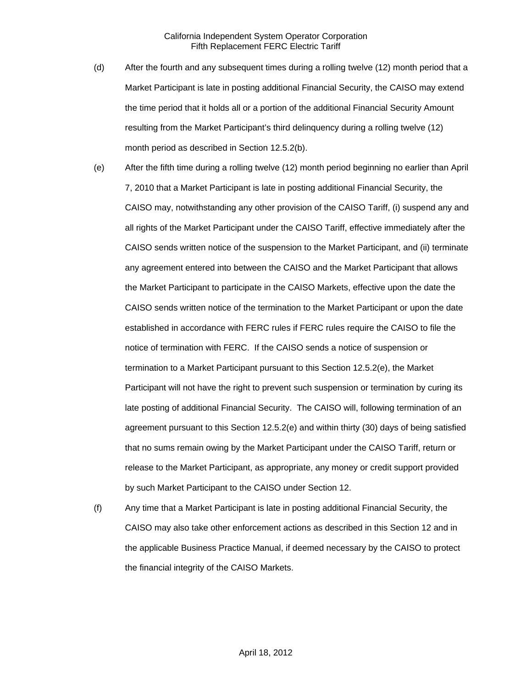- (d) After the fourth and any subsequent times during a rolling twelve (12) month period that a Market Participant is late in posting additional Financial Security, the CAISO may extend the time period that it holds all or a portion of the additional Financial Security Amount resulting from the Market Participant's third delinquency during a rolling twelve (12) month period as described in Section 12.5.2(b).
- (e) After the fifth time during a rolling twelve (12) month period beginning no earlier than April 7, 2010 that a Market Participant is late in posting additional Financial Security, the CAISO may, notwithstanding any other provision of the CAISO Tariff, (i) suspend any and all rights of the Market Participant under the CAISO Tariff, effective immediately after the CAISO sends written notice of the suspension to the Market Participant, and (ii) terminate any agreement entered into between the CAISO and the Market Participant that allows the Market Participant to participate in the CAISO Markets, effective upon the date the CAISO sends written notice of the termination to the Market Participant or upon the date established in accordance with FERC rules if FERC rules require the CAISO to file the notice of termination with FERC. If the CAISO sends a notice of suspension or termination to a Market Participant pursuant to this Section 12.5.2(e), the Market Participant will not have the right to prevent such suspension or termination by curing its late posting of additional Financial Security. The CAISO will, following termination of an agreement pursuant to this Section 12.5.2(e) and within thirty (30) days of being satisfied that no sums remain owing by the Market Participant under the CAISO Tariff, return or release to the Market Participant, as appropriate, any money or credit support provided by such Market Participant to the CAISO under Section 12.
- (f) Any time that a Market Participant is late in posting additional Financial Security, the CAISO may also take other enforcement actions as described in this Section 12 and in the applicable Business Practice Manual, if deemed necessary by the CAISO to protect the financial integrity of the CAISO Markets.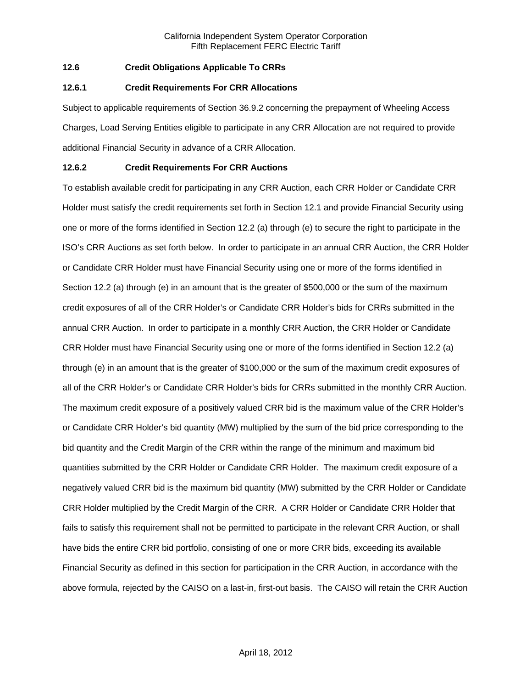# **12.6 Credit Obligations Applicable To CRRs**

#### **12.6.1 Credit Requirements For CRR Allocations**

Subject to applicable requirements of Section 36.9.2 concerning the prepayment of Wheeling Access Charges, Load Serving Entities eligible to participate in any CRR Allocation are not required to provide additional Financial Security in advance of a CRR Allocation.

### **12.6.2 Credit Requirements For CRR Auctions**

To establish available credit for participating in any CRR Auction, each CRR Holder or Candidate CRR Holder must satisfy the credit requirements set forth in Section 12.1 and provide Financial Security using one or more of the forms identified in Section 12.2 (a) through (e) to secure the right to participate in the ISO's CRR Auctions as set forth below. In order to participate in an annual CRR Auction, the CRR Holder or Candidate CRR Holder must have Financial Security using one or more of the forms identified in Section 12.2 (a) through (e) in an amount that is the greater of \$500,000 or the sum of the maximum credit exposures of all of the CRR Holder's or Candidate CRR Holder's bids for CRRs submitted in the annual CRR Auction. In order to participate in a monthly CRR Auction, the CRR Holder or Candidate CRR Holder must have Financial Security using one or more of the forms identified in Section 12.2 (a) through (e) in an amount that is the greater of \$100,000 or the sum of the maximum credit exposures of all of the CRR Holder's or Candidate CRR Holder's bids for CRRs submitted in the monthly CRR Auction. The maximum credit exposure of a positively valued CRR bid is the maximum value of the CRR Holder's or Candidate CRR Holder's bid quantity (MW) multiplied by the sum of the bid price corresponding to the bid quantity and the Credit Margin of the CRR within the range of the minimum and maximum bid quantities submitted by the CRR Holder or Candidate CRR Holder. The maximum credit exposure of a negatively valued CRR bid is the maximum bid quantity (MW) submitted by the CRR Holder or Candidate CRR Holder multiplied by the Credit Margin of the CRR. A CRR Holder or Candidate CRR Holder that fails to satisfy this requirement shall not be permitted to participate in the relevant CRR Auction, or shall have bids the entire CRR bid portfolio, consisting of one or more CRR bids, exceeding its available Financial Security as defined in this section for participation in the CRR Auction, in accordance with the above formula, rejected by the CAISO on a last-in, first-out basis. The CAISO will retain the CRR Auction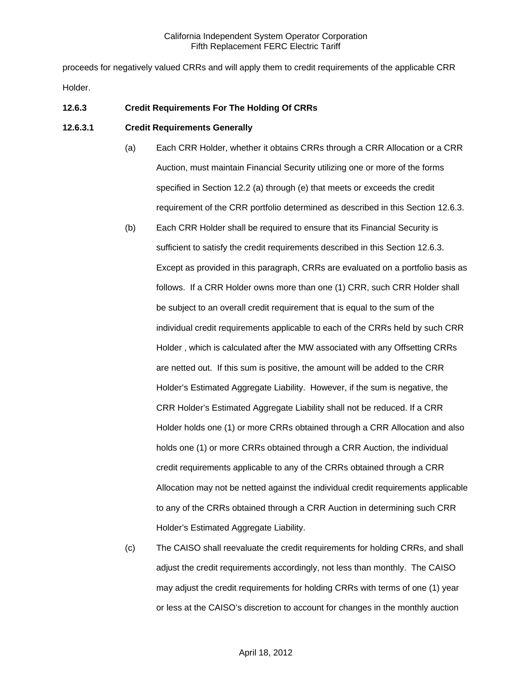proceeds for negatively valued CRRs and will apply them to credit requirements of the applicable CRR Holder.

# **12.6.3 Credit Requirements For The Holding Of CRRs**

### **12.6.3.1 Credit Requirements Generally**

- (a) Each CRR Holder, whether it obtains CRRs through a CRR Allocation or a CRR Auction, must maintain Financial Security utilizing one or more of the forms specified in Section 12.2 (a) through (e) that meets or exceeds the credit requirement of the CRR portfolio determined as described in this Section 12.6.3.
- (b) Each CRR Holder shall be required to ensure that its Financial Security is sufficient to satisfy the credit requirements described in this Section 12.6.3. Except as provided in this paragraph, CRRs are evaluated on a portfolio basis as follows. If a CRR Holder owns more than one (1) CRR, such CRR Holder shall be subject to an overall credit requirement that is equal to the sum of the individual credit requirements applicable to each of the CRRs held by such CRR Holder , which is calculated after the MW associated with any Offsetting CRRs are netted out. If this sum is positive, the amount will be added to the CRR Holder's Estimated Aggregate Liability. However, if the sum is negative, the CRR Holder's Estimated Aggregate Liability shall not be reduced. If a CRR Holder holds one (1) or more CRRs obtained through a CRR Allocation and also holds one (1) or more CRRs obtained through a CRR Auction, the individual credit requirements applicable to any of the CRRs obtained through a CRR Allocation may not be netted against the individual credit requirements applicable to any of the CRRs obtained through a CRR Auction in determining such CRR Holder's Estimated Aggregate Liability.
- (c) The CAISO shall reevaluate the credit requirements for holding CRRs, and shall adjust the credit requirements accordingly, not less than monthly. The CAISO may adjust the credit requirements for holding CRRs with terms of one (1) year or less at the CAISO's discretion to account for changes in the monthly auction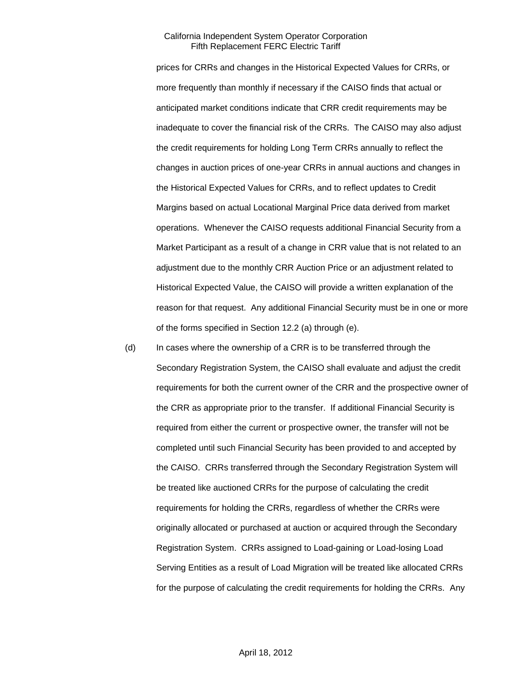prices for CRRs and changes in the Historical Expected Values for CRRs, or more frequently than monthly if necessary if the CAISO finds that actual or anticipated market conditions indicate that CRR credit requirements may be inadequate to cover the financial risk of the CRRs. The CAISO may also adjust the credit requirements for holding Long Term CRRs annually to reflect the changes in auction prices of one-year CRRs in annual auctions and changes in the Historical Expected Values for CRRs, and to reflect updates to Credit Margins based on actual Locational Marginal Price data derived from market operations. Whenever the CAISO requests additional Financial Security from a Market Participant as a result of a change in CRR value that is not related to an adjustment due to the monthly CRR Auction Price or an adjustment related to Historical Expected Value, the CAISO will provide a written explanation of the reason for that request. Any additional Financial Security must be in one or more of the forms specified in Section 12.2 (a) through (e).

(d) In cases where the ownership of a CRR is to be transferred through the Secondary Registration System, the CAISO shall evaluate and adjust the credit requirements for both the current owner of the CRR and the prospective owner of the CRR as appropriate prior to the transfer. If additional Financial Security is required from either the current or prospective owner, the transfer will not be completed until such Financial Security has been provided to and accepted by the CAISO. CRRs transferred through the Secondary Registration System will be treated like auctioned CRRs for the purpose of calculating the credit requirements for holding the CRRs, regardless of whether the CRRs were originally allocated or purchased at auction or acquired through the Secondary Registration System. CRRs assigned to Load-gaining or Load-losing Load Serving Entities as a result of Load Migration will be treated like allocated CRRs for the purpose of calculating the credit requirements for holding the CRRs. Any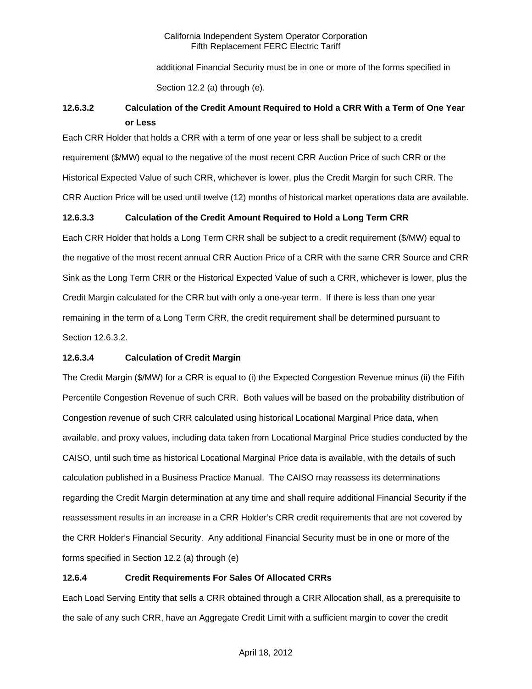additional Financial Security must be in one or more of the forms specified in Section 12.2 (a) through (e).

# **12.6.3.2 Calculation of the Credit Amount Required to Hold a CRR With a Term of One Year or Less**

Each CRR Holder that holds a CRR with a term of one year or less shall be subject to a credit requirement (\$/MW) equal to the negative of the most recent CRR Auction Price of such CRR or the Historical Expected Value of such CRR, whichever is lower, plus the Credit Margin for such CRR. The CRR Auction Price will be used until twelve (12) months of historical market operations data are available.

# **12.6.3.3 Calculation of the Credit Amount Required to Hold a Long Term CRR**

Each CRR Holder that holds a Long Term CRR shall be subject to a credit requirement (\$/MW) equal to the negative of the most recent annual CRR Auction Price of a CRR with the same CRR Source and CRR Sink as the Long Term CRR or the Historical Expected Value of such a CRR, whichever is lower, plus the Credit Margin calculated for the CRR but with only a one-year term. If there is less than one year remaining in the term of a Long Term CRR, the credit requirement shall be determined pursuant to Section 12.6.3.2.

# **12.6.3.4 Calculation of Credit Margin**

The Credit Margin (\$/MW) for a CRR is equal to (i) the Expected Congestion Revenue minus (ii) the Fifth Percentile Congestion Revenue of such CRR. Both values will be based on the probability distribution of Congestion revenue of such CRR calculated using historical Locational Marginal Price data, when available, and proxy values, including data taken from Locational Marginal Price studies conducted by the CAISO, until such time as historical Locational Marginal Price data is available, with the details of such calculation published in a Business Practice Manual. The CAISO may reassess its determinations regarding the Credit Margin determination at any time and shall require additional Financial Security if the reassessment results in an increase in a CRR Holder's CRR credit requirements that are not covered by the CRR Holder's Financial Security. Any additional Financial Security must be in one or more of the forms specified in Section 12.2 (a) through (e)

# **12.6.4 Credit Requirements For Sales Of Allocated CRRs**

Each Load Serving Entity that sells a CRR obtained through a CRR Allocation shall, as a prerequisite to the sale of any such CRR, have an Aggregate Credit Limit with a sufficient margin to cover the credit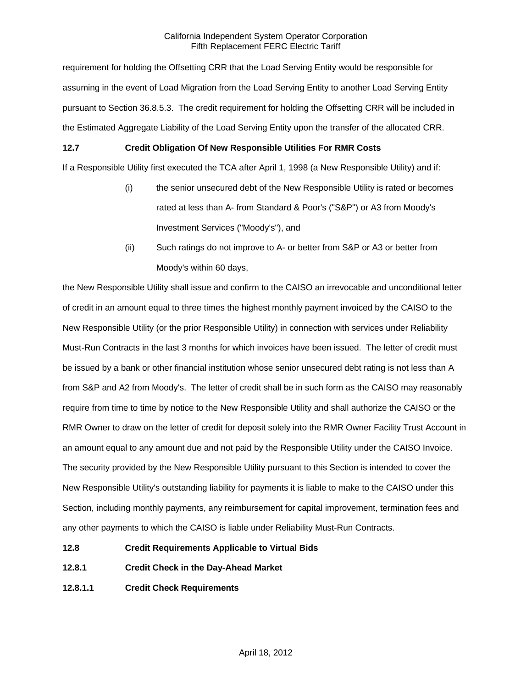requirement for holding the Offsetting CRR that the Load Serving Entity would be responsible for assuming in the event of Load Migration from the Load Serving Entity to another Load Serving Entity pursuant to Section 36.8.5.3. The credit requirement for holding the Offsetting CRR will be included in the Estimated Aggregate Liability of the Load Serving Entity upon the transfer of the allocated CRR.

# **12.7 Credit Obligation Of New Responsible Utilities For RMR Costs**

If a Responsible Utility first executed the TCA after April 1, 1998 (a New Responsible Utility) and if:

- (i) the senior unsecured debt of the New Responsible Utility is rated or becomes rated at less than A- from Standard & Poor's ("S&P") or A3 from Moody's Investment Services ("Moody's"), and
- (ii) Such ratings do not improve to A- or better from S&P or A3 or better from Moody's within 60 days,

the New Responsible Utility shall issue and confirm to the CAISO an irrevocable and unconditional letter of credit in an amount equal to three times the highest monthly payment invoiced by the CAISO to the New Responsible Utility (or the prior Responsible Utility) in connection with services under Reliability Must-Run Contracts in the last 3 months for which invoices have been issued. The letter of credit must be issued by a bank or other financial institution whose senior unsecured debt rating is not less than A from S&P and A2 from Moody's. The letter of credit shall be in such form as the CAISO may reasonably require from time to time by notice to the New Responsible Utility and shall authorize the CAISO or the RMR Owner to draw on the letter of credit for deposit solely into the RMR Owner Facility Trust Account in an amount equal to any amount due and not paid by the Responsible Utility under the CAISO Invoice. The security provided by the New Responsible Utility pursuant to this Section is intended to cover the New Responsible Utility's outstanding liability for payments it is liable to make to the CAISO under this Section, including monthly payments, any reimbursement for capital improvement, termination fees and any other payments to which the CAISO is liable under Reliability Must-Run Contracts.

- **12.8 Credit Requirements Applicable to Virtual Bids**
- **12.8.1 Credit Check in the Day-Ahead Market**
- **12.8.1.1 Credit Check Requirements**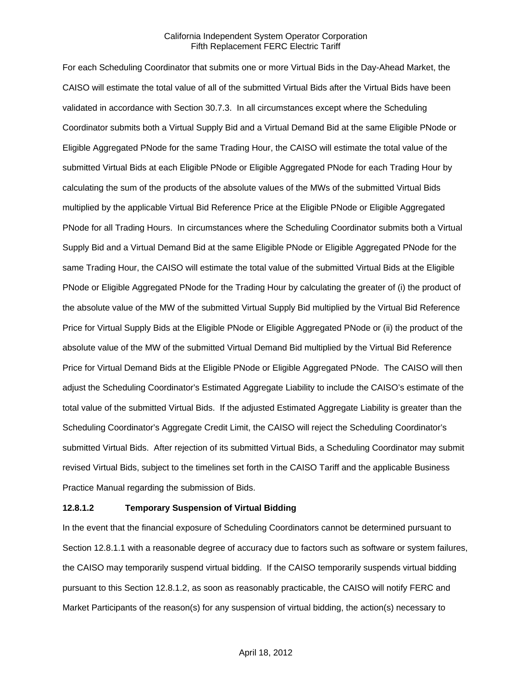For each Scheduling Coordinator that submits one or more Virtual Bids in the Day-Ahead Market, the CAISO will estimate the total value of all of the submitted Virtual Bids after the Virtual Bids have been validated in accordance with Section 30.7.3. In all circumstances except where the Scheduling Coordinator submits both a Virtual Supply Bid and a Virtual Demand Bid at the same Eligible PNode or Eligible Aggregated PNode for the same Trading Hour, the CAISO will estimate the total value of the submitted Virtual Bids at each Eligible PNode or Eligible Aggregated PNode for each Trading Hour by calculating the sum of the products of the absolute values of the MWs of the submitted Virtual Bids multiplied by the applicable Virtual Bid Reference Price at the Eligible PNode or Eligible Aggregated PNode for all Trading Hours. In circumstances where the Scheduling Coordinator submits both a Virtual Supply Bid and a Virtual Demand Bid at the same Eligible PNode or Eligible Aggregated PNode for the same Trading Hour, the CAISO will estimate the total value of the submitted Virtual Bids at the Eligible PNode or Eligible Aggregated PNode for the Trading Hour by calculating the greater of (i) the product of the absolute value of the MW of the submitted Virtual Supply Bid multiplied by the Virtual Bid Reference Price for Virtual Supply Bids at the Eligible PNode or Eligible Aggregated PNode or (ii) the product of the absolute value of the MW of the submitted Virtual Demand Bid multiplied by the Virtual Bid Reference Price for Virtual Demand Bids at the Eligible PNode or Eligible Aggregated PNode. The CAISO will then adjust the Scheduling Coordinator's Estimated Aggregate Liability to include the CAISO's estimate of the total value of the submitted Virtual Bids. If the adjusted Estimated Aggregate Liability is greater than the Scheduling Coordinator's Aggregate Credit Limit, the CAISO will reject the Scheduling Coordinator's submitted Virtual Bids. After rejection of its submitted Virtual Bids, a Scheduling Coordinator may submit revised Virtual Bids, subject to the timelines set forth in the CAISO Tariff and the applicable Business Practice Manual regarding the submission of Bids.

#### **12.8.1.2 Temporary Suspension of Virtual Bidding**

In the event that the financial exposure of Scheduling Coordinators cannot be determined pursuant to Section 12.8.1.1 with a reasonable degree of accuracy due to factors such as software or system failures, the CAISO may temporarily suspend virtual bidding. If the CAISO temporarily suspends virtual bidding pursuant to this Section 12.8.1.2, as soon as reasonably practicable, the CAISO will notify FERC and Market Participants of the reason(s) for any suspension of virtual bidding, the action(s) necessary to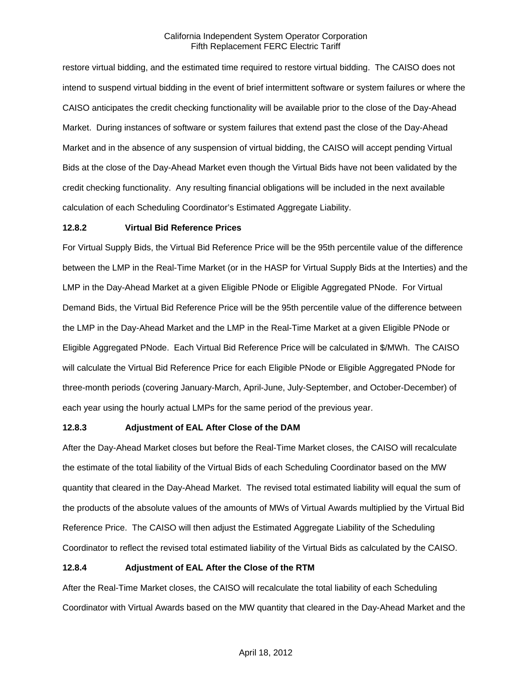restore virtual bidding, and the estimated time required to restore virtual bidding. The CAISO does not intend to suspend virtual bidding in the event of brief intermittent software or system failures or where the CAISO anticipates the credit checking functionality will be available prior to the close of the Day-Ahead Market. During instances of software or system failures that extend past the close of the Day-Ahead Market and in the absence of any suspension of virtual bidding, the CAISO will accept pending Virtual Bids at the close of the Day-Ahead Market even though the Virtual Bids have not been validated by the credit checking functionality. Any resulting financial obligations will be included in the next available calculation of each Scheduling Coordinator's Estimated Aggregate Liability.

### **12.8.2 Virtual Bid Reference Prices**

For Virtual Supply Bids, the Virtual Bid Reference Price will be the 95th percentile value of the difference between the LMP in the Real-Time Market (or in the HASP for Virtual Supply Bids at the Interties) and the LMP in the Day-Ahead Market at a given Eligible PNode or Eligible Aggregated PNode. For Virtual Demand Bids, the Virtual Bid Reference Price will be the 95th percentile value of the difference between the LMP in the Day-Ahead Market and the LMP in the Real-Time Market at a given Eligible PNode or Eligible Aggregated PNode. Each Virtual Bid Reference Price will be calculated in \$/MWh. The CAISO will calculate the Virtual Bid Reference Price for each Eligible PNode or Eligible Aggregated PNode for three-month periods (covering January-March, April-June, July-September, and October-December) of each year using the hourly actual LMPs for the same period of the previous year.

#### **12.8.3 Adjustment of EAL After Close of the DAM**

After the Day-Ahead Market closes but before the Real-Time Market closes, the CAISO will recalculate the estimate of the total liability of the Virtual Bids of each Scheduling Coordinator based on the MW quantity that cleared in the Day-Ahead Market. The revised total estimated liability will equal the sum of the products of the absolute values of the amounts of MWs of Virtual Awards multiplied by the Virtual Bid Reference Price. The CAISO will then adjust the Estimated Aggregate Liability of the Scheduling Coordinator to reflect the revised total estimated liability of the Virtual Bids as calculated by the CAISO.

# **12.8.4 Adjustment of EAL After the Close of the RTM**

After the Real-Time Market closes, the CAISO will recalculate the total liability of each Scheduling Coordinator with Virtual Awards based on the MW quantity that cleared in the Day-Ahead Market and the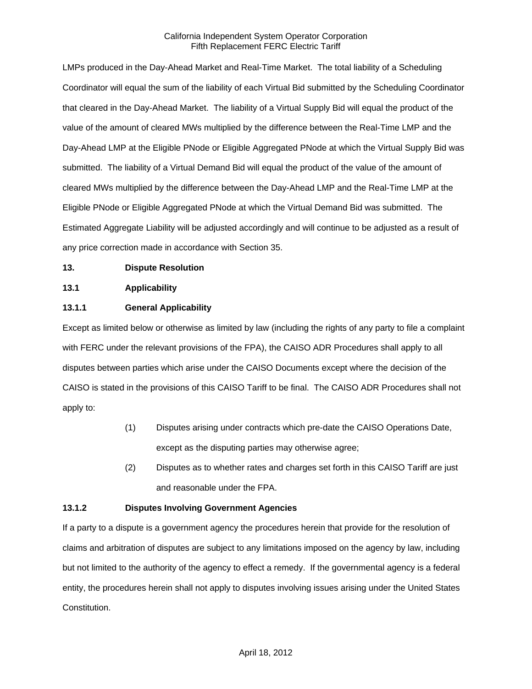LMPs produced in the Day-Ahead Market and Real-Time Market. The total liability of a Scheduling Coordinator will equal the sum of the liability of each Virtual Bid submitted by the Scheduling Coordinator that cleared in the Day-Ahead Market. The liability of a Virtual Supply Bid will equal the product of the value of the amount of cleared MWs multiplied by the difference between the Real-Time LMP and the Day-Ahead LMP at the Eligible PNode or Eligible Aggregated PNode at which the Virtual Supply Bid was submitted. The liability of a Virtual Demand Bid will equal the product of the value of the amount of cleared MWs multiplied by the difference between the Day-Ahead LMP and the Real-Time LMP at the Eligible PNode or Eligible Aggregated PNode at which the Virtual Demand Bid was submitted. The Estimated Aggregate Liability will be adjusted accordingly and will continue to be adjusted as a result of any price correction made in accordance with Section 35.

### **13. Dispute Resolution**

### **13.1 Applicability**

# **13.1.1 General Applicability**

Except as limited below or otherwise as limited by law (including the rights of any party to file a complaint with FERC under the relevant provisions of the FPA), the CAISO ADR Procedures shall apply to all disputes between parties which arise under the CAISO Documents except where the decision of the CAISO is stated in the provisions of this CAISO Tariff to be final. The CAISO ADR Procedures shall not apply to:

- (1) Disputes arising under contracts which pre-date the CAISO Operations Date, except as the disputing parties may otherwise agree;
- (2) Disputes as to whether rates and charges set forth in this CAISO Tariff are just and reasonable under the FPA.

#### **13.1.2 Disputes Involving Government Agencies**

If a party to a dispute is a government agency the procedures herein that provide for the resolution of claims and arbitration of disputes are subject to any limitations imposed on the agency by law, including but not limited to the authority of the agency to effect a remedy. If the governmental agency is a federal entity, the procedures herein shall not apply to disputes involving issues arising under the United States Constitution.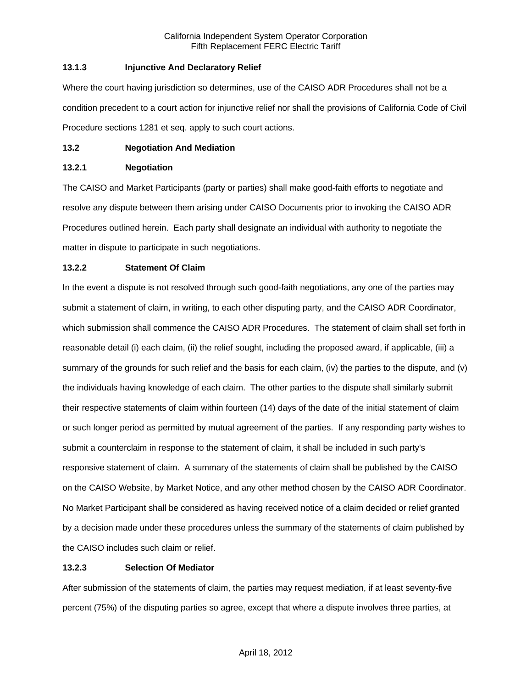# **13.1.3 Injunctive And Declaratory Relief**

Where the court having jurisdiction so determines, use of the CAISO ADR Procedures shall not be a condition precedent to a court action for injunctive relief nor shall the provisions of California Code of Civil Procedure sections 1281 et seq. apply to such court actions.

### **13.2 Negotiation And Mediation**

### **13.2.1 Negotiation**

The CAISO and Market Participants (party or parties) shall make good-faith efforts to negotiate and resolve any dispute between them arising under CAISO Documents prior to invoking the CAISO ADR Procedures outlined herein. Each party shall designate an individual with authority to negotiate the matter in dispute to participate in such negotiations.

# **13.2.2 Statement Of Claim**

In the event a dispute is not resolved through such good-faith negotiations, any one of the parties may submit a statement of claim, in writing, to each other disputing party, and the CAISO ADR Coordinator, which submission shall commence the CAISO ADR Procedures. The statement of claim shall set forth in reasonable detail (i) each claim, (ii) the relief sought, including the proposed award, if applicable, (iii) a summary of the grounds for such relief and the basis for each claim, (iv) the parties to the dispute, and (v) the individuals having knowledge of each claim. The other parties to the dispute shall similarly submit their respective statements of claim within fourteen (14) days of the date of the initial statement of claim or such longer period as permitted by mutual agreement of the parties. If any responding party wishes to submit a counterclaim in response to the statement of claim, it shall be included in such party's responsive statement of claim. A summary of the statements of claim shall be published by the CAISO on the CAISO Website, by Market Notice, and any other method chosen by the CAISO ADR Coordinator. No Market Participant shall be considered as having received notice of a claim decided or relief granted by a decision made under these procedures unless the summary of the statements of claim published by the CAISO includes such claim or relief.

# **13.2.3 Selection Of Mediator**

After submission of the statements of claim, the parties may request mediation, if at least seventy-five percent (75%) of the disputing parties so agree, except that where a dispute involves three parties, at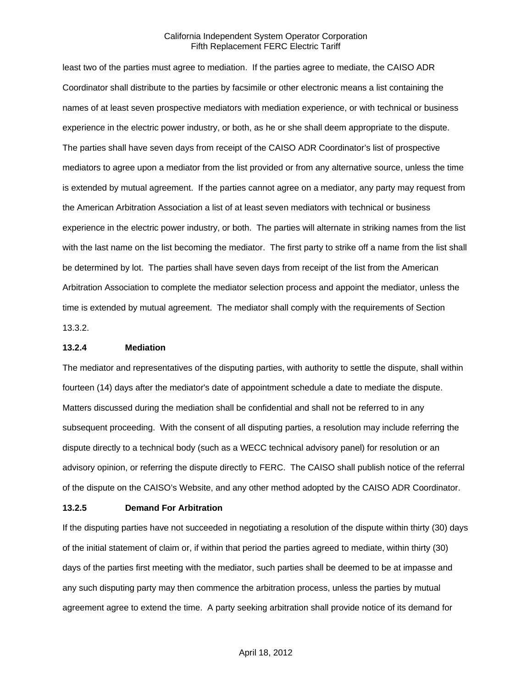least two of the parties must agree to mediation. If the parties agree to mediate, the CAISO ADR Coordinator shall distribute to the parties by facsimile or other electronic means a list containing the names of at least seven prospective mediators with mediation experience, or with technical or business experience in the electric power industry, or both, as he or she shall deem appropriate to the dispute. The parties shall have seven days from receipt of the CAISO ADR Coordinator's list of prospective mediators to agree upon a mediator from the list provided or from any alternative source, unless the time is extended by mutual agreement. If the parties cannot agree on a mediator, any party may request from the American Arbitration Association a list of at least seven mediators with technical or business experience in the electric power industry, or both. The parties will alternate in striking names from the list with the last name on the list becoming the mediator. The first party to strike off a name from the list shall be determined by lot. The parties shall have seven days from receipt of the list from the American Arbitration Association to complete the mediator selection process and appoint the mediator, unless the time is extended by mutual agreement. The mediator shall comply with the requirements of Section 13.3.2.

**13.2.4 Mediation** 

The mediator and representatives of the disputing parties, with authority to settle the dispute, shall within fourteen (14) days after the mediator's date of appointment schedule a date to mediate the dispute. Matters discussed during the mediation shall be confidential and shall not be referred to in any subsequent proceeding. With the consent of all disputing parties, a resolution may include referring the dispute directly to a technical body (such as a WECC technical advisory panel) for resolution or an advisory opinion, or referring the dispute directly to FERC. The CAISO shall publish notice of the referral of the dispute on the CAISO's Website, and any other method adopted by the CAISO ADR Coordinator.

#### **13.2.5 Demand For Arbitration**

If the disputing parties have not succeeded in negotiating a resolution of the dispute within thirty (30) days of the initial statement of claim or, if within that period the parties agreed to mediate, within thirty (30) days of the parties first meeting with the mediator, such parties shall be deemed to be at impasse and any such disputing party may then commence the arbitration process, unless the parties by mutual agreement agree to extend the time. A party seeking arbitration shall provide notice of its demand for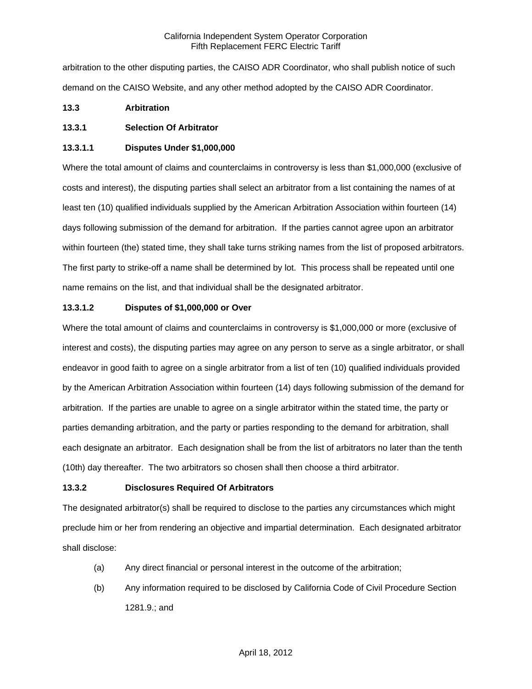arbitration to the other disputing parties, the CAISO ADR Coordinator, who shall publish notice of such demand on the CAISO Website, and any other method adopted by the CAISO ADR Coordinator.

# **13.3 Arbitration**

# **13.3.1 Selection Of Arbitrator**

### **13.3.1.1 Disputes Under \$1,000,000**

Where the total amount of claims and counterclaims in controversy is less than \$1,000,000 (exclusive of costs and interest), the disputing parties shall select an arbitrator from a list containing the names of at least ten (10) qualified individuals supplied by the American Arbitration Association within fourteen (14) days following submission of the demand for arbitration. If the parties cannot agree upon an arbitrator within fourteen (the) stated time, they shall take turns striking names from the list of proposed arbitrators. The first party to strike-off a name shall be determined by lot. This process shall be repeated until one name remains on the list, and that individual shall be the designated arbitrator.

# **13.3.1.2 Disputes of \$1,000,000 or Over**

Where the total amount of claims and counterclaims in controversy is \$1,000,000 or more (exclusive of interest and costs), the disputing parties may agree on any person to serve as a single arbitrator, or shall endeavor in good faith to agree on a single arbitrator from a list of ten (10) qualified individuals provided by the American Arbitration Association within fourteen (14) days following submission of the demand for arbitration. If the parties are unable to agree on a single arbitrator within the stated time, the party or parties demanding arbitration, and the party or parties responding to the demand for arbitration, shall each designate an arbitrator. Each designation shall be from the list of arbitrators no later than the tenth (10th) day thereafter. The two arbitrators so chosen shall then choose a third arbitrator.

# **13.3.2 Disclosures Required Of Arbitrators**

The designated arbitrator(s) shall be required to disclose to the parties any circumstances which might preclude him or her from rendering an objective and impartial determination. Each designated arbitrator shall disclose:

- (a) Any direct financial or personal interest in the outcome of the arbitration;
- (b) Any information required to be disclosed by California Code of Civil Procedure Section 1281.9.; and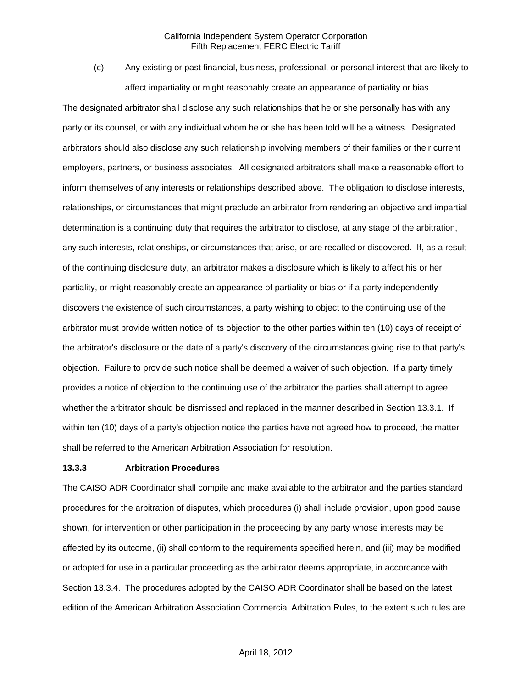(c) Any existing or past financial, business, professional, or personal interest that are likely to affect impartiality or might reasonably create an appearance of partiality or bias.

The designated arbitrator shall disclose any such relationships that he or she personally has with any party or its counsel, or with any individual whom he or she has been told will be a witness. Designated arbitrators should also disclose any such relationship involving members of their families or their current employers, partners, or business associates. All designated arbitrators shall make a reasonable effort to inform themselves of any interests or relationships described above. The obligation to disclose interests, relationships, or circumstances that might preclude an arbitrator from rendering an objective and impartial determination is a continuing duty that requires the arbitrator to disclose, at any stage of the arbitration, any such interests, relationships, or circumstances that arise, or are recalled or discovered. If, as a result of the continuing disclosure duty, an arbitrator makes a disclosure which is likely to affect his or her partiality, or might reasonably create an appearance of partiality or bias or if a party independently discovers the existence of such circumstances, a party wishing to object to the continuing use of the arbitrator must provide written notice of its objection to the other parties within ten (10) days of receipt of the arbitrator's disclosure or the date of a party's discovery of the circumstances giving rise to that party's objection. Failure to provide such notice shall be deemed a waiver of such objection. If a party timely provides a notice of objection to the continuing use of the arbitrator the parties shall attempt to agree whether the arbitrator should be dismissed and replaced in the manner described in Section 13.3.1. If within ten (10) days of a party's objection notice the parties have not agreed how to proceed, the matter shall be referred to the American Arbitration Association for resolution.

#### **13.3.3 Arbitration Procedures**

The CAISO ADR Coordinator shall compile and make available to the arbitrator and the parties standard procedures for the arbitration of disputes, which procedures (i) shall include provision, upon good cause shown, for intervention or other participation in the proceeding by any party whose interests may be affected by its outcome, (ii) shall conform to the requirements specified herein, and (iii) may be modified or adopted for use in a particular proceeding as the arbitrator deems appropriate, in accordance with Section 13.3.4. The procedures adopted by the CAISO ADR Coordinator shall be based on the latest edition of the American Arbitration Association Commercial Arbitration Rules, to the extent such rules are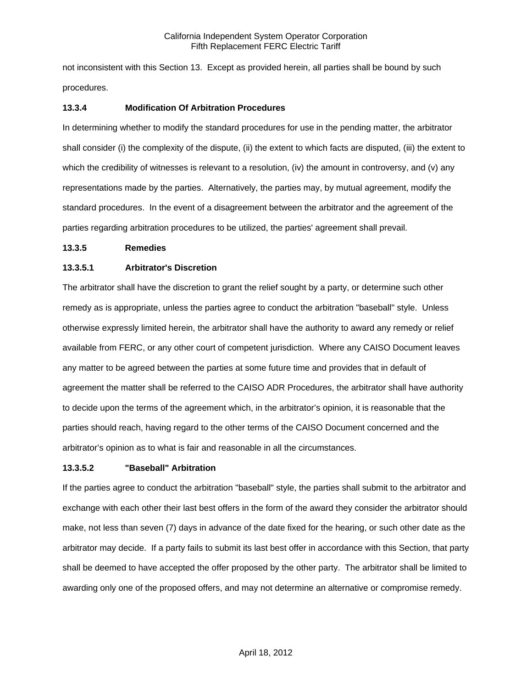not inconsistent with this Section 13. Except as provided herein, all parties shall be bound by such procedures.

### **13.3.4 Modification Of Arbitration Procedures**

In determining whether to modify the standard procedures for use in the pending matter, the arbitrator shall consider (i) the complexity of the dispute, (ii) the extent to which facts are disputed, (iii) the extent to which the credibility of witnesses is relevant to a resolution, (iv) the amount in controversy, and (v) any representations made by the parties. Alternatively, the parties may, by mutual agreement, modify the standard procedures. In the event of a disagreement between the arbitrator and the agreement of the parties regarding arbitration procedures to be utilized, the parties' agreement shall prevail.

#### **13.3.5 Remedies**

### **13.3.5.1 Arbitrator's Discretion**

The arbitrator shall have the discretion to grant the relief sought by a party, or determine such other remedy as is appropriate, unless the parties agree to conduct the arbitration "baseball" style. Unless otherwise expressly limited herein, the arbitrator shall have the authority to award any remedy or relief available from FERC, or any other court of competent jurisdiction. Where any CAISO Document leaves any matter to be agreed between the parties at some future time and provides that in default of agreement the matter shall be referred to the CAISO ADR Procedures, the arbitrator shall have authority to decide upon the terms of the agreement which, in the arbitrator's opinion, it is reasonable that the parties should reach, having regard to the other terms of the CAISO Document concerned and the arbitrator's opinion as to what is fair and reasonable in all the circumstances.

#### **13.3.5.2 "Baseball" Arbitration**

If the parties agree to conduct the arbitration "baseball" style, the parties shall submit to the arbitrator and exchange with each other their last best offers in the form of the award they consider the arbitrator should make, not less than seven (7) days in advance of the date fixed for the hearing, or such other date as the arbitrator may decide. If a party fails to submit its last best offer in accordance with this Section, that party shall be deemed to have accepted the offer proposed by the other party. The arbitrator shall be limited to awarding only one of the proposed offers, and may not determine an alternative or compromise remedy.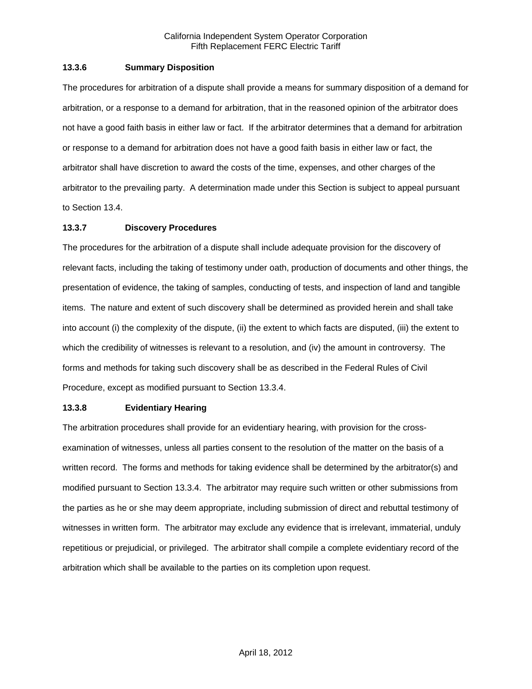### **13.3.6 Summary Disposition**

The procedures for arbitration of a dispute shall provide a means for summary disposition of a demand for arbitration, or a response to a demand for arbitration, that in the reasoned opinion of the arbitrator does not have a good faith basis in either law or fact. If the arbitrator determines that a demand for arbitration or response to a demand for arbitration does not have a good faith basis in either law or fact, the arbitrator shall have discretion to award the costs of the time, expenses, and other charges of the arbitrator to the prevailing party. A determination made under this Section is subject to appeal pursuant to Section 13.4.

### **13.3.7 Discovery Procedures**

The procedures for the arbitration of a dispute shall include adequate provision for the discovery of relevant facts, including the taking of testimony under oath, production of documents and other things, the presentation of evidence, the taking of samples, conducting of tests, and inspection of land and tangible items. The nature and extent of such discovery shall be determined as provided herein and shall take into account (i) the complexity of the dispute, (ii) the extent to which facts are disputed, (iii) the extent to which the credibility of witnesses is relevant to a resolution, and (iv) the amount in controversy. The forms and methods for taking such discovery shall be as described in the Federal Rules of Civil Procedure, except as modified pursuant to Section 13.3.4.

#### **13.3.8 Evidentiary Hearing**

The arbitration procedures shall provide for an evidentiary hearing, with provision for the crossexamination of witnesses, unless all parties consent to the resolution of the matter on the basis of a written record. The forms and methods for taking evidence shall be determined by the arbitrator(s) and modified pursuant to Section 13.3.4. The arbitrator may require such written or other submissions from the parties as he or she may deem appropriate, including submission of direct and rebuttal testimony of witnesses in written form. The arbitrator may exclude any evidence that is irrelevant, immaterial, unduly repetitious or prejudicial, or privileged. The arbitrator shall compile a complete evidentiary record of the arbitration which shall be available to the parties on its completion upon request.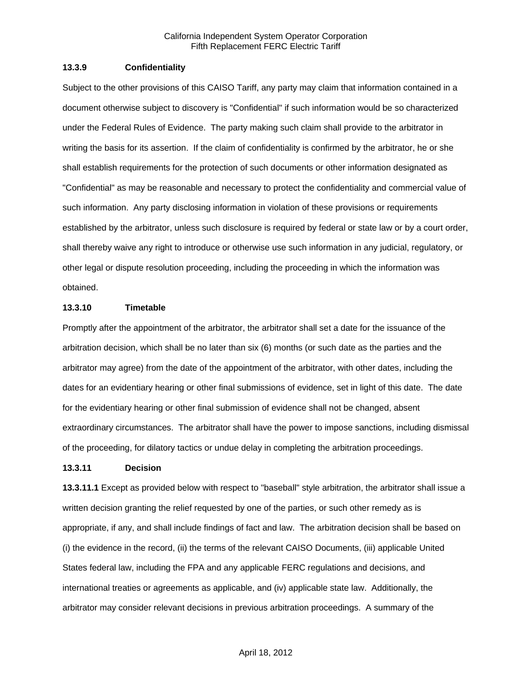#### **13.3.9 Confidentiality**

Subject to the other provisions of this CAISO Tariff, any party may claim that information contained in a document otherwise subject to discovery is "Confidential" if such information would be so characterized under the Federal Rules of Evidence. The party making such claim shall provide to the arbitrator in writing the basis for its assertion. If the claim of confidentiality is confirmed by the arbitrator, he or she shall establish requirements for the protection of such documents or other information designated as "Confidential" as may be reasonable and necessary to protect the confidentiality and commercial value of such information. Any party disclosing information in violation of these provisions or requirements established by the arbitrator, unless such disclosure is required by federal or state law or by a court order, shall thereby waive any right to introduce or otherwise use such information in any judicial, regulatory, or other legal or dispute resolution proceeding, including the proceeding in which the information was obtained.

#### **13.3.10 Timetable**

Promptly after the appointment of the arbitrator, the arbitrator shall set a date for the issuance of the arbitration decision, which shall be no later than six (6) months (or such date as the parties and the arbitrator may agree) from the date of the appointment of the arbitrator, with other dates, including the dates for an evidentiary hearing or other final submissions of evidence, set in light of this date. The date for the evidentiary hearing or other final submission of evidence shall not be changed, absent extraordinary circumstances. The arbitrator shall have the power to impose sanctions, including dismissal of the proceeding, for dilatory tactics or undue delay in completing the arbitration proceedings.

#### **13.3.11 Decision**

**13.3.11.1** Except as provided below with respect to "baseball" style arbitration, the arbitrator shall issue a written decision granting the relief requested by one of the parties, or such other remedy as is appropriate, if any, and shall include findings of fact and law. The arbitration decision shall be based on (i) the evidence in the record, (ii) the terms of the relevant CAISO Documents, (iii) applicable United States federal law, including the FPA and any applicable FERC regulations and decisions, and international treaties or agreements as applicable, and (iv) applicable state law. Additionally, the arbitrator may consider relevant decisions in previous arbitration proceedings. A summary of the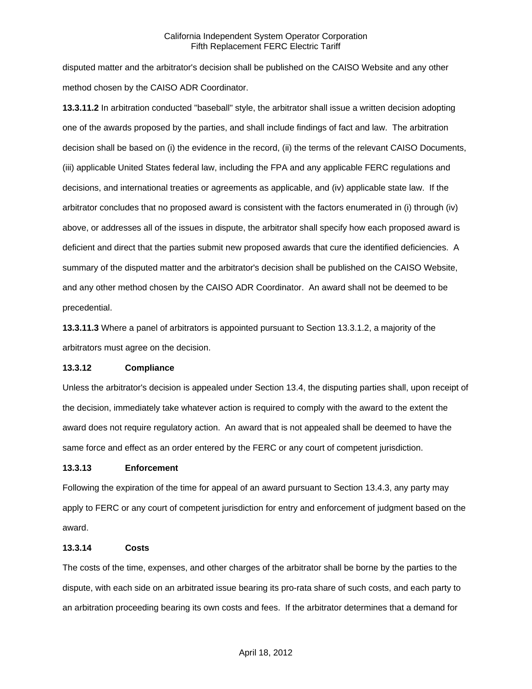disputed matter and the arbitrator's decision shall be published on the CAISO Website and any other method chosen by the CAISO ADR Coordinator.

**13.3.11.2** In arbitration conducted "baseball" style, the arbitrator shall issue a written decision adopting one of the awards proposed by the parties, and shall include findings of fact and law. The arbitration decision shall be based on (i) the evidence in the record, (ii) the terms of the relevant CAISO Documents, (iii) applicable United States federal law, including the FPA and any applicable FERC regulations and decisions, and international treaties or agreements as applicable, and (iv) applicable state law. If the arbitrator concludes that no proposed award is consistent with the factors enumerated in (i) through (iv) above, or addresses all of the issues in dispute, the arbitrator shall specify how each proposed award is deficient and direct that the parties submit new proposed awards that cure the identified deficiencies. A summary of the disputed matter and the arbitrator's decision shall be published on the CAISO Website, and any other method chosen by the CAISO ADR Coordinator. An award shall not be deemed to be precedential.

**13.3.11.3** Where a panel of arbitrators is appointed pursuant to Section 13.3.1.2, a majority of the arbitrators must agree on the decision.

# **13.3.12 Compliance**

Unless the arbitrator's decision is appealed under Section 13.4, the disputing parties shall, upon receipt of the decision, immediately take whatever action is required to comply with the award to the extent the award does not require regulatory action. An award that is not appealed shall be deemed to have the same force and effect as an order entered by the FERC or any court of competent jurisdiction.

#### **13.3.13 Enforcement**

Following the expiration of the time for appeal of an award pursuant to Section 13.4.3, any party may apply to FERC or any court of competent jurisdiction for entry and enforcement of judgment based on the award.

#### **13.3.14 Costs**

The costs of the time, expenses, and other charges of the arbitrator shall be borne by the parties to the dispute, with each side on an arbitrated issue bearing its pro-rata share of such costs, and each party to an arbitration proceeding bearing its own costs and fees. If the arbitrator determines that a demand for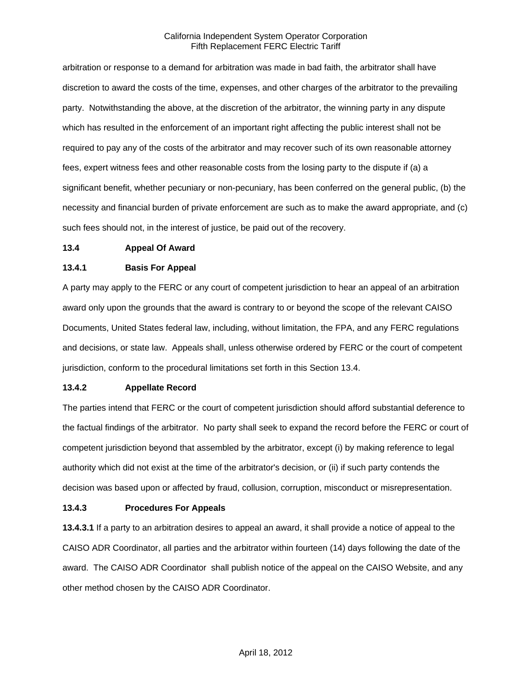arbitration or response to a demand for arbitration was made in bad faith, the arbitrator shall have discretion to award the costs of the time, expenses, and other charges of the arbitrator to the prevailing party. Notwithstanding the above, at the discretion of the arbitrator, the winning party in any dispute which has resulted in the enforcement of an important right affecting the public interest shall not be required to pay any of the costs of the arbitrator and may recover such of its own reasonable attorney fees, expert witness fees and other reasonable costs from the losing party to the dispute if (a) a significant benefit, whether pecuniary or non-pecuniary, has been conferred on the general public, (b) the necessity and financial burden of private enforcement are such as to make the award appropriate, and (c) such fees should not, in the interest of justice, be paid out of the recovery.

#### **13.4 Appeal Of Award**

#### **13.4.1 Basis For Appeal**

A party may apply to the FERC or any court of competent jurisdiction to hear an appeal of an arbitration award only upon the grounds that the award is contrary to or beyond the scope of the relevant CAISO Documents, United States federal law, including, without limitation, the FPA, and any FERC regulations and decisions, or state law. Appeals shall, unless otherwise ordered by FERC or the court of competent jurisdiction, conform to the procedural limitations set forth in this Section 13.4.

### **13.4.2 Appellate Record**

The parties intend that FERC or the court of competent jurisdiction should afford substantial deference to the factual findings of the arbitrator. No party shall seek to expand the record before the FERC or court of competent jurisdiction beyond that assembled by the arbitrator, except (i) by making reference to legal authority which did not exist at the time of the arbitrator's decision, or (ii) if such party contends the decision was based upon or affected by fraud, collusion, corruption, misconduct or misrepresentation.

#### **13.4.3 Procedures For Appeals**

**13.4.3.1** If a party to an arbitration desires to appeal an award, it shall provide a notice of appeal to the CAISO ADR Coordinator, all parties and the arbitrator within fourteen (14) days following the date of the award. The CAISO ADR Coordinator shall publish notice of the appeal on the CAISO Website, and any other method chosen by the CAISO ADR Coordinator.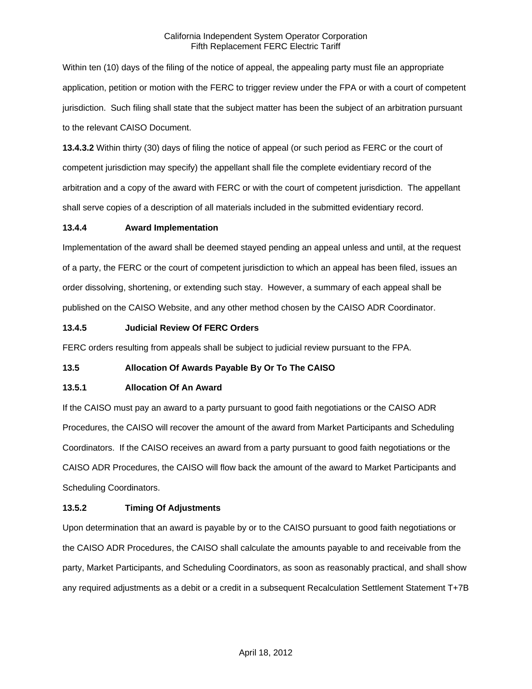Within ten (10) days of the filing of the notice of appeal, the appealing party must file an appropriate application, petition or motion with the FERC to trigger review under the FPA or with a court of competent jurisdiction. Such filing shall state that the subject matter has been the subject of an arbitration pursuant to the relevant CAISO Document.

**13.4.3.2** Within thirty (30) days of filing the notice of appeal (or such period as FERC or the court of competent jurisdiction may specify) the appellant shall file the complete evidentiary record of the arbitration and a copy of the award with FERC or with the court of competent jurisdiction. The appellant shall serve copies of a description of all materials included in the submitted evidentiary record.

# **13.4.4 Award Implementation**

Implementation of the award shall be deemed stayed pending an appeal unless and until, at the request of a party, the FERC or the court of competent jurisdiction to which an appeal has been filed, issues an order dissolving, shortening, or extending such stay. However, a summary of each appeal shall be published on the CAISO Website, and any other method chosen by the CAISO ADR Coordinator.

### **13.4.5 Judicial Review Of FERC Orders**

FERC orders resulting from appeals shall be subject to judicial review pursuant to the FPA.

# **13.5 Allocation Of Awards Payable By Or To The CAISO**

#### **13.5.1 Allocation Of An Award**

If the CAISO must pay an award to a party pursuant to good faith negotiations or the CAISO ADR Procedures, the CAISO will recover the amount of the award from Market Participants and Scheduling Coordinators. If the CAISO receives an award from a party pursuant to good faith negotiations or the CAISO ADR Procedures, the CAISO will flow back the amount of the award to Market Participants and Scheduling Coordinators.

# **13.5.2 Timing Of Adjustments**

Upon determination that an award is payable by or to the CAISO pursuant to good faith negotiations or the CAISO ADR Procedures, the CAISO shall calculate the amounts payable to and receivable from the party, Market Participants, and Scheduling Coordinators, as soon as reasonably practical, and shall show any required adjustments as a debit or a credit in a subsequent Recalculation Settlement Statement T+7B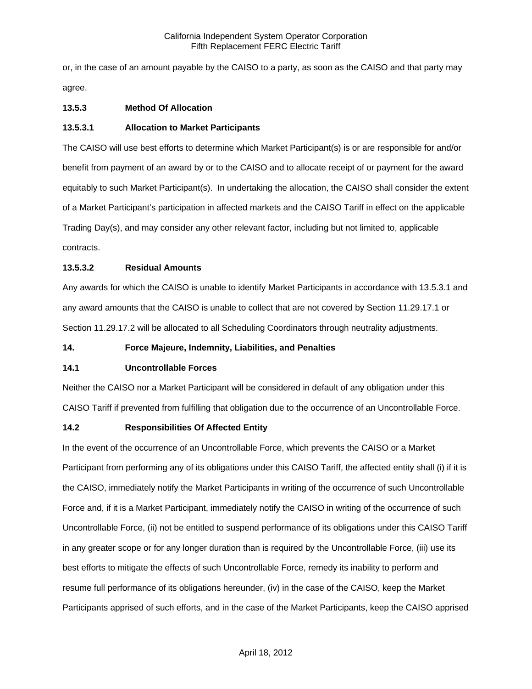or, in the case of an amount payable by the CAISO to a party, as soon as the CAISO and that party may agree.

# **13.5.3 Method Of Allocation**

### **13.5.3.1 Allocation to Market Participants**

The CAISO will use best efforts to determine which Market Participant(s) is or are responsible for and/or benefit from payment of an award by or to the CAISO and to allocate receipt of or payment for the award equitably to such Market Participant(s). In undertaking the allocation, the CAISO shall consider the extent of a Market Participant's participation in affected markets and the CAISO Tariff in effect on the applicable Trading Day(s), and may consider any other relevant factor, including but not limited to, applicable contracts.

### **13.5.3.2 Residual Amounts**

Any awards for which the CAISO is unable to identify Market Participants in accordance with 13.5.3.1 and any award amounts that the CAISO is unable to collect that are not covered by Section 11.29.17.1 or Section 11.29.17.2 will be allocated to all Scheduling Coordinators through neutrality adjustments.

#### **14. Force Majeure, Indemnity, Liabilities, and Penalties**

#### **14.1 Uncontrollable Forces**

Neither the CAISO nor a Market Participant will be considered in default of any obligation under this CAISO Tariff if prevented from fulfilling that obligation due to the occurrence of an Uncontrollable Force.

#### **14.2 Responsibilities Of Affected Entity**

In the event of the occurrence of an Uncontrollable Force, which prevents the CAISO or a Market Participant from performing any of its obligations under this CAISO Tariff, the affected entity shall (i) if it is the CAISO, immediately notify the Market Participants in writing of the occurrence of such Uncontrollable Force and, if it is a Market Participant, immediately notify the CAISO in writing of the occurrence of such Uncontrollable Force, (ii) not be entitled to suspend performance of its obligations under this CAISO Tariff in any greater scope or for any longer duration than is required by the Uncontrollable Force, (iii) use its best efforts to mitigate the effects of such Uncontrollable Force, remedy its inability to perform and resume full performance of its obligations hereunder, (iv) in the case of the CAISO, keep the Market Participants apprised of such efforts, and in the case of the Market Participants, keep the CAISO apprised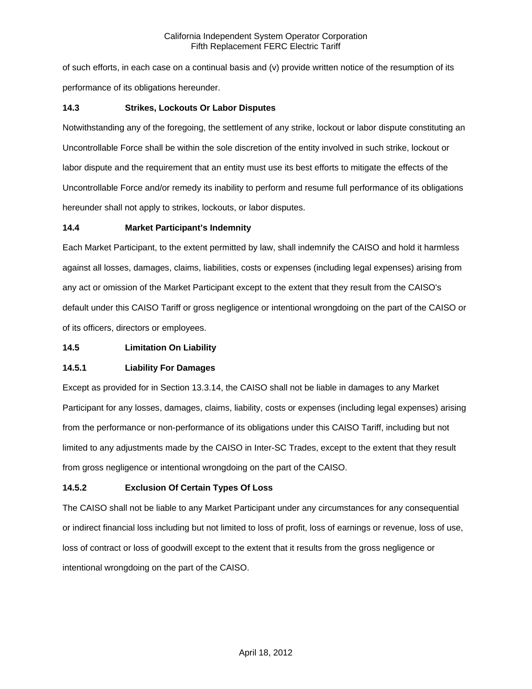of such efforts, in each case on a continual basis and (v) provide written notice of the resumption of its performance of its obligations hereunder.

# **14.3 Strikes, Lockouts Or Labor Disputes**

Notwithstanding any of the foregoing, the settlement of any strike, lockout or labor dispute constituting an Uncontrollable Force shall be within the sole discretion of the entity involved in such strike, lockout or labor dispute and the requirement that an entity must use its best efforts to mitigate the effects of the Uncontrollable Force and/or remedy its inability to perform and resume full performance of its obligations hereunder shall not apply to strikes, lockouts, or labor disputes.

# **14.4 Market Participant's Indemnity**

Each Market Participant, to the extent permitted by law, shall indemnify the CAISO and hold it harmless against all losses, damages, claims, liabilities, costs or expenses (including legal expenses) arising from any act or omission of the Market Participant except to the extent that they result from the CAISO's default under this CAISO Tariff or gross negligence or intentional wrongdoing on the part of the CAISO or of its officers, directors or employees.

# **14.5 Limitation On Liability**

# **14.5.1 Liability For Damages**

Except as provided for in Section 13.3.14, the CAISO shall not be liable in damages to any Market Participant for any losses, damages, claims, liability, costs or expenses (including legal expenses) arising from the performance or non-performance of its obligations under this CAISO Tariff, including but not limited to any adjustments made by the CAISO in Inter-SC Trades, except to the extent that they result from gross negligence or intentional wrongdoing on the part of the CAISO.

# **14.5.2 Exclusion Of Certain Types Of Loss**

The CAISO shall not be liable to any Market Participant under any circumstances for any consequential or indirect financial loss including but not limited to loss of profit, loss of earnings or revenue, loss of use, loss of contract or loss of goodwill except to the extent that it results from the gross negligence or intentional wrongdoing on the part of the CAISO.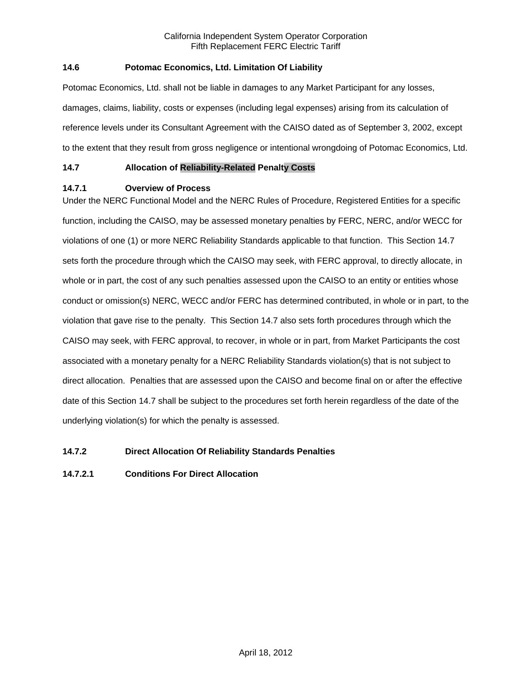# **14.6 Potomac Economics, Ltd. Limitation Of Liability**

Potomac Economics, Ltd. shall not be liable in damages to any Market Participant for any losses, damages, claims, liability, costs or expenses (including legal expenses) arising from its calculation of reference levels under its Consultant Agreement with the CAISO dated as of September 3, 2002, except to the extent that they result from gross negligence or intentional wrongdoing of Potomac Economics, Ltd.

### **14.7 Allocation of Reliability-Related Penalty Costs**

### **14.7.1 Overview of Process**

Under the NERC Functional Model and the NERC Rules of Procedure, Registered Entities for a specific function, including the CAISO, may be assessed monetary penalties by FERC, NERC, and/or WECC for violations of one (1) or more NERC Reliability Standards applicable to that function. This Section 14.7 sets forth the procedure through which the CAISO may seek, with FERC approval, to directly allocate, in whole or in part, the cost of any such penalties assessed upon the CAISO to an entity or entities whose conduct or omission(s) NERC, WECC and/or FERC has determined contributed, in whole or in part, to the violation that gave rise to the penalty. This Section 14.7 also sets forth procedures through which the CAISO may seek, with FERC approval, to recover, in whole or in part, from Market Participants the cost associated with a monetary penalty for a NERC Reliability Standards violation(s) that is not subject to direct allocation. Penalties that are assessed upon the CAISO and become final on or after the effective date of this Section 14.7 shall be subject to the procedures set forth herein regardless of the date of the underlying violation(s) for which the penalty is assessed.

# **14.7.2 Direct Allocation Of Reliability Standards Penalties**

# **14.7.2.1 Conditions For Direct Allocation**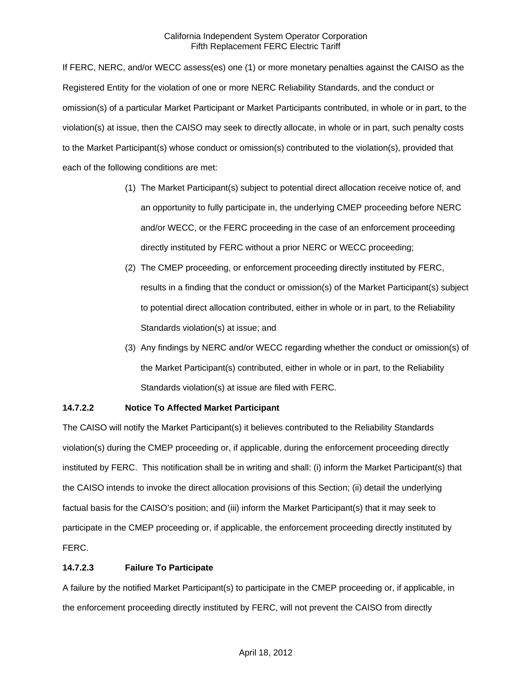If FERC, NERC, and/or WECC assess(es) one (1) or more monetary penalties against the CAISO as the Registered Entity for the violation of one or more NERC Reliability Standards, and the conduct or omission(s) of a particular Market Participant or Market Participants contributed, in whole or in part, to the violation(s) at issue, then the CAISO may seek to directly allocate, in whole or in part, such penalty costs to the Market Participant(s) whose conduct or omission(s) contributed to the violation(s), provided that each of the following conditions are met:

- (1) The Market Participant(s) subject to potential direct allocation receive notice of, and an opportunity to fully participate in, the underlying CMEP proceeding before NERC and/or WECC, or the FERC proceeding in the case of an enforcement proceeding directly instituted by FERC without a prior NERC or WECC proceeding;
- (2) The CMEP proceeding, or enforcement proceeding directly instituted by FERC, results in a finding that the conduct or omission(s) of the Market Participant(s) subject to potential direct allocation contributed, either in whole or in part, to the Reliability Standards violation(s) at issue; and
- (3) Any findings by NERC and/or WECC regarding whether the conduct or omission(s) of the Market Participant(s) contributed, either in whole or in part, to the Reliability Standards violation(s) at issue are filed with FERC.

# **14.7.2.2 Notice To Affected Market Participant**

The CAISO will notify the Market Participant(s) it believes contributed to the Reliability Standards violation(s) during the CMEP proceeding or, if applicable, during the enforcement proceeding directly instituted by FERC. This notification shall be in writing and shall: (i) inform the Market Participant(s) that the CAISO intends to invoke the direct allocation provisions of this Section; (ii) detail the underlying factual basis for the CAISO's position; and (iii) inform the Market Participant(s) that it may seek to participate in the CMEP proceeding or, if applicable, the enforcement proceeding directly instituted by FERC.

# **14.7.2.3 Failure To Participate**

A failure by the notified Market Participant(s) to participate in the CMEP proceeding or, if applicable, in the enforcement proceeding directly instituted by FERC, will not prevent the CAISO from directly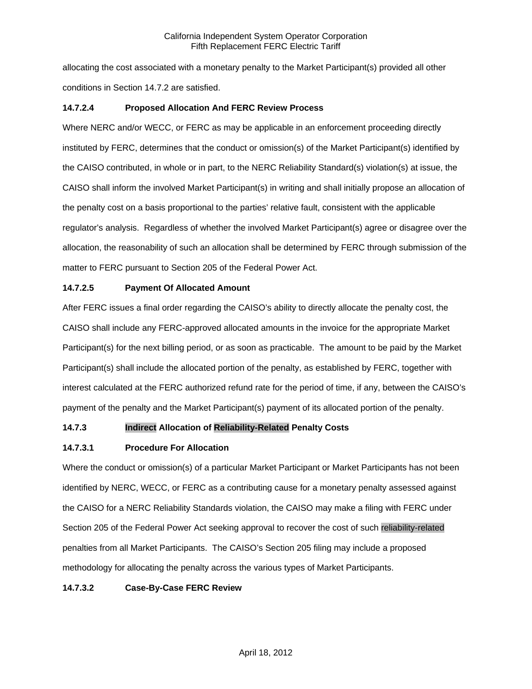allocating the cost associated with a monetary penalty to the Market Participant(s) provided all other conditions in Section 14.7.2 are satisfied.

# **14.7.2.4 Proposed Allocation And FERC Review Process**

Where NERC and/or WECC, or FERC as may be applicable in an enforcement proceeding directly instituted by FERC, determines that the conduct or omission(s) of the Market Participant(s) identified by the CAISO contributed, in whole or in part, to the NERC Reliability Standard(s) violation(s) at issue, the CAISO shall inform the involved Market Participant(s) in writing and shall initially propose an allocation of the penalty cost on a basis proportional to the parties' relative fault, consistent with the applicable regulator's analysis. Regardless of whether the involved Market Participant(s) agree or disagree over the allocation, the reasonability of such an allocation shall be determined by FERC through submission of the matter to FERC pursuant to Section 205 of the Federal Power Act.

# **14.7.2.5 Payment Of Allocated Amount**

After FERC issues a final order regarding the CAISO's ability to directly allocate the penalty cost, the CAISO shall include any FERC-approved allocated amounts in the invoice for the appropriate Market Participant(s) for the next billing period, or as soon as practicable. The amount to be paid by the Market Participant(s) shall include the allocated portion of the penalty, as established by FERC, together with interest calculated at the FERC authorized refund rate for the period of time, if any, between the CAISO's payment of the penalty and the Market Participant(s) payment of its allocated portion of the penalty.

# **14.7.3 Indirect Allocation of Reliability-Related Penalty Costs**

# **14.7.3.1 Procedure For Allocation**

Where the conduct or omission(s) of a particular Market Participant or Market Participants has not been identified by NERC, WECC, or FERC as a contributing cause for a monetary penalty assessed against the CAISO for a NERC Reliability Standards violation, the CAISO may make a filing with FERC under Section 205 of the Federal Power Act seeking approval to recover the cost of such reliability-related penalties from all Market Participants. The CAISO's Section 205 filing may include a proposed methodology for allocating the penalty across the various types of Market Participants.

# **14.7.3.2 Case-By-Case FERC Review**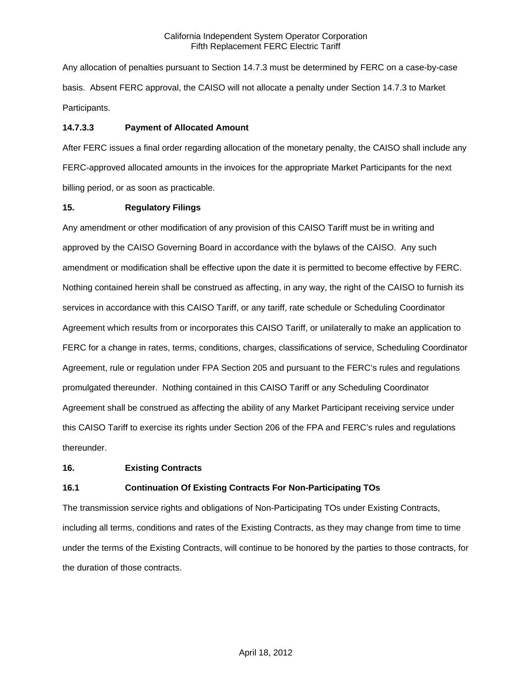Any allocation of penalties pursuant to Section 14.7.3 must be determined by FERC on a case-by-case basis. Absent FERC approval, the CAISO will not allocate a penalty under Section 14.7.3 to Market Participants.

### **14.7.3.3 Payment of Allocated Amount**

After FERC issues a final order regarding allocation of the monetary penalty, the CAISO shall include any FERC-approved allocated amounts in the invoices for the appropriate Market Participants for the next billing period, or as soon as practicable.

### **15. Regulatory Filings**

Any amendment or other modification of any provision of this CAISO Tariff must be in writing and approved by the CAISO Governing Board in accordance with the bylaws of the CAISO. Any such amendment or modification shall be effective upon the date it is permitted to become effective by FERC. Nothing contained herein shall be construed as affecting, in any way, the right of the CAISO to furnish its services in accordance with this CAISO Tariff, or any tariff, rate schedule or Scheduling Coordinator Agreement which results from or incorporates this CAISO Tariff, or unilaterally to make an application to FERC for a change in rates, terms, conditions, charges, classifications of service, Scheduling Coordinator Agreement, rule or regulation under FPA Section 205 and pursuant to the FERC's rules and regulations promulgated thereunder. Nothing contained in this CAISO Tariff or any Scheduling Coordinator Agreement shall be construed as affecting the ability of any Market Participant receiving service under this CAISO Tariff to exercise its rights under Section 206 of the FPA and FERC's rules and regulations thereunder.

# **16. Existing Contracts**

# **16.1 Continuation Of Existing Contracts For Non-Participating TOs**

The transmission service rights and obligations of Non-Participating TOs under Existing Contracts, including all terms, conditions and rates of the Existing Contracts, as they may change from time to time under the terms of the Existing Contracts, will continue to be honored by the parties to those contracts, for the duration of those contracts.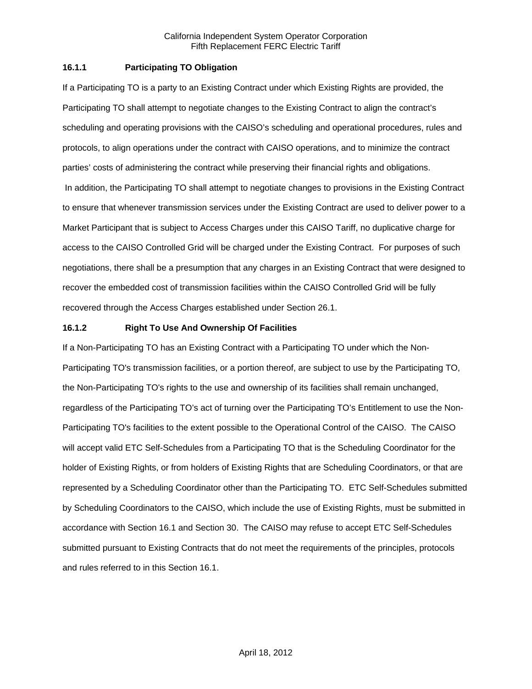### **16.1.1 Participating TO Obligation**

If a Participating TO is a party to an Existing Contract under which Existing Rights are provided, the Participating TO shall attempt to negotiate changes to the Existing Contract to align the contract's scheduling and operating provisions with the CAISO's scheduling and operational procedures, rules and protocols, to align operations under the contract with CAISO operations, and to minimize the contract parties' costs of administering the contract while preserving their financial rights and obligations. In addition, the Participating TO shall attempt to negotiate changes to provisions in the Existing Contract to ensure that whenever transmission services under the Existing Contract are used to deliver power to a Market Participant that is subject to Access Charges under this CAISO Tariff, no duplicative charge for access to the CAISO Controlled Grid will be charged under the Existing Contract. For purposes of such negotiations, there shall be a presumption that any charges in an Existing Contract that were designed to recover the embedded cost of transmission facilities within the CAISO Controlled Grid will be fully recovered through the Access Charges established under Section 26.1.

### **16.1.2 Right To Use And Ownership Of Facilities**

If a Non-Participating TO has an Existing Contract with a Participating TO under which the Non-Participating TO's transmission facilities, or a portion thereof, are subject to use by the Participating TO, the Non-Participating TO's rights to the use and ownership of its facilities shall remain unchanged, regardless of the Participating TO's act of turning over the Participating TO's Entitlement to use the Non-Participating TO's facilities to the extent possible to the Operational Control of the CAISO. The CAISO will accept valid ETC Self-Schedules from a Participating TO that is the Scheduling Coordinator for the holder of Existing Rights, or from holders of Existing Rights that are Scheduling Coordinators, or that are represented by a Scheduling Coordinator other than the Participating TO. ETC Self-Schedules submitted by Scheduling Coordinators to the CAISO, which include the use of Existing Rights, must be submitted in accordance with Section 16.1 and Section 30. The CAISO may refuse to accept ETC Self-Schedules submitted pursuant to Existing Contracts that do not meet the requirements of the principles, protocols and rules referred to in this Section 16.1.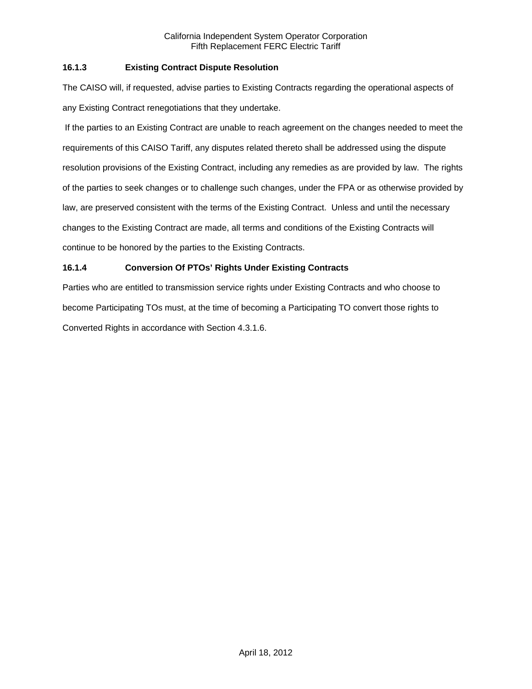# **16.1.3 Existing Contract Dispute Resolution**

The CAISO will, if requested, advise parties to Existing Contracts regarding the operational aspects of any Existing Contract renegotiations that they undertake.

 If the parties to an Existing Contract are unable to reach agreement on the changes needed to meet the requirements of this CAISO Tariff, any disputes related thereto shall be addressed using the dispute resolution provisions of the Existing Contract, including any remedies as are provided by law. The rights of the parties to seek changes or to challenge such changes, under the FPA or as otherwise provided by law, are preserved consistent with the terms of the Existing Contract. Unless and until the necessary changes to the Existing Contract are made, all terms and conditions of the Existing Contracts will continue to be honored by the parties to the Existing Contracts.

# **16.1.4 Conversion Of PTOs' Rights Under Existing Contracts**

Parties who are entitled to transmission service rights under Existing Contracts and who choose to become Participating TOs must, at the time of becoming a Participating TO convert those rights to Converted Rights in accordance with Section 4.3.1.6.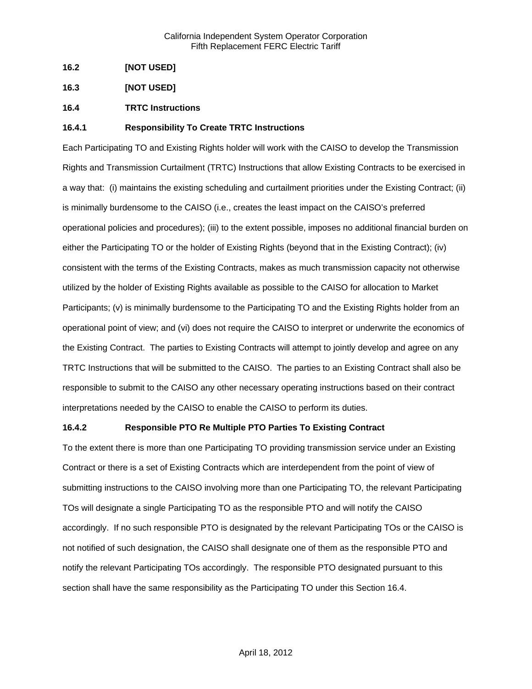- **16.2 [NOT USED]**
- **16.3 [NOT USED]**
- **16.4 TRTC Instructions**

### **16.4.1 Responsibility To Create TRTC Instructions**

Each Participating TO and Existing Rights holder will work with the CAISO to develop the Transmission Rights and Transmission Curtailment (TRTC) Instructions that allow Existing Contracts to be exercised in a way that: (i) maintains the existing scheduling and curtailment priorities under the Existing Contract; (ii) is minimally burdensome to the CAISO (i.e., creates the least impact on the CAISO's preferred operational policies and procedures); (iii) to the extent possible, imposes no additional financial burden on either the Participating TO or the holder of Existing Rights (beyond that in the Existing Contract); (iv) consistent with the terms of the Existing Contracts, makes as much transmission capacity not otherwise utilized by the holder of Existing Rights available as possible to the CAISO for allocation to Market Participants; (v) is minimally burdensome to the Participating TO and the Existing Rights holder from an operational point of view; and (vi) does not require the CAISO to interpret or underwrite the economics of the Existing Contract. The parties to Existing Contracts will attempt to jointly develop and agree on any TRTC Instructions that will be submitted to the CAISO. The parties to an Existing Contract shall also be responsible to submit to the CAISO any other necessary operating instructions based on their contract interpretations needed by the CAISO to enable the CAISO to perform its duties.

#### **16.4.2 Responsible PTO Re Multiple PTO Parties To Existing Contract**

To the extent there is more than one Participating TO providing transmission service under an Existing Contract or there is a set of Existing Contracts which are interdependent from the point of view of submitting instructions to the CAISO involving more than one Participating TO, the relevant Participating TOs will designate a single Participating TO as the responsible PTO and will notify the CAISO accordingly. If no such responsible PTO is designated by the relevant Participating TOs or the CAISO is not notified of such designation, the CAISO shall designate one of them as the responsible PTO and notify the relevant Participating TOs accordingly. The responsible PTO designated pursuant to this section shall have the same responsibility as the Participating TO under this Section 16.4.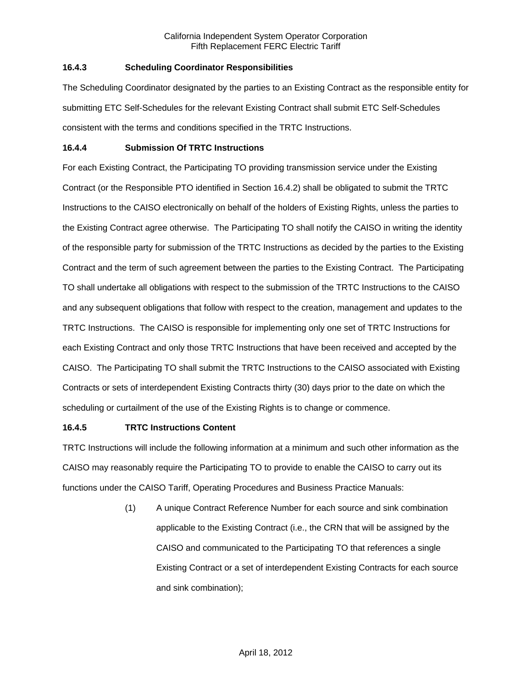# **16.4.3 Scheduling Coordinator Responsibilities**

The Scheduling Coordinator designated by the parties to an Existing Contract as the responsible entity for submitting ETC Self-Schedules for the relevant Existing Contract shall submit ETC Self-Schedules consistent with the terms and conditions specified in the TRTC Instructions.

### **16.4.4 Submission Of TRTC Instructions**

For each Existing Contract, the Participating TO providing transmission service under the Existing Contract (or the Responsible PTO identified in Section 16.4.2) shall be obligated to submit the TRTC Instructions to the CAISO electronically on behalf of the holders of Existing Rights, unless the parties to the Existing Contract agree otherwise. The Participating TO shall notify the CAISO in writing the identity of the responsible party for submission of the TRTC Instructions as decided by the parties to the Existing Contract and the term of such agreement between the parties to the Existing Contract. The Participating TO shall undertake all obligations with respect to the submission of the TRTC Instructions to the CAISO and any subsequent obligations that follow with respect to the creation, management and updates to the TRTC Instructions. The CAISO is responsible for implementing only one set of TRTC Instructions for each Existing Contract and only those TRTC Instructions that have been received and accepted by the CAISO. The Participating TO shall submit the TRTC Instructions to the CAISO associated with Existing Contracts or sets of interdependent Existing Contracts thirty (30) days prior to the date on which the scheduling or curtailment of the use of the Existing Rights is to change or commence.

# **16.4.5 TRTC Instructions Content**

TRTC Instructions will include the following information at a minimum and such other information as the CAISO may reasonably require the Participating TO to provide to enable the CAISO to carry out its functions under the CAISO Tariff, Operating Procedures and Business Practice Manuals:

> (1) A unique Contract Reference Number for each source and sink combination applicable to the Existing Contract (i.e., the CRN that will be assigned by the CAISO and communicated to the Participating TO that references a single Existing Contract or a set of interdependent Existing Contracts for each source and sink combination);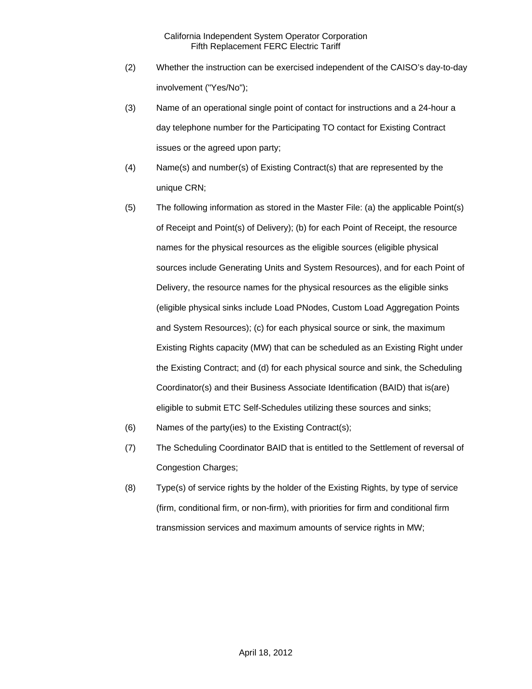- (2) Whether the instruction can be exercised independent of the CAISO's day-to-day involvement ("Yes/No");
- (3) Name of an operational single point of contact for instructions and a 24-hour a day telephone number for the Participating TO contact for Existing Contract issues or the agreed upon party;
- (4) Name(s) and number(s) of Existing Contract(s) that are represented by the unique CRN;
- (5) The following information as stored in the Master File: (a) the applicable Point(s) of Receipt and Point(s) of Delivery); (b) for each Point of Receipt, the resource names for the physical resources as the eligible sources (eligible physical sources include Generating Units and System Resources), and for each Point of Delivery, the resource names for the physical resources as the eligible sinks (eligible physical sinks include Load PNodes, Custom Load Aggregation Points and System Resources); (c) for each physical source or sink, the maximum Existing Rights capacity (MW) that can be scheduled as an Existing Right under the Existing Contract; and (d) for each physical source and sink, the Scheduling Coordinator(s) and their Business Associate Identification (BAID) that is(are) eligible to submit ETC Self-Schedules utilizing these sources and sinks;
- (6) Names of the party(ies) to the Existing Contract(s);
- (7) The Scheduling Coordinator BAID that is entitled to the Settlement of reversal of Congestion Charges;
- (8) Type(s) of service rights by the holder of the Existing Rights, by type of service (firm, conditional firm, or non-firm), with priorities for firm and conditional firm transmission services and maximum amounts of service rights in MW;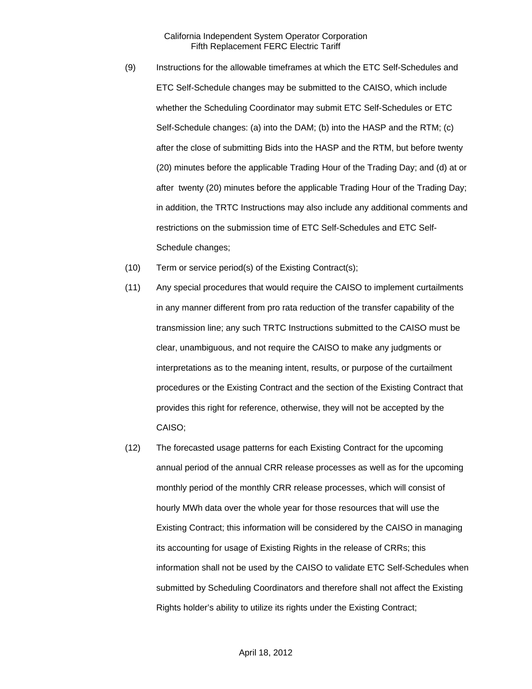- (9) Instructions for the allowable timeframes at which the ETC Self-Schedules and ETC Self-Schedule changes may be submitted to the CAISO, which include whether the Scheduling Coordinator may submit ETC Self-Schedules or ETC Self-Schedule changes: (a) into the DAM; (b) into the HASP and the RTM; (c) after the close of submitting Bids into the HASP and the RTM, but before twenty (20) minutes before the applicable Trading Hour of the Trading Day; and (d) at or after twenty (20) minutes before the applicable Trading Hour of the Trading Day; in addition, the TRTC Instructions may also include any additional comments and restrictions on the submission time of ETC Self-Schedules and ETC Self-Schedule changes;
- (10) Term or service period(s) of the Existing Contract(s);
- (11) Any special procedures that would require the CAISO to implement curtailments in any manner different from pro rata reduction of the transfer capability of the transmission line; any such TRTC Instructions submitted to the CAISO must be clear, unambiguous, and not require the CAISO to make any judgments or interpretations as to the meaning intent, results, or purpose of the curtailment procedures or the Existing Contract and the section of the Existing Contract that provides this right for reference, otherwise, they will not be accepted by the CAISO;
- (12) The forecasted usage patterns for each Existing Contract for the upcoming annual period of the annual CRR release processes as well as for the upcoming monthly period of the monthly CRR release processes, which will consist of hourly MWh data over the whole year for those resources that will use the Existing Contract; this information will be considered by the CAISO in managing its accounting for usage of Existing Rights in the release of CRRs; this information shall not be used by the CAISO to validate ETC Self-Schedules when submitted by Scheduling Coordinators and therefore shall not affect the Existing Rights holder's ability to utilize its rights under the Existing Contract;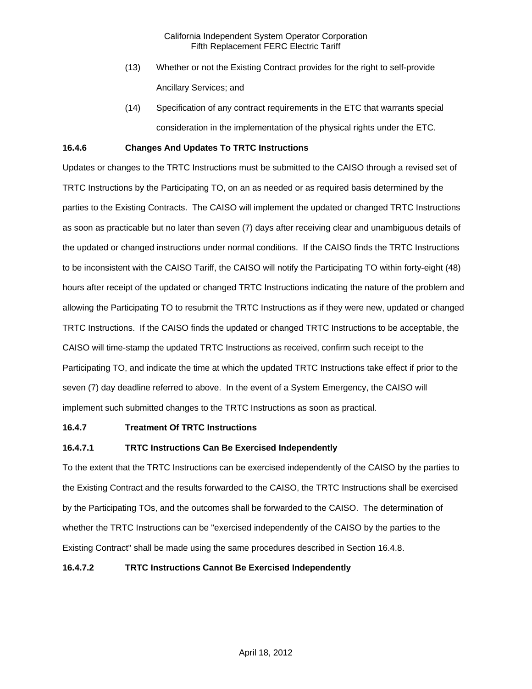- (13) Whether or not the Existing Contract provides for the right to self-provide Ancillary Services; and
- (14) Specification of any contract requirements in the ETC that warrants special consideration in the implementation of the physical rights under the ETC.

### **16.4.6 Changes And Updates To TRTC Instructions**

Updates or changes to the TRTC Instructions must be submitted to the CAISO through a revised set of TRTC Instructions by the Participating TO, on an as needed or as required basis determined by the parties to the Existing Contracts. The CAISO will implement the updated or changed TRTC Instructions as soon as practicable but no later than seven (7) days after receiving clear and unambiguous details of the updated or changed instructions under normal conditions. If the CAISO finds the TRTC Instructions to be inconsistent with the CAISO Tariff, the CAISO will notify the Participating TO within forty-eight (48) hours after receipt of the updated or changed TRTC Instructions indicating the nature of the problem and allowing the Participating TO to resubmit the TRTC Instructions as if they were new, updated or changed TRTC Instructions. If the CAISO finds the updated or changed TRTC Instructions to be acceptable, the CAISO will time-stamp the updated TRTC Instructions as received, confirm such receipt to the Participating TO, and indicate the time at which the updated TRTC Instructions take effect if prior to the seven (7) day deadline referred to above. In the event of a System Emergency, the CAISO will implement such submitted changes to the TRTC Instructions as soon as practical.

#### **16.4.7 Treatment Of TRTC Instructions**

# **16.4.7.1 TRTC Instructions Can Be Exercised Independently**

To the extent that the TRTC Instructions can be exercised independently of the CAISO by the parties to the Existing Contract and the results forwarded to the CAISO, the TRTC Instructions shall be exercised by the Participating TOs, and the outcomes shall be forwarded to the CAISO. The determination of whether the TRTC Instructions can be "exercised independently of the CAISO by the parties to the Existing Contract" shall be made using the same procedures described in Section 16.4.8.

#### **16.4.7.2 TRTC Instructions Cannot Be Exercised Independently**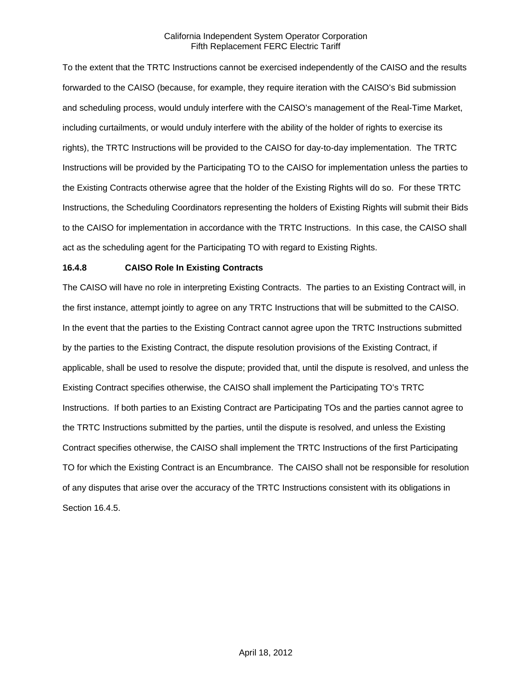To the extent that the TRTC Instructions cannot be exercised independently of the CAISO and the results forwarded to the CAISO (because, for example, they require iteration with the CAISO's Bid submission and scheduling process, would unduly interfere with the CAISO's management of the Real-Time Market, including curtailments, or would unduly interfere with the ability of the holder of rights to exercise its rights), the TRTC Instructions will be provided to the CAISO for day-to-day implementation. The TRTC Instructions will be provided by the Participating TO to the CAISO for implementation unless the parties to the Existing Contracts otherwise agree that the holder of the Existing Rights will do so. For these TRTC Instructions, the Scheduling Coordinators representing the holders of Existing Rights will submit their Bids to the CAISO for implementation in accordance with the TRTC Instructions. In this case, the CAISO shall act as the scheduling agent for the Participating TO with regard to Existing Rights.

### **16.4.8 CAISO Role In Existing Contracts**

The CAISO will have no role in interpreting Existing Contracts. The parties to an Existing Contract will, in the first instance, attempt jointly to agree on any TRTC Instructions that will be submitted to the CAISO. In the event that the parties to the Existing Contract cannot agree upon the TRTC Instructions submitted by the parties to the Existing Contract, the dispute resolution provisions of the Existing Contract, if applicable, shall be used to resolve the dispute; provided that, until the dispute is resolved, and unless the Existing Contract specifies otherwise, the CAISO shall implement the Participating TO's TRTC Instructions. If both parties to an Existing Contract are Participating TOs and the parties cannot agree to the TRTC Instructions submitted by the parties, until the dispute is resolved, and unless the Existing Contract specifies otherwise, the CAISO shall implement the TRTC Instructions of the first Participating TO for which the Existing Contract is an Encumbrance. The CAISO shall not be responsible for resolution of any disputes that arise over the accuracy of the TRTC Instructions consistent with its obligations in Section 16.4.5.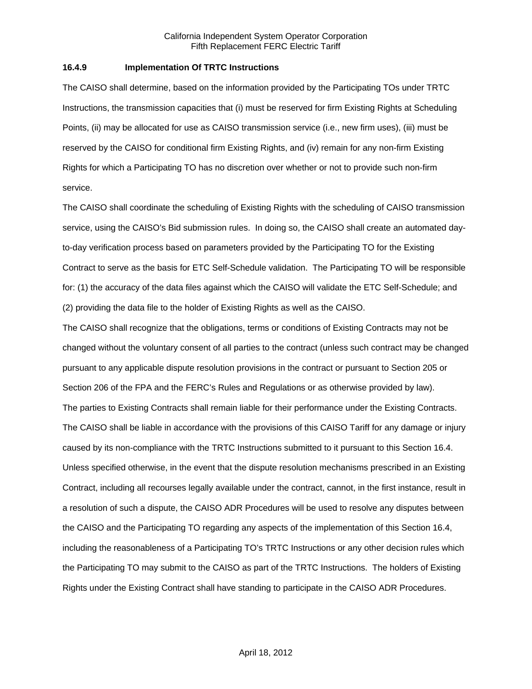#### **16.4.9 Implementation Of TRTC Instructions**

The CAISO shall determine, based on the information provided by the Participating TOs under TRTC Instructions, the transmission capacities that (i) must be reserved for firm Existing Rights at Scheduling Points, (ii) may be allocated for use as CAISO transmission service (i.e., new firm uses), (iii) must be reserved by the CAISO for conditional firm Existing Rights, and (iv) remain for any non-firm Existing Rights for which a Participating TO has no discretion over whether or not to provide such non-firm service.

The CAISO shall coordinate the scheduling of Existing Rights with the scheduling of CAISO transmission service, using the CAISO's Bid submission rules. In doing so, the CAISO shall create an automated dayto-day verification process based on parameters provided by the Participating TO for the Existing Contract to serve as the basis for ETC Self-Schedule validation. The Participating TO will be responsible for: (1) the accuracy of the data files against which the CAISO will validate the ETC Self-Schedule; and (2) providing the data file to the holder of Existing Rights as well as the CAISO.

The CAISO shall recognize that the obligations, terms or conditions of Existing Contracts may not be changed without the voluntary consent of all parties to the contract (unless such contract may be changed pursuant to any applicable dispute resolution provisions in the contract or pursuant to Section 205 or Section 206 of the FPA and the FERC's Rules and Regulations or as otherwise provided by law). The parties to Existing Contracts shall remain liable for their performance under the Existing Contracts. The CAISO shall be liable in accordance with the provisions of this CAISO Tariff for any damage or injury caused by its non-compliance with the TRTC Instructions submitted to it pursuant to this Section 16.4. Unless specified otherwise, in the event that the dispute resolution mechanisms prescribed in an Existing Contract, including all recourses legally available under the contract, cannot, in the first instance, result in a resolution of such a dispute, the CAISO ADR Procedures will be used to resolve any disputes between the CAISO and the Participating TO regarding any aspects of the implementation of this Section 16.4, including the reasonableness of a Participating TO's TRTC Instructions or any other decision rules which the Participating TO may submit to the CAISO as part of the TRTC Instructions. The holders of Existing Rights under the Existing Contract shall have standing to participate in the CAISO ADR Procedures.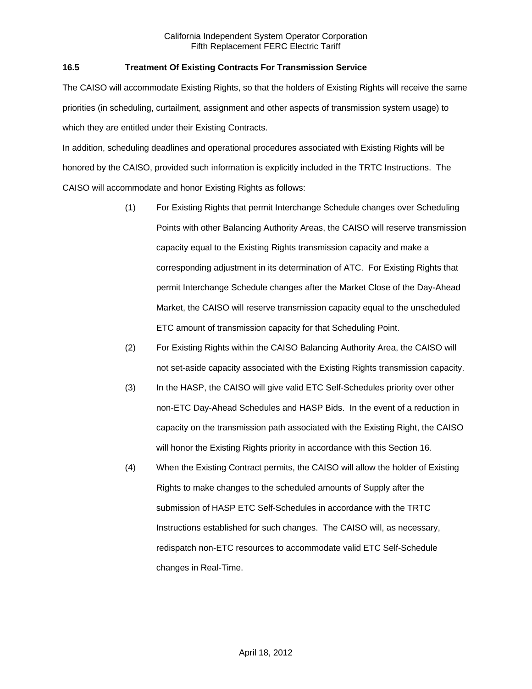# **16.5 Treatment Of Existing Contracts For Transmission Service**

The CAISO will accommodate Existing Rights, so that the holders of Existing Rights will receive the same priorities (in scheduling, curtailment, assignment and other aspects of transmission system usage) to which they are entitled under their Existing Contracts.

In addition, scheduling deadlines and operational procedures associated with Existing Rights will be honored by the CAISO, provided such information is explicitly included in the TRTC Instructions. The CAISO will accommodate and honor Existing Rights as follows:

- (1) For Existing Rights that permit Interchange Schedule changes over Scheduling Points with other Balancing Authority Areas, the CAISO will reserve transmission capacity equal to the Existing Rights transmission capacity and make a corresponding adjustment in its determination of ATC. For Existing Rights that permit Interchange Schedule changes after the Market Close of the Day-Ahead Market, the CAISO will reserve transmission capacity equal to the unscheduled ETC amount of transmission capacity for that Scheduling Point.
- (2) For Existing Rights within the CAISO Balancing Authority Area, the CAISO will not set-aside capacity associated with the Existing Rights transmission capacity.
- (3) In the HASP, the CAISO will give valid ETC Self-Schedules priority over other non-ETC Day-Ahead Schedules and HASP Bids. In the event of a reduction in capacity on the transmission path associated with the Existing Right, the CAISO will honor the Existing Rights priority in accordance with this Section 16.
- (4) When the Existing Contract permits, the CAISO will allow the holder of Existing Rights to make changes to the scheduled amounts of Supply after the submission of HASP ETC Self-Schedules in accordance with the TRTC Instructions established for such changes. The CAISO will, as necessary, redispatch non-ETC resources to accommodate valid ETC Self-Schedule changes in Real-Time.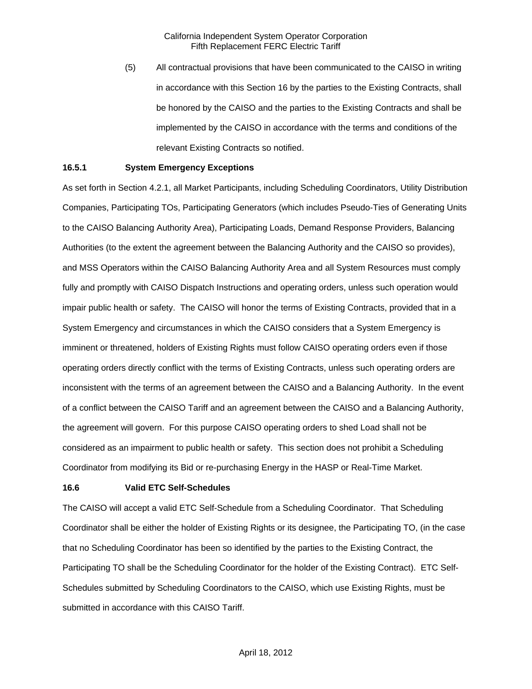(5) All contractual provisions that have been communicated to the CAISO in writing in accordance with this Section 16 by the parties to the Existing Contracts, shall be honored by the CAISO and the parties to the Existing Contracts and shall be implemented by the CAISO in accordance with the terms and conditions of the relevant Existing Contracts so notified.

#### **16.5.1 System Emergency Exceptions**

As set forth in Section 4.2.1, all Market Participants, including Scheduling Coordinators, Utility Distribution Companies, Participating TOs, Participating Generators (which includes Pseudo-Ties of Generating Units to the CAISO Balancing Authority Area), Participating Loads, Demand Response Providers, Balancing Authorities (to the extent the agreement between the Balancing Authority and the CAISO so provides), and MSS Operators within the CAISO Balancing Authority Area and all System Resources must comply fully and promptly with CAISO Dispatch Instructions and operating orders, unless such operation would impair public health or safety. The CAISO will honor the terms of Existing Contracts, provided that in a System Emergency and circumstances in which the CAISO considers that a System Emergency is imminent or threatened, holders of Existing Rights must follow CAISO operating orders even if those operating orders directly conflict with the terms of Existing Contracts, unless such operating orders are inconsistent with the terms of an agreement between the CAISO and a Balancing Authority. In the event of a conflict between the CAISO Tariff and an agreement between the CAISO and a Balancing Authority, the agreement will govern. For this purpose CAISO operating orders to shed Load shall not be considered as an impairment to public health or safety. This section does not prohibit a Scheduling Coordinator from modifying its Bid or re-purchasing Energy in the HASP or Real-Time Market.

#### **16.6 Valid ETC Self-Schedules**

The CAISO will accept a valid ETC Self-Schedule from a Scheduling Coordinator. That Scheduling Coordinator shall be either the holder of Existing Rights or its designee, the Participating TO, (in the case that no Scheduling Coordinator has been so identified by the parties to the Existing Contract, the Participating TO shall be the Scheduling Coordinator for the holder of the Existing Contract). ETC Self-Schedules submitted by Scheduling Coordinators to the CAISO, which use Existing Rights, must be submitted in accordance with this CAISO Tariff.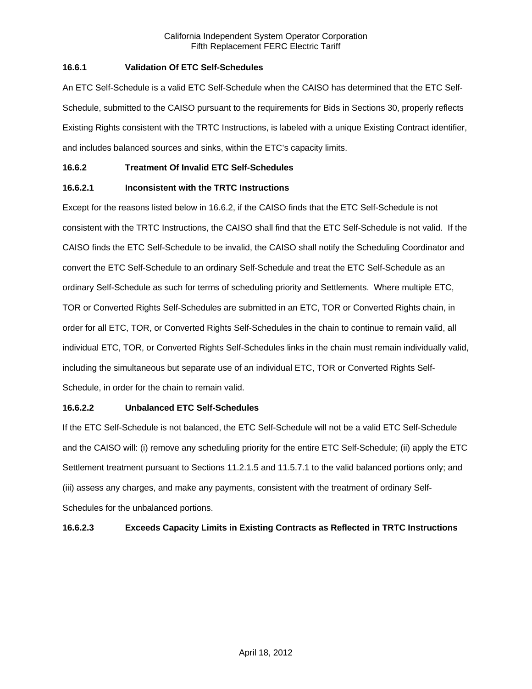# **16.6.1 Validation Of ETC Self-Schedules**

An ETC Self-Schedule is a valid ETC Self-Schedule when the CAISO has determined that the ETC Self-Schedule, submitted to the CAISO pursuant to the requirements for Bids in Sections 30, properly reflects Existing Rights consistent with the TRTC Instructions, is labeled with a unique Existing Contract identifier, and includes balanced sources and sinks, within the ETC's capacity limits.

### **16.6.2 Treatment Of Invalid ETC Self-Schedules**

# **16.6.2.1 Inconsistent with the TRTC Instructions**

Except for the reasons listed below in 16.6.2, if the CAISO finds that the ETC Self-Schedule is not consistent with the TRTC Instructions, the CAISO shall find that the ETC Self-Schedule is not valid. If the CAISO finds the ETC Self-Schedule to be invalid, the CAISO shall notify the Scheduling Coordinator and convert the ETC Self-Schedule to an ordinary Self-Schedule and treat the ETC Self-Schedule as an ordinary Self-Schedule as such for terms of scheduling priority and Settlements. Where multiple ETC, TOR or Converted Rights Self-Schedules are submitted in an ETC, TOR or Converted Rights chain, in order for all ETC, TOR, or Converted Rights Self-Schedules in the chain to continue to remain valid, all individual ETC, TOR, or Converted Rights Self-Schedules links in the chain must remain individually valid, including the simultaneous but separate use of an individual ETC, TOR or Converted Rights Self-Schedule, in order for the chain to remain valid.

#### **16.6.2.2 Unbalanced ETC Self-Schedules**

If the ETC Self-Schedule is not balanced, the ETC Self-Schedule will not be a valid ETC Self-Schedule and the CAISO will: (i) remove any scheduling priority for the entire ETC Self-Schedule; (ii) apply the ETC Settlement treatment pursuant to Sections 11.2.1.5 and 11.5.7.1 to the valid balanced portions only; and (iii) assess any charges, and make any payments, consistent with the treatment of ordinary Self-Schedules for the unbalanced portions.

# **16.6.2.3 Exceeds Capacity Limits in Existing Contracts as Reflected in TRTC Instructions**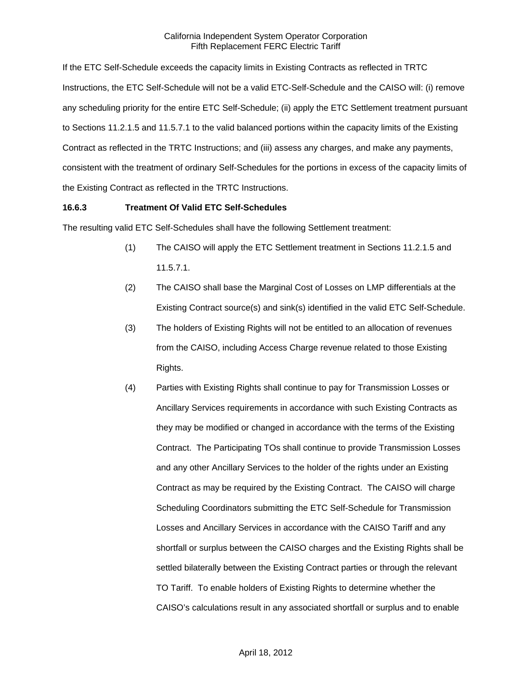If the ETC Self-Schedule exceeds the capacity limits in Existing Contracts as reflected in TRTC Instructions, the ETC Self-Schedule will not be a valid ETC-Self-Schedule and the CAISO will: (i) remove any scheduling priority for the entire ETC Self-Schedule; (ii) apply the ETC Settlement treatment pursuant to Sections 11.2.1.5 and 11.5.7.1 to the valid balanced portions within the capacity limits of the Existing Contract as reflected in the TRTC Instructions; and (iii) assess any charges, and make any payments, consistent with the treatment of ordinary Self-Schedules for the portions in excess of the capacity limits of the Existing Contract as reflected in the TRTC Instructions.

### **16.6.3 Treatment Of Valid ETC Self-Schedules**

The resulting valid ETC Self-Schedules shall have the following Settlement treatment:

- (1) The CAISO will apply the ETC Settlement treatment in Sections 11.2.1.5 and 11.5.7.1.
- (2) The CAISO shall base the Marginal Cost of Losses on LMP differentials at the Existing Contract source(s) and sink(s) identified in the valid ETC Self-Schedule.
- (3) The holders of Existing Rights will not be entitled to an allocation of revenues from the CAISO, including Access Charge revenue related to those Existing Rights.
- (4) Parties with Existing Rights shall continue to pay for Transmission Losses or Ancillary Services requirements in accordance with such Existing Contracts as they may be modified or changed in accordance with the terms of the Existing Contract. The Participating TOs shall continue to provide Transmission Losses and any other Ancillary Services to the holder of the rights under an Existing Contract as may be required by the Existing Contract. The CAISO will charge Scheduling Coordinators submitting the ETC Self-Schedule for Transmission Losses and Ancillary Services in accordance with the CAISO Tariff and any shortfall or surplus between the CAISO charges and the Existing Rights shall be settled bilaterally between the Existing Contract parties or through the relevant TO Tariff. To enable holders of Existing Rights to determine whether the CAISO's calculations result in any associated shortfall or surplus and to enable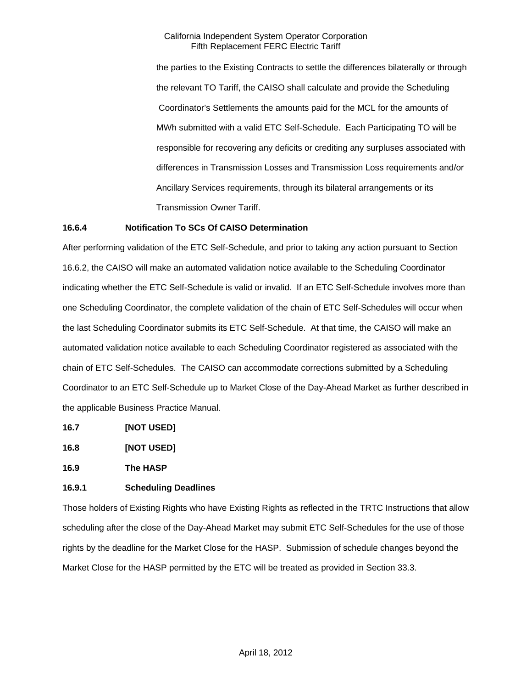the parties to the Existing Contracts to settle the differences bilaterally or through the relevant TO Tariff, the CAISO shall calculate and provide the Scheduling Coordinator's Settlements the amounts paid for the MCL for the amounts of MWh submitted with a valid ETC Self-Schedule. Each Participating TO will be responsible for recovering any deficits or crediting any surpluses associated with differences in Transmission Losses and Transmission Loss requirements and/or Ancillary Services requirements, through its bilateral arrangements or its Transmission Owner Tariff.

### **16.6.4 Notification To SCs Of CAISO Determination**

After performing validation of the ETC Self-Schedule, and prior to taking any action pursuant to Section 16.6.2, the CAISO will make an automated validation notice available to the Scheduling Coordinator indicating whether the ETC Self-Schedule is valid or invalid. If an ETC Self-Schedule involves more than one Scheduling Coordinator, the complete validation of the chain of ETC Self-Schedules will occur when the last Scheduling Coordinator submits its ETC Self-Schedule. At that time, the CAISO will make an automated validation notice available to each Scheduling Coordinator registered as associated with the chain of ETC Self-Schedules. The CAISO can accommodate corrections submitted by a Scheduling Coordinator to an ETC Self-Schedule up to Market Close of the Day-Ahead Market as further described in the applicable Business Practice Manual.

- **16.7 [NOT USED]**
- **16.8 [NOT USED]**

**16.9 The HASP** 

# **16.9.1 Scheduling Deadlines**

Those holders of Existing Rights who have Existing Rights as reflected in the TRTC Instructions that allow scheduling after the close of the Day-Ahead Market may submit ETC Self-Schedules for the use of those rights by the deadline for the Market Close for the HASP. Submission of schedule changes beyond the Market Close for the HASP permitted by the ETC will be treated as provided in Section 33.3.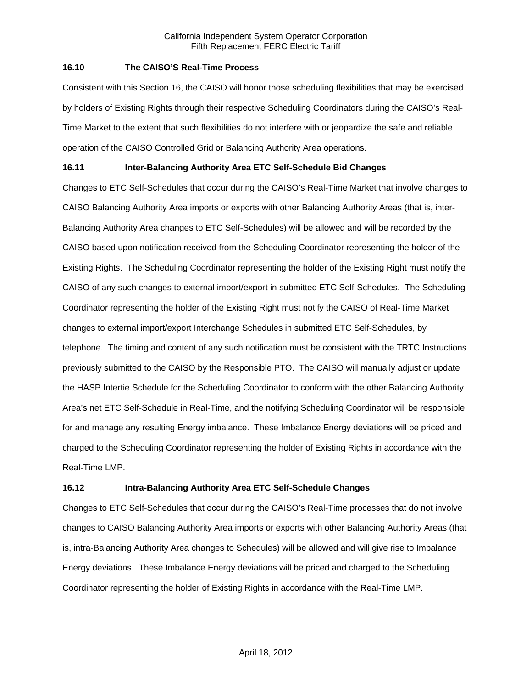### **16.10 The CAISO'S Real-Time Process**

Consistent with this Section 16, the CAISO will honor those scheduling flexibilities that may be exercised by holders of Existing Rights through their respective Scheduling Coordinators during the CAISO's Real-Time Market to the extent that such flexibilities do not interfere with or jeopardize the safe and reliable operation of the CAISO Controlled Grid or Balancing Authority Area operations.

# **16.11 Inter-Balancing Authority Area ETC Self-Schedule Bid Changes**

Changes to ETC Self-Schedules that occur during the CAISO's Real-Time Market that involve changes to CAISO Balancing Authority Area imports or exports with other Balancing Authority Areas (that is, inter-Balancing Authority Area changes to ETC Self-Schedules) will be allowed and will be recorded by the CAISO based upon notification received from the Scheduling Coordinator representing the holder of the Existing Rights. The Scheduling Coordinator representing the holder of the Existing Right must notify the CAISO of any such changes to external import/export in submitted ETC Self-Schedules. The Scheduling Coordinator representing the holder of the Existing Right must notify the CAISO of Real-Time Market changes to external import/export Interchange Schedules in submitted ETC Self-Schedules, by telephone. The timing and content of any such notification must be consistent with the TRTC Instructions previously submitted to the CAISO by the Responsible PTO. The CAISO will manually adjust or update the HASP Intertie Schedule for the Scheduling Coordinator to conform with the other Balancing Authority Area's net ETC Self-Schedule in Real-Time, and the notifying Scheduling Coordinator will be responsible for and manage any resulting Energy imbalance. These Imbalance Energy deviations will be priced and charged to the Scheduling Coordinator representing the holder of Existing Rights in accordance with the Real-Time LMP.

# **16.12 Intra-Balancing Authority Area ETC Self-Schedule Changes**

Changes to ETC Self-Schedules that occur during the CAISO's Real-Time processes that do not involve changes to CAISO Balancing Authority Area imports or exports with other Balancing Authority Areas (that is, intra-Balancing Authority Area changes to Schedules) will be allowed and will give rise to Imbalance Energy deviations. These Imbalance Energy deviations will be priced and charged to the Scheduling Coordinator representing the holder of Existing Rights in accordance with the Real-Time LMP.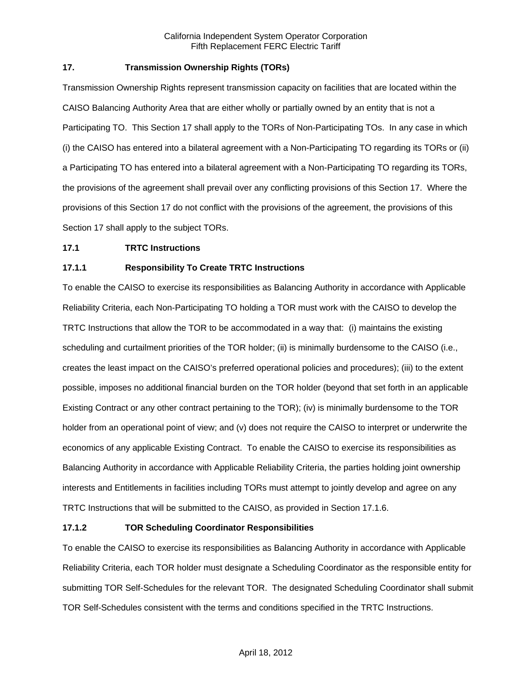# **17. Transmission Ownership Rights (TORs)**

Transmission Ownership Rights represent transmission capacity on facilities that are located within the CAISO Balancing Authority Area that are either wholly or partially owned by an entity that is not a Participating TO. This Section 17 shall apply to the TORs of Non-Participating TOs. In any case in which (i) the CAISO has entered into a bilateral agreement with a Non-Participating TO regarding its TORs or (ii) a Participating TO has entered into a bilateral agreement with a Non-Participating TO regarding its TORs, the provisions of the agreement shall prevail over any conflicting provisions of this Section 17. Where the provisions of this Section 17 do not conflict with the provisions of the agreement, the provisions of this Section 17 shall apply to the subject TORs.

### **17.1 TRTC Instructions**

# **17.1.1 Responsibility To Create TRTC Instructions**

To enable the CAISO to exercise its responsibilities as Balancing Authority in accordance with Applicable Reliability Criteria, each Non-Participating TO holding a TOR must work with the CAISO to develop the TRTC Instructions that allow the TOR to be accommodated in a way that: (i) maintains the existing scheduling and curtailment priorities of the TOR holder; (ii) is minimally burdensome to the CAISO (i.e., creates the least impact on the CAISO's preferred operational policies and procedures); (iii) to the extent possible, imposes no additional financial burden on the TOR holder (beyond that set forth in an applicable Existing Contract or any other contract pertaining to the TOR); (iv) is minimally burdensome to the TOR holder from an operational point of view; and (v) does not require the CAISO to interpret or underwrite the economics of any applicable Existing Contract. To enable the CAISO to exercise its responsibilities as Balancing Authority in accordance with Applicable Reliability Criteria, the parties holding joint ownership interests and Entitlements in facilities including TORs must attempt to jointly develop and agree on any TRTC Instructions that will be submitted to the CAISO, as provided in Section 17.1.6.

# **17.1.2 TOR Scheduling Coordinator Responsibilities**

To enable the CAISO to exercise its responsibilities as Balancing Authority in accordance with Applicable Reliability Criteria, each TOR holder must designate a Scheduling Coordinator as the responsible entity for submitting TOR Self-Schedules for the relevant TOR. The designated Scheduling Coordinator shall submit TOR Self-Schedules consistent with the terms and conditions specified in the TRTC Instructions.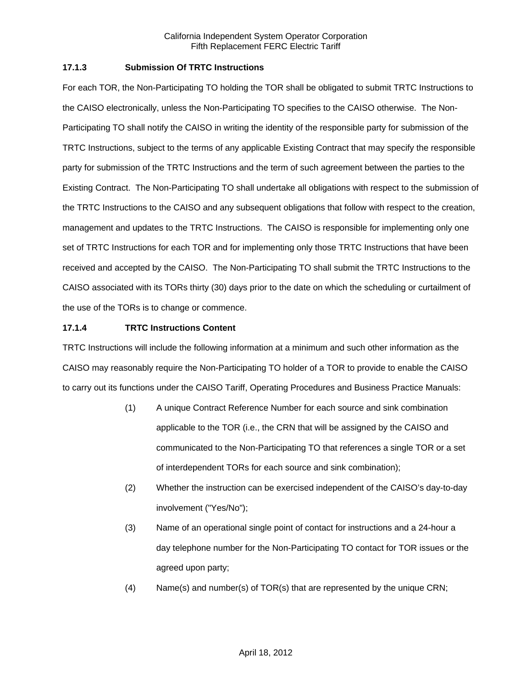### **17.1.3 Submission Of TRTC Instructions**

For each TOR, the Non-Participating TO holding the TOR shall be obligated to submit TRTC Instructions to the CAISO electronically, unless the Non-Participating TO specifies to the CAISO otherwise. The Non-Participating TO shall notify the CAISO in writing the identity of the responsible party for submission of the TRTC Instructions, subject to the terms of any applicable Existing Contract that may specify the responsible party for submission of the TRTC Instructions and the term of such agreement between the parties to the Existing Contract. The Non-Participating TO shall undertake all obligations with respect to the submission of the TRTC Instructions to the CAISO and any subsequent obligations that follow with respect to the creation, management and updates to the TRTC Instructions. The CAISO is responsible for implementing only one set of TRTC Instructions for each TOR and for implementing only those TRTC Instructions that have been received and accepted by the CAISO. The Non-Participating TO shall submit the TRTC Instructions to the CAISO associated with its TORs thirty (30) days prior to the date on which the scheduling or curtailment of the use of the TORs is to change or commence.

### **17.1.4 TRTC Instructions Content**

TRTC Instructions will include the following information at a minimum and such other information as the CAISO may reasonably require the Non-Participating TO holder of a TOR to provide to enable the CAISO to carry out its functions under the CAISO Tariff, Operating Procedures and Business Practice Manuals:

- (1) A unique Contract Reference Number for each source and sink combination applicable to the TOR (i.e., the CRN that will be assigned by the CAISO and communicated to the Non-Participating TO that references a single TOR or a set of interdependent TORs for each source and sink combination);
- (2) Whether the instruction can be exercised independent of the CAISO's day-to-day involvement ("Yes/No");
- (3) Name of an operational single point of contact for instructions and a 24-hour a day telephone number for the Non-Participating TO contact for TOR issues or the agreed upon party;
- (4) Name(s) and number(s) of TOR(s) that are represented by the unique CRN;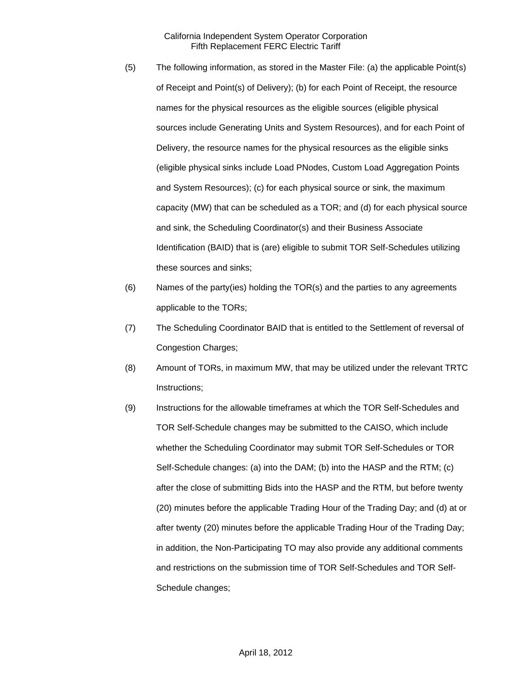- (5) The following information, as stored in the Master File: (a) the applicable Point(s) of Receipt and Point(s) of Delivery); (b) for each Point of Receipt, the resource names for the physical resources as the eligible sources (eligible physical sources include Generating Units and System Resources), and for each Point of Delivery, the resource names for the physical resources as the eligible sinks (eligible physical sinks include Load PNodes, Custom Load Aggregation Points and System Resources); (c) for each physical source or sink, the maximum capacity (MW) that can be scheduled as a TOR; and (d) for each physical source and sink, the Scheduling Coordinator(s) and their Business Associate Identification (BAID) that is (are) eligible to submit TOR Self-Schedules utilizing these sources and sinks;
- (6) Names of the party(ies) holding the TOR(s) and the parties to any agreements applicable to the TORs;
- (7) The Scheduling Coordinator BAID that is entitled to the Settlement of reversal of Congestion Charges;
- (8) Amount of TORs, in maximum MW, that may be utilized under the relevant TRTC Instructions;
- (9) Instructions for the allowable timeframes at which the TOR Self-Schedules and TOR Self-Schedule changes may be submitted to the CAISO, which include whether the Scheduling Coordinator may submit TOR Self-Schedules or TOR Self-Schedule changes: (a) into the DAM; (b) into the HASP and the RTM; (c) after the close of submitting Bids into the HASP and the RTM, but before twenty (20) minutes before the applicable Trading Hour of the Trading Day; and (d) at or after twenty (20) minutes before the applicable Trading Hour of the Trading Day; in addition, the Non-Participating TO may also provide any additional comments and restrictions on the submission time of TOR Self-Schedules and TOR Self-Schedule changes;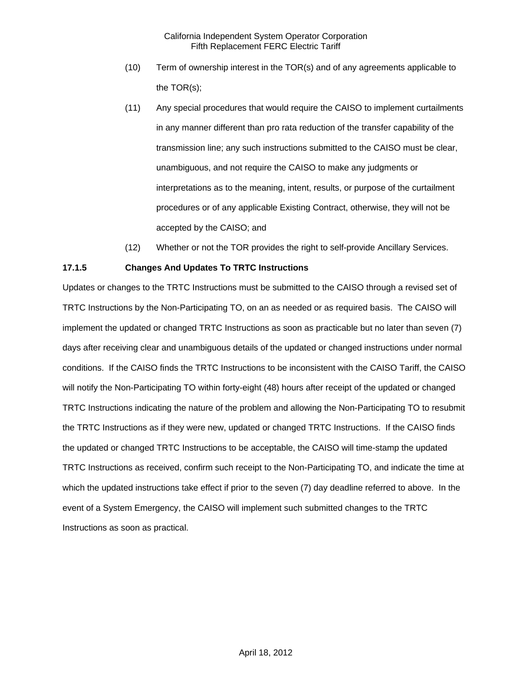- (10) Term of ownership interest in the TOR(s) and of any agreements applicable to the TOR(s);
- (11) Any special procedures that would require the CAISO to implement curtailments in any manner different than pro rata reduction of the transfer capability of the transmission line; any such instructions submitted to the CAISO must be clear, unambiguous, and not require the CAISO to make any judgments or interpretations as to the meaning, intent, results, or purpose of the curtailment procedures or of any applicable Existing Contract, otherwise, they will not be accepted by the CAISO; and
- (12) Whether or not the TOR provides the right to self-provide Ancillary Services.

# **17.1.5 Changes And Updates To TRTC Instructions**

Updates or changes to the TRTC Instructions must be submitted to the CAISO through a revised set of TRTC Instructions by the Non-Participating TO, on an as needed or as required basis. The CAISO will implement the updated or changed TRTC Instructions as soon as practicable but no later than seven (7) days after receiving clear and unambiguous details of the updated or changed instructions under normal conditions. If the CAISO finds the TRTC Instructions to be inconsistent with the CAISO Tariff, the CAISO will notify the Non-Participating TO within forty-eight (48) hours after receipt of the updated or changed TRTC Instructions indicating the nature of the problem and allowing the Non-Participating TO to resubmit the TRTC Instructions as if they were new, updated or changed TRTC Instructions. If the CAISO finds the updated or changed TRTC Instructions to be acceptable, the CAISO will time-stamp the updated TRTC Instructions as received, confirm such receipt to the Non-Participating TO, and indicate the time at which the updated instructions take effect if prior to the seven (7) day deadline referred to above. In the event of a System Emergency, the CAISO will implement such submitted changes to the TRTC Instructions as soon as practical.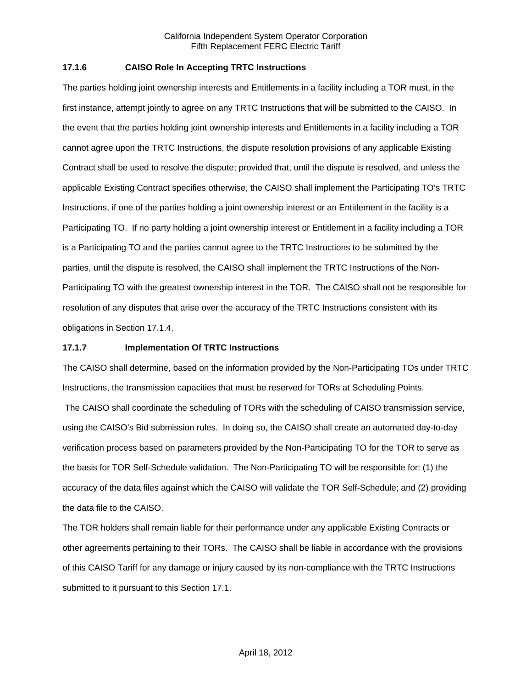### **17.1.6 CAISO Role In Accepting TRTC Instructions**

The parties holding joint ownership interests and Entitlements in a facility including a TOR must, in the first instance, attempt jointly to agree on any TRTC Instructions that will be submitted to the CAISO. In the event that the parties holding joint ownership interests and Entitlements in a facility including a TOR cannot agree upon the TRTC Instructions, the dispute resolution provisions of any applicable Existing Contract shall be used to resolve the dispute; provided that, until the dispute is resolved, and unless the applicable Existing Contract specifies otherwise, the CAISO shall implement the Participating TO's TRTC Instructions, if one of the parties holding a joint ownership interest or an Entitlement in the facility is a Participating TO. If no party holding a joint ownership interest or Entitlement in a facility including a TOR is a Participating TO and the parties cannot agree to the TRTC Instructions to be submitted by the parties, until the dispute is resolved, the CAISO shall implement the TRTC Instructions of the Non-Participating TO with the greatest ownership interest in the TOR. The CAISO shall not be responsible for resolution of any disputes that arise over the accuracy of the TRTC Instructions consistent with its obligations in Section 17.1.4.

#### **17.1.7 Implementation Of TRTC Instructions**

The CAISO shall determine, based on the information provided by the Non-Participating TOs under TRTC Instructions, the transmission capacities that must be reserved for TORs at Scheduling Points.

 The CAISO shall coordinate the scheduling of TORs with the scheduling of CAISO transmission service, using the CAISO's Bid submission rules. In doing so, the CAISO shall create an automated day-to-day verification process based on parameters provided by the Non-Participating TO for the TOR to serve as the basis for TOR Self-Schedule validation. The Non-Participating TO will be responsible for: (1) the accuracy of the data files against which the CAISO will validate the TOR Self-Schedule; and (2) providing the data file to the CAISO.

The TOR holders shall remain liable for their performance under any applicable Existing Contracts or other agreements pertaining to their TORs. The CAISO shall be liable in accordance with the provisions of this CAISO Tariff for any damage or injury caused by its non-compliance with the TRTC Instructions submitted to it pursuant to this Section 17.1.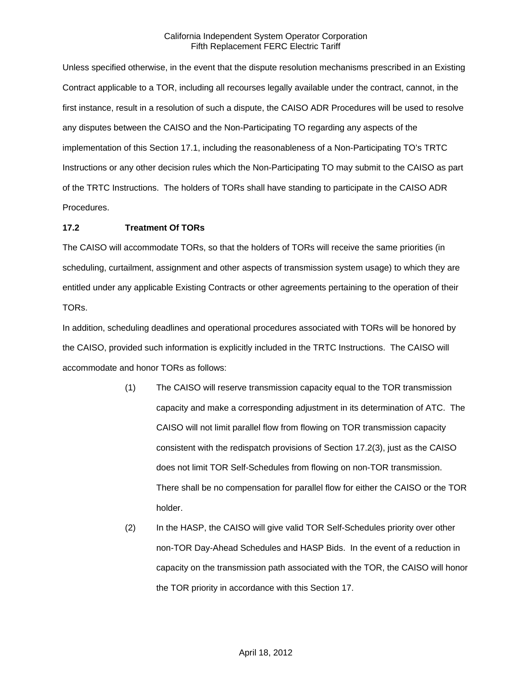Unless specified otherwise, in the event that the dispute resolution mechanisms prescribed in an Existing Contract applicable to a TOR, including all recourses legally available under the contract, cannot, in the first instance, result in a resolution of such a dispute, the CAISO ADR Procedures will be used to resolve any disputes between the CAISO and the Non-Participating TO regarding any aspects of the implementation of this Section 17.1, including the reasonableness of a Non-Participating TO's TRTC Instructions or any other decision rules which the Non-Participating TO may submit to the CAISO as part of the TRTC Instructions. The holders of TORs shall have standing to participate in the CAISO ADR Procedures.

### **17.2 Treatment Of TORs**

The CAISO will accommodate TORs, so that the holders of TORs will receive the same priorities (in scheduling, curtailment, assignment and other aspects of transmission system usage) to which they are entitled under any applicable Existing Contracts or other agreements pertaining to the operation of their TORs.

In addition, scheduling deadlines and operational procedures associated with TORs will be honored by the CAISO, provided such information is explicitly included in the TRTC Instructions. The CAISO will accommodate and honor TORs as follows:

- (1) The CAISO will reserve transmission capacity equal to the TOR transmission capacity and make a corresponding adjustment in its determination of ATC. The CAISO will not limit parallel flow from flowing on TOR transmission capacity consistent with the redispatch provisions of Section 17.2(3), just as the CAISO does not limit TOR Self-Schedules from flowing on non-TOR transmission. There shall be no compensation for parallel flow for either the CAISO or the TOR holder.
- (2) In the HASP, the CAISO will give valid TOR Self-Schedules priority over other non-TOR Day-Ahead Schedules and HASP Bids. In the event of a reduction in capacity on the transmission path associated with the TOR, the CAISO will honor the TOR priority in accordance with this Section 17.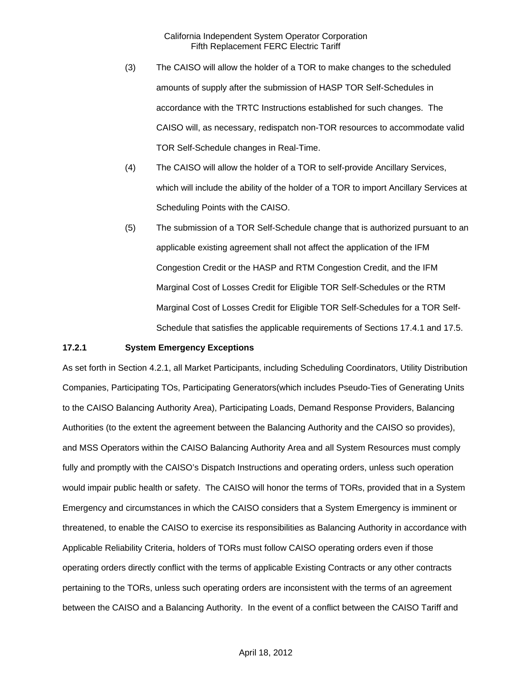- (3) The CAISO will allow the holder of a TOR to make changes to the scheduled amounts of supply after the submission of HASP TOR Self-Schedules in accordance with the TRTC Instructions established for such changes. The CAISO will, as necessary, redispatch non-TOR resources to accommodate valid TOR Self-Schedule changes in Real-Time.
- (4) The CAISO will allow the holder of a TOR to self-provide Ancillary Services, which will include the ability of the holder of a TOR to import Ancillary Services at Scheduling Points with the CAISO.
- (5) The submission of a TOR Self-Schedule change that is authorized pursuant to an applicable existing agreement shall not affect the application of the IFM Congestion Credit or the HASP and RTM Congestion Credit, and the IFM Marginal Cost of Losses Credit for Eligible TOR Self-Schedules or the RTM Marginal Cost of Losses Credit for Eligible TOR Self-Schedules for a TOR Self-Schedule that satisfies the applicable requirements of Sections 17.4.1 and 17.5.

#### **17.2.1 System Emergency Exceptions**

As set forth in Section 4.2.1, all Market Participants, including Scheduling Coordinators, Utility Distribution Companies, Participating TOs, Participating Generators(which includes Pseudo-Ties of Generating Units to the CAISO Balancing Authority Area), Participating Loads, Demand Response Providers, Balancing Authorities (to the extent the agreement between the Balancing Authority and the CAISO so provides), and MSS Operators within the CAISO Balancing Authority Area and all System Resources must comply fully and promptly with the CAISO's Dispatch Instructions and operating orders, unless such operation would impair public health or safety. The CAISO will honor the terms of TORs, provided that in a System Emergency and circumstances in which the CAISO considers that a System Emergency is imminent or threatened, to enable the CAISO to exercise its responsibilities as Balancing Authority in accordance with Applicable Reliability Criteria, holders of TORs must follow CAISO operating orders even if those operating orders directly conflict with the terms of applicable Existing Contracts or any other contracts pertaining to the TORs, unless such operating orders are inconsistent with the terms of an agreement between the CAISO and a Balancing Authority. In the event of a conflict between the CAISO Tariff and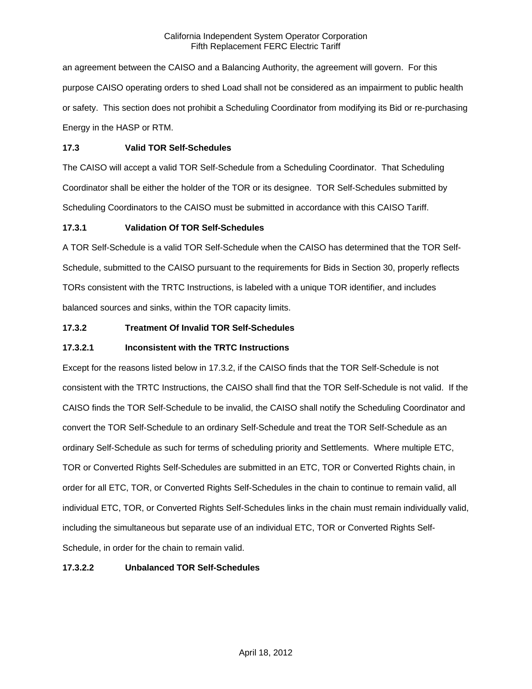an agreement between the CAISO and a Balancing Authority, the agreement will govern. For this purpose CAISO operating orders to shed Load shall not be considered as an impairment to public health or safety. This section does not prohibit a Scheduling Coordinator from modifying its Bid or re-purchasing Energy in the HASP or RTM.

### **17.3 Valid TOR Self-Schedules**

The CAISO will accept a valid TOR Self-Schedule from a Scheduling Coordinator. That Scheduling Coordinator shall be either the holder of the TOR or its designee. TOR Self-Schedules submitted by Scheduling Coordinators to the CAISO must be submitted in accordance with this CAISO Tariff.

# **17.3.1 Validation Of TOR Self-Schedules**

A TOR Self-Schedule is a valid TOR Self-Schedule when the CAISO has determined that the TOR Self-Schedule, submitted to the CAISO pursuant to the requirements for Bids in Section 30, properly reflects TORs consistent with the TRTC Instructions, is labeled with a unique TOR identifier, and includes balanced sources and sinks, within the TOR capacity limits.

# **17.3.2 Treatment Of Invalid TOR Self-Schedules**

# **17.3.2.1 Inconsistent with the TRTC Instructions**

Except for the reasons listed below in 17.3.2, if the CAISO finds that the TOR Self-Schedule is not consistent with the TRTC Instructions, the CAISO shall find that the TOR Self-Schedule is not valid. If the CAISO finds the TOR Self-Schedule to be invalid, the CAISO shall notify the Scheduling Coordinator and convert the TOR Self-Schedule to an ordinary Self-Schedule and treat the TOR Self-Schedule as an ordinary Self-Schedule as such for terms of scheduling priority and Settlements. Where multiple ETC, TOR or Converted Rights Self-Schedules are submitted in an ETC, TOR or Converted Rights chain, in order for all ETC, TOR, or Converted Rights Self-Schedules in the chain to continue to remain valid, all individual ETC, TOR, or Converted Rights Self-Schedules links in the chain must remain individually valid, including the simultaneous but separate use of an individual ETC, TOR or Converted Rights Self-Schedule, in order for the chain to remain valid.

# **17.3.2.2 Unbalanced TOR Self-Schedules**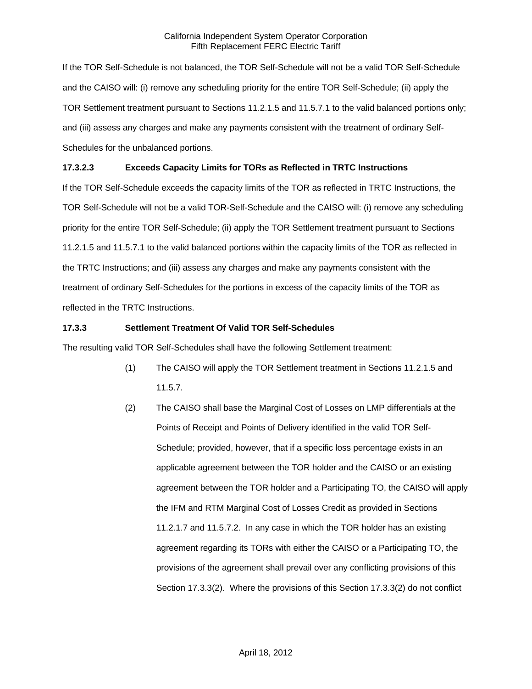If the TOR Self-Schedule is not balanced, the TOR Self-Schedule will not be a valid TOR Self-Schedule and the CAISO will: (i) remove any scheduling priority for the entire TOR Self-Schedule; (ii) apply the TOR Settlement treatment pursuant to Sections 11.2.1.5 and 11.5.7.1 to the valid balanced portions only; and (iii) assess any charges and make any payments consistent with the treatment of ordinary Self-Schedules for the unbalanced portions.

# **17.3.2.3 Exceeds Capacity Limits for TORs as Reflected in TRTC Instructions**

If the TOR Self-Schedule exceeds the capacity limits of the TOR as reflected in TRTC Instructions, the TOR Self-Schedule will not be a valid TOR-Self-Schedule and the CAISO will: (i) remove any scheduling priority for the entire TOR Self-Schedule; (ii) apply the TOR Settlement treatment pursuant to Sections 11.2.1.5 and 11.5.7.1 to the valid balanced portions within the capacity limits of the TOR as reflected in the TRTC Instructions; and (iii) assess any charges and make any payments consistent with the treatment of ordinary Self-Schedules for the portions in excess of the capacity limits of the TOR as reflected in the TRTC Instructions.

# **17.3.3 Settlement Treatment Of Valid TOR Self-Schedules**

The resulting valid TOR Self-Schedules shall have the following Settlement treatment:

- (1) The CAISO will apply the TOR Settlement treatment in Sections 11.2.1.5 and 11.5.7.
- (2) The CAISO shall base the Marginal Cost of Losses on LMP differentials at the Points of Receipt and Points of Delivery identified in the valid TOR Self-Schedule; provided, however, that if a specific loss percentage exists in an applicable agreement between the TOR holder and the CAISO or an existing agreement between the TOR holder and a Participating TO, the CAISO will apply the IFM and RTM Marginal Cost of Losses Credit as provided in Sections 11.2.1.7 and 11.5.7.2. In any case in which the TOR holder has an existing agreement regarding its TORs with either the CAISO or a Participating TO, the provisions of the agreement shall prevail over any conflicting provisions of this Section 17.3.3(2). Where the provisions of this Section 17.3.3(2) do not conflict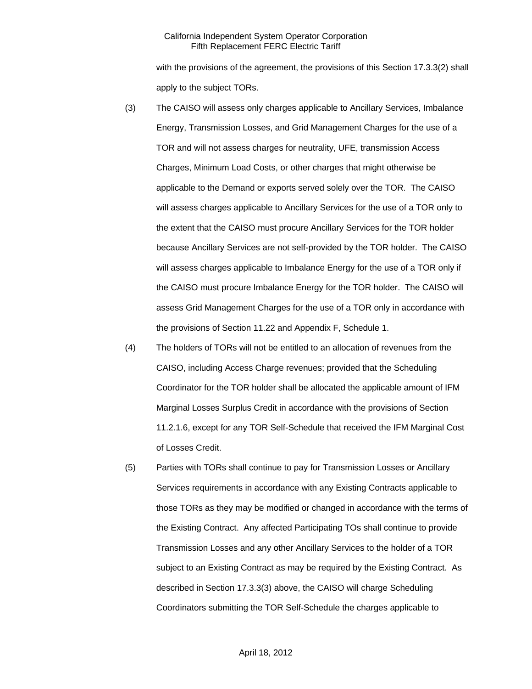with the provisions of the agreement, the provisions of this Section 17.3.3(2) shall apply to the subject TORs.

- (3) The CAISO will assess only charges applicable to Ancillary Services, Imbalance Energy, Transmission Losses, and Grid Management Charges for the use of a TOR and will not assess charges for neutrality, UFE, transmission Access Charges, Minimum Load Costs, or other charges that might otherwise be applicable to the Demand or exports served solely over the TOR. The CAISO will assess charges applicable to Ancillary Services for the use of a TOR only to the extent that the CAISO must procure Ancillary Services for the TOR holder because Ancillary Services are not self-provided by the TOR holder. The CAISO will assess charges applicable to Imbalance Energy for the use of a TOR only if the CAISO must procure Imbalance Energy for the TOR holder. The CAISO will assess Grid Management Charges for the use of a TOR only in accordance with the provisions of Section 11.22 and Appendix F, Schedule 1.
- (4) The holders of TORs will not be entitled to an allocation of revenues from the CAISO, including Access Charge revenues; provided that the Scheduling Coordinator for the TOR holder shall be allocated the applicable amount of IFM Marginal Losses Surplus Credit in accordance with the provisions of Section 11.2.1.6, except for any TOR Self-Schedule that received the IFM Marginal Cost of Losses Credit.
- (5) Parties with TORs shall continue to pay for Transmission Losses or Ancillary Services requirements in accordance with any Existing Contracts applicable to those TORs as they may be modified or changed in accordance with the terms of the Existing Contract. Any affected Participating TOs shall continue to provide Transmission Losses and any other Ancillary Services to the holder of a TOR subject to an Existing Contract as may be required by the Existing Contract. As described in Section 17.3.3(3) above, the CAISO will charge Scheduling Coordinators submitting the TOR Self-Schedule the charges applicable to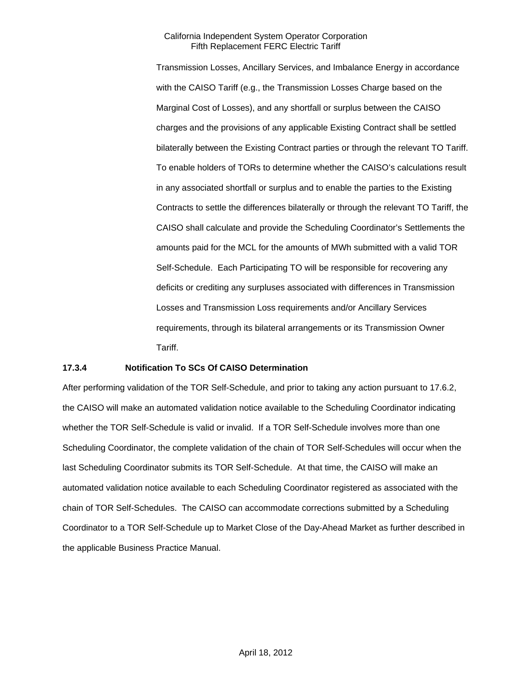Transmission Losses, Ancillary Services, and Imbalance Energy in accordance with the CAISO Tariff (e.g., the Transmission Losses Charge based on the Marginal Cost of Losses), and any shortfall or surplus between the CAISO charges and the provisions of any applicable Existing Contract shall be settled bilaterally between the Existing Contract parties or through the relevant TO Tariff. To enable holders of TORs to determine whether the CAISO's calculations result in any associated shortfall or surplus and to enable the parties to the Existing Contracts to settle the differences bilaterally or through the relevant TO Tariff, the CAISO shall calculate and provide the Scheduling Coordinator's Settlements the amounts paid for the MCL for the amounts of MWh submitted with a valid TOR Self-Schedule. Each Participating TO will be responsible for recovering any deficits or crediting any surpluses associated with differences in Transmission Losses and Transmission Loss requirements and/or Ancillary Services requirements, through its bilateral arrangements or its Transmission Owner Tariff.

## **17.3.4 Notification To SCs Of CAISO Determination**

After performing validation of the TOR Self-Schedule, and prior to taking any action pursuant to 17.6.2, the CAISO will make an automated validation notice available to the Scheduling Coordinator indicating whether the TOR Self-Schedule is valid or invalid. If a TOR Self-Schedule involves more than one Scheduling Coordinator, the complete validation of the chain of TOR Self-Schedules will occur when the last Scheduling Coordinator submits its TOR Self-Schedule. At that time, the CAISO will make an automated validation notice available to each Scheduling Coordinator registered as associated with the chain of TOR Self-Schedules. The CAISO can accommodate corrections submitted by a Scheduling Coordinator to a TOR Self-Schedule up to Market Close of the Day-Ahead Market as further described in the applicable Business Practice Manual.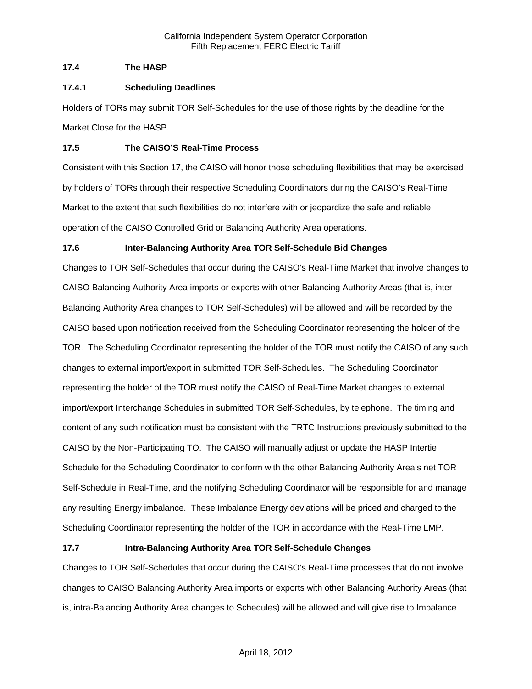# **17.4 The HASP**

# **17.4.1 Scheduling Deadlines**

Holders of TORs may submit TOR Self-Schedules for the use of those rights by the deadline for the Market Close for the HASP.

# **17.5 The CAISO'S Real-Time Process**

Consistent with this Section 17, the CAISO will honor those scheduling flexibilities that may be exercised by holders of TORs through their respective Scheduling Coordinators during the CAISO's Real-Time Market to the extent that such flexibilities do not interfere with or jeopardize the safe and reliable operation of the CAISO Controlled Grid or Balancing Authority Area operations.

# **17.6 Inter-Balancing Authority Area TOR Self-Schedule Bid Changes**

Changes to TOR Self-Schedules that occur during the CAISO's Real-Time Market that involve changes to CAISO Balancing Authority Area imports or exports with other Balancing Authority Areas (that is, inter-Balancing Authority Area changes to TOR Self-Schedules) will be allowed and will be recorded by the CAISO based upon notification received from the Scheduling Coordinator representing the holder of the TOR. The Scheduling Coordinator representing the holder of the TOR must notify the CAISO of any such changes to external import/export in submitted TOR Self-Schedules. The Scheduling Coordinator representing the holder of the TOR must notify the CAISO of Real-Time Market changes to external import/export Interchange Schedules in submitted TOR Self-Schedules, by telephone. The timing and content of any such notification must be consistent with the TRTC Instructions previously submitted to the CAISO by the Non-Participating TO. The CAISO will manually adjust or update the HASP Intertie Schedule for the Scheduling Coordinator to conform with the other Balancing Authority Area's net TOR Self-Schedule in Real-Time, and the notifying Scheduling Coordinator will be responsible for and manage any resulting Energy imbalance. These Imbalance Energy deviations will be priced and charged to the Scheduling Coordinator representing the holder of the TOR in accordance with the Real-Time LMP.

# **17.7 Intra-Balancing Authority Area TOR Self-Schedule Changes**

Changes to TOR Self-Schedules that occur during the CAISO's Real-Time processes that do not involve changes to CAISO Balancing Authority Area imports or exports with other Balancing Authority Areas (that is, intra-Balancing Authority Area changes to Schedules) will be allowed and will give rise to Imbalance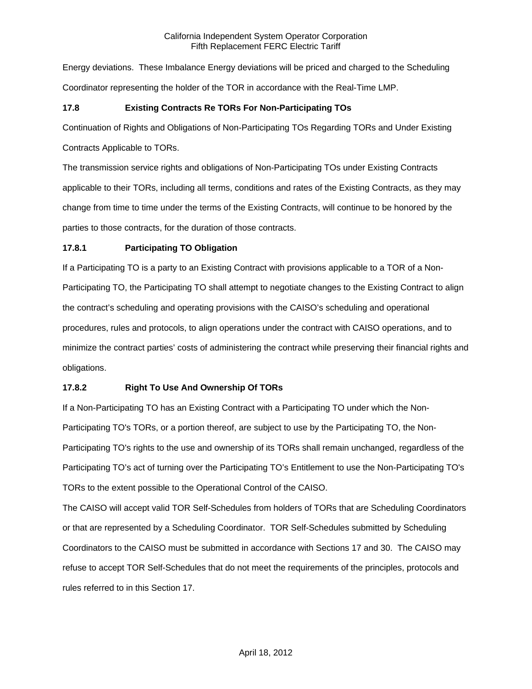Energy deviations. These Imbalance Energy deviations will be priced and charged to the Scheduling Coordinator representing the holder of the TOR in accordance with the Real-Time LMP.

# **17.8 Existing Contracts Re TORs For Non-Participating TOs**

Continuation of Rights and Obligations of Non-Participating TOs Regarding TORs and Under Existing

Contracts Applicable to TORs.

The transmission service rights and obligations of Non-Participating TOs under Existing Contracts applicable to their TORs, including all terms, conditions and rates of the Existing Contracts, as they may change from time to time under the terms of the Existing Contracts, will continue to be honored by the parties to those contracts, for the duration of those contracts.

# **17.8.1 Participating TO Obligation**

If a Participating TO is a party to an Existing Contract with provisions applicable to a TOR of a Non-Participating TO, the Participating TO shall attempt to negotiate changes to the Existing Contract to align the contract's scheduling and operating provisions with the CAISO's scheduling and operational procedures, rules and protocols, to align operations under the contract with CAISO operations, and to minimize the contract parties' costs of administering the contract while preserving their financial rights and obligations.

# **17.8.2 Right To Use And Ownership Of TORs**

If a Non-Participating TO has an Existing Contract with a Participating TO under which the Non-Participating TO's TORs, or a portion thereof, are subject to use by the Participating TO, the Non-Participating TO's rights to the use and ownership of its TORs shall remain unchanged, regardless of the Participating TO's act of turning over the Participating TO's Entitlement to use the Non-Participating TO's TORs to the extent possible to the Operational Control of the CAISO.

The CAISO will accept valid TOR Self-Schedules from holders of TORs that are Scheduling Coordinators or that are represented by a Scheduling Coordinator. TOR Self-Schedules submitted by Scheduling Coordinators to the CAISO must be submitted in accordance with Sections 17 and 30. The CAISO may refuse to accept TOR Self-Schedules that do not meet the requirements of the principles, protocols and rules referred to in this Section 17.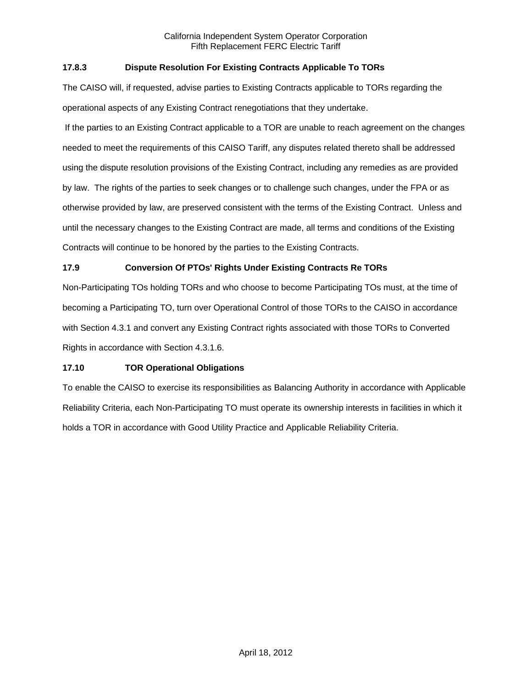# **17.8.3 Dispute Resolution For Existing Contracts Applicable To TORs**

The CAISO will, if requested, advise parties to Existing Contracts applicable to TORs regarding the operational aspects of any Existing Contract renegotiations that they undertake.

 If the parties to an Existing Contract applicable to a TOR are unable to reach agreement on the changes needed to meet the requirements of this CAISO Tariff, any disputes related thereto shall be addressed using the dispute resolution provisions of the Existing Contract, including any remedies as are provided by law. The rights of the parties to seek changes or to challenge such changes, under the FPA or as otherwise provided by law, are preserved consistent with the terms of the Existing Contract. Unless and until the necessary changes to the Existing Contract are made, all terms and conditions of the Existing Contracts will continue to be honored by the parties to the Existing Contracts.

# **17.9 Conversion Of PTOs' Rights Under Existing Contracts Re TORs**

Non-Participating TOs holding TORs and who choose to become Participating TOs must, at the time of becoming a Participating TO, turn over Operational Control of those TORs to the CAISO in accordance with Section 4.3.1 and convert any Existing Contract rights associated with those TORs to Converted Rights in accordance with Section 4.3.1.6.

# **17.10 TOR Operational Obligations**

To enable the CAISO to exercise its responsibilities as Balancing Authority in accordance with Applicable Reliability Criteria, each Non-Participating TO must operate its ownership interests in facilities in which it holds a TOR in accordance with Good Utility Practice and Applicable Reliability Criteria.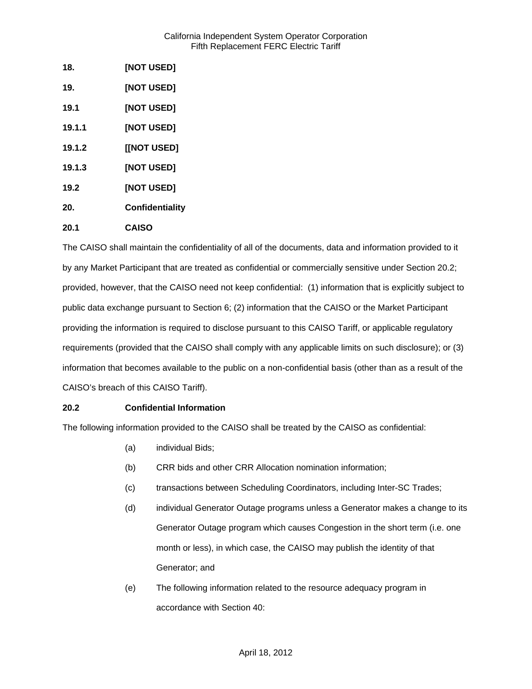| 18.    | [NOT USED]             |
|--------|------------------------|
| 19.    | [NOT USED]             |
| 19.1   | [NOT USED]             |
| 19.1.1 | [NOT USED]             |
| 19.1.2 | [[NOT USED]            |
| 19.1.3 | [NOT USED]             |
| 19.2   | <b>[NOT USED]</b>      |
| 20.    | <b>Confidentiality</b> |
| 20.1   | <b>CAISO</b>           |

The CAISO shall maintain the confidentiality of all of the documents, data and information provided to it by any Market Participant that are treated as confidential or commercially sensitive under Section 20.2; provided, however, that the CAISO need not keep confidential: (1) information that is explicitly subject to public data exchange pursuant to Section 6; (2) information that the CAISO or the Market Participant providing the information is required to disclose pursuant to this CAISO Tariff, or applicable regulatory requirements (provided that the CAISO shall comply with any applicable limits on such disclosure); or (3) information that becomes available to the public on a non-confidential basis (other than as a result of the CAISO's breach of this CAISO Tariff).

# **20.2 Confidential Information**

The following information provided to the CAISO shall be treated by the CAISO as confidential:

- (a) individual Bids;
- (b) CRR bids and other CRR Allocation nomination information;
- (c) transactions between Scheduling Coordinators, including Inter-SC Trades;
- (d) individual Generator Outage programs unless a Generator makes a change to its Generator Outage program which causes Congestion in the short term (i.e. one month or less), in which case, the CAISO may publish the identity of that Generator; and
- (e) The following information related to the resource adequacy program in accordance with Section 40: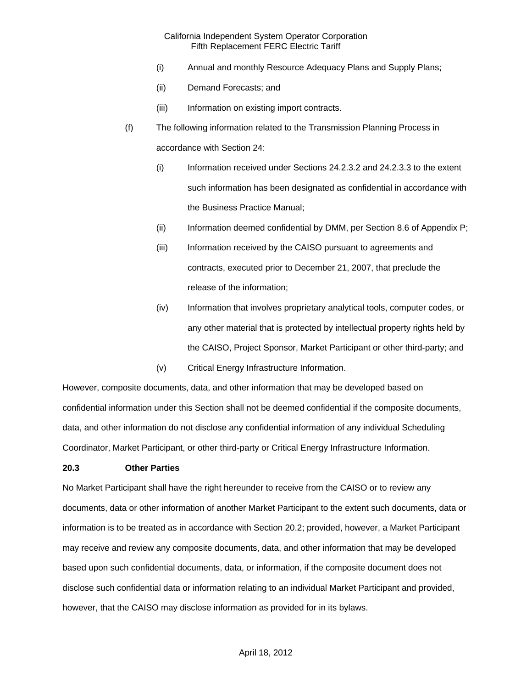- (i) Annual and monthly Resource Adequacy Plans and Supply Plans;
- (ii) Demand Forecasts; and
- (iii) Information on existing import contracts.
- (f) The following information related to the Transmission Planning Process in accordance with Section 24:
	- (i) Information received under Sections 24.2.3.2 and 24.2.3.3 to the extent such information has been designated as confidential in accordance with the Business Practice Manual;
	- (ii) Information deemed confidential by DMM, per Section 8.6 of Appendix P;
	- (iii) Information received by the CAISO pursuant to agreements and contracts, executed prior to December 21, 2007, that preclude the release of the information;
	- (iv) Information that involves proprietary analytical tools, computer codes, or any other material that is protected by intellectual property rights held by the CAISO, Project Sponsor, Market Participant or other third-party; and
	- (v) Critical Energy Infrastructure Information.

However, composite documents, data, and other information that may be developed based on confidential information under this Section shall not be deemed confidential if the composite documents, data, and other information do not disclose any confidential information of any individual Scheduling Coordinator, Market Participant, or other third-party or Critical Energy Infrastructure Information.

## **20.3 Other Parties**

No Market Participant shall have the right hereunder to receive from the CAISO or to review any documents, data or other information of another Market Participant to the extent such documents, data or information is to be treated as in accordance with Section 20.2; provided, however, a Market Participant may receive and review any composite documents, data, and other information that may be developed based upon such confidential documents, data, or information, if the composite document does not disclose such confidential data or information relating to an individual Market Participant and provided, however, that the CAISO may disclose information as provided for in its bylaws.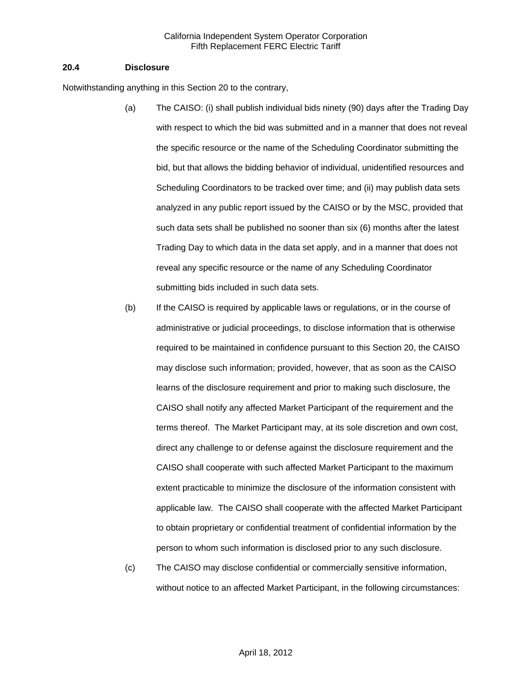#### **20.4 Disclosure**

Notwithstanding anything in this Section 20 to the contrary,

- (a) The CAISO: (i) shall publish individual bids ninety (90) days after the Trading Day with respect to which the bid was submitted and in a manner that does not reveal the specific resource or the name of the Scheduling Coordinator submitting the bid, but that allows the bidding behavior of individual, unidentified resources and Scheduling Coordinators to be tracked over time; and (ii) may publish data sets analyzed in any public report issued by the CAISO or by the MSC, provided that such data sets shall be published no sooner than six (6) months after the latest Trading Day to which data in the data set apply, and in a manner that does not reveal any specific resource or the name of any Scheduling Coordinator submitting bids included in such data sets.
- (b) If the CAISO is required by applicable laws or regulations, or in the course of administrative or judicial proceedings, to disclose information that is otherwise required to be maintained in confidence pursuant to this Section 20, the CAISO may disclose such information; provided, however, that as soon as the CAISO learns of the disclosure requirement and prior to making such disclosure, the CAISO shall notify any affected Market Participant of the requirement and the terms thereof. The Market Participant may, at its sole discretion and own cost, direct any challenge to or defense against the disclosure requirement and the CAISO shall cooperate with such affected Market Participant to the maximum extent practicable to minimize the disclosure of the information consistent with applicable law. The CAISO shall cooperate with the affected Market Participant to obtain proprietary or confidential treatment of confidential information by the person to whom such information is disclosed prior to any such disclosure.
- (c) The CAISO may disclose confidential or commercially sensitive information, without notice to an affected Market Participant, in the following circumstances: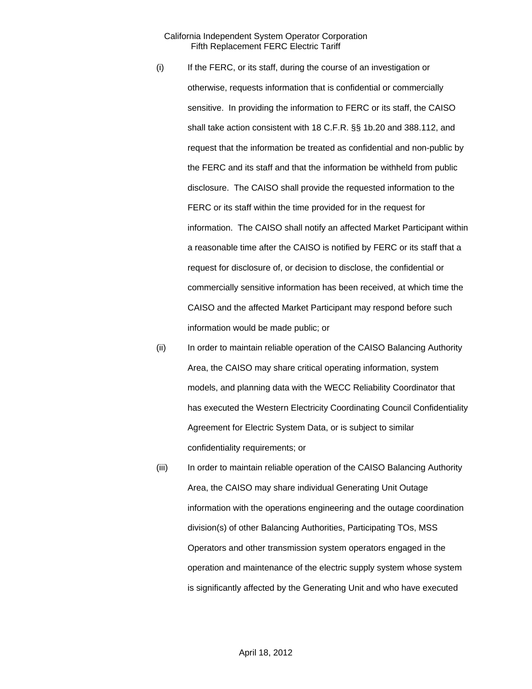- (i) If the FERC, or its staff, during the course of an investigation or otherwise, requests information that is confidential or commercially sensitive. In providing the information to FERC or its staff, the CAISO shall take action consistent with 18 C.F.R. §§ 1b.20 and 388.112, and request that the information be treated as confidential and non-public by the FERC and its staff and that the information be withheld from public disclosure. The CAISO shall provide the requested information to the FERC or its staff within the time provided for in the request for information. The CAISO shall notify an affected Market Participant within a reasonable time after the CAISO is notified by FERC or its staff that a request for disclosure of, or decision to disclose, the confidential or commercially sensitive information has been received, at which time the CAISO and the affected Market Participant may respond before such information would be made public; or
- (ii) In order to maintain reliable operation of the CAISO Balancing Authority Area, the CAISO may share critical operating information, system models, and planning data with the WECC Reliability Coordinator that has executed the Western Electricity Coordinating Council Confidentiality Agreement for Electric System Data, or is subject to similar confidentiality requirements; or
- (iii) In order to maintain reliable operation of the CAISO Balancing Authority Area, the CAISO may share individual Generating Unit Outage information with the operations engineering and the outage coordination division(s) of other Balancing Authorities, Participating TOs, MSS Operators and other transmission system operators engaged in the operation and maintenance of the electric supply system whose system is significantly affected by the Generating Unit and who have executed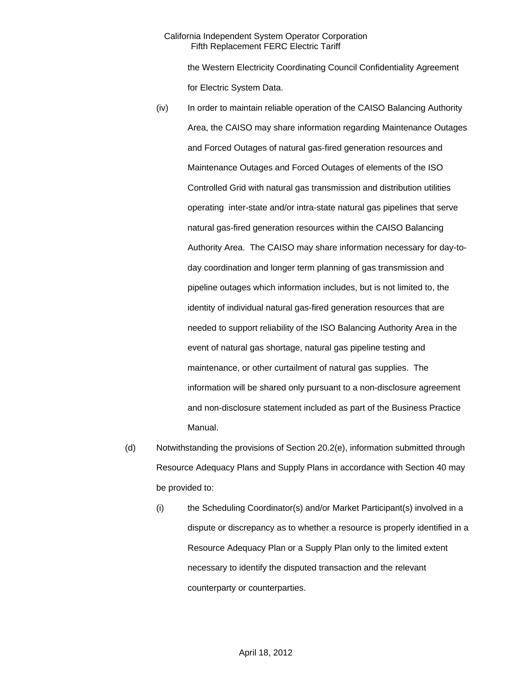the Western Electricity Coordinating Council Confidentiality Agreement for Electric System Data.

- (iv) In order to maintain reliable operation of the CAISO Balancing Authority Area, the CAISO may share information regarding Maintenance Outages and Forced Outages of natural gas-fired generation resources and Maintenance Outages and Forced Outages of elements of the ISO Controlled Grid with natural gas transmission and distribution utilities operating inter-state and/or intra-state natural gas pipelines that serve natural gas-fired generation resources within the CAISO Balancing Authority Area. The CAISO may share information necessary for day-today coordination and longer term planning of gas transmission and pipeline outages which information includes, but is not limited to, the identity of individual natural gas-fired generation resources that are needed to support reliability of the ISO Balancing Authority Area in the event of natural gas shortage, natural gas pipeline testing and maintenance, or other curtailment of natural gas supplies. The information will be shared only pursuant to a non-disclosure agreement and non-disclosure statement included as part of the Business Practice Manual.
- (d) Notwithstanding the provisions of Section 20.2(e), information submitted through Resource Adequacy Plans and Supply Plans in accordance with Section 40 may be provided to:
	- (i) the Scheduling Coordinator(s) and/or Market Participant(s) involved in a dispute or discrepancy as to whether a resource is properly identified in a Resource Adequacy Plan or a Supply Plan only to the limited extent necessary to identify the disputed transaction and the relevant counterparty or counterparties.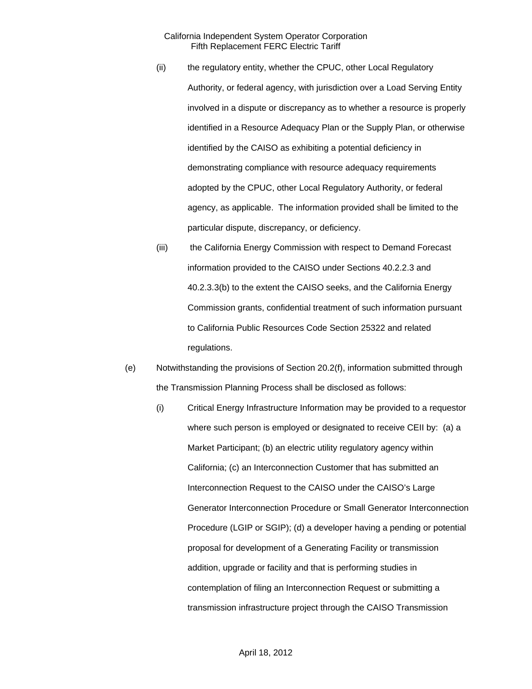- (ii) the regulatory entity, whether the CPUC, other Local Regulatory Authority, or federal agency, with jurisdiction over a Load Serving Entity involved in a dispute or discrepancy as to whether a resource is properly identified in a Resource Adequacy Plan or the Supply Plan, or otherwise identified by the CAISO as exhibiting a potential deficiency in demonstrating compliance with resource adequacy requirements adopted by the CPUC, other Local Regulatory Authority, or federal agency, as applicable. The information provided shall be limited to the particular dispute, discrepancy, or deficiency.
- (iii) the California Energy Commission with respect to Demand Forecast information provided to the CAISO under Sections 40.2.2.3 and 40.2.3.3(b) to the extent the CAISO seeks, and the California Energy Commission grants, confidential treatment of such information pursuant to California Public Resources Code Section 25322 and related regulations.
- (e) Notwithstanding the provisions of Section 20.2(f), information submitted through the Transmission Planning Process shall be disclosed as follows:
	- (i) Critical Energy Infrastructure Information may be provided to a requestor where such person is employed or designated to receive CEII by: (a) a Market Participant; (b) an electric utility regulatory agency within California; (c) an Interconnection Customer that has submitted an Interconnection Request to the CAISO under the CAISO's Large Generator Interconnection Procedure or Small Generator Interconnection Procedure (LGIP or SGIP); (d) a developer having a pending or potential proposal for development of a Generating Facility or transmission addition, upgrade or facility and that is performing studies in contemplation of filing an Interconnection Request or submitting a transmission infrastructure project through the CAISO Transmission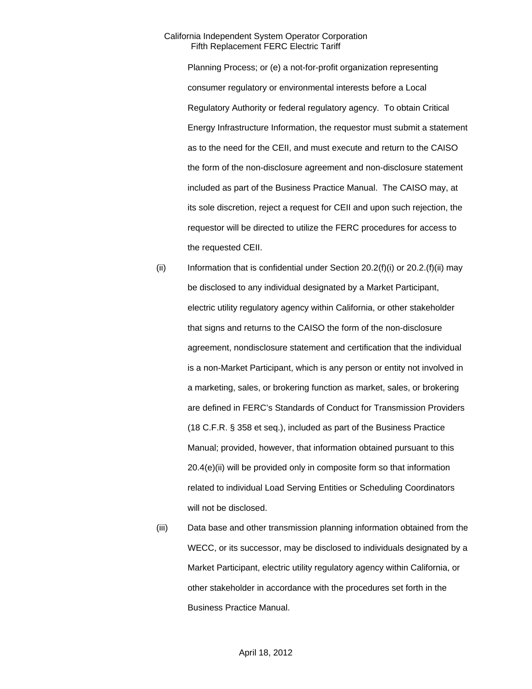Planning Process; or (e) a not-for-profit organization representing consumer regulatory or environmental interests before a Local Regulatory Authority or federal regulatory agency. To obtain Critical Energy Infrastructure Information, the requestor must submit a statement as to the need for the CEII, and must execute and return to the CAISO the form of the non-disclosure agreement and non-disclosure statement included as part of the Business Practice Manual. The CAISO may, at its sole discretion, reject a request for CEII and upon such rejection, the requestor will be directed to utilize the FERC procedures for access to the requested CEII.

- (ii) Information that is confidential under Section  $20.2(f)(i)$  or  $20.2(f)(ii)$  may be disclosed to any individual designated by a Market Participant, electric utility regulatory agency within California, or other stakeholder that signs and returns to the CAISO the form of the non-disclosure agreement, nondisclosure statement and certification that the individual is a non-Market Participant, which is any person or entity not involved in a marketing, sales, or brokering function as market, sales, or brokering are defined in FERC's Standards of Conduct for Transmission Providers (18 C.F.R. § 358 et seq.), included as part of the Business Practice Manual; provided, however, that information obtained pursuant to this 20.4(e)(ii) will be provided only in composite form so that information related to individual Load Serving Entities or Scheduling Coordinators will not be disclosed.
- (iii) Data base and other transmission planning information obtained from the WECC, or its successor, may be disclosed to individuals designated by a Market Participant, electric utility regulatory agency within California, or other stakeholder in accordance with the procedures set forth in the Business Practice Manual.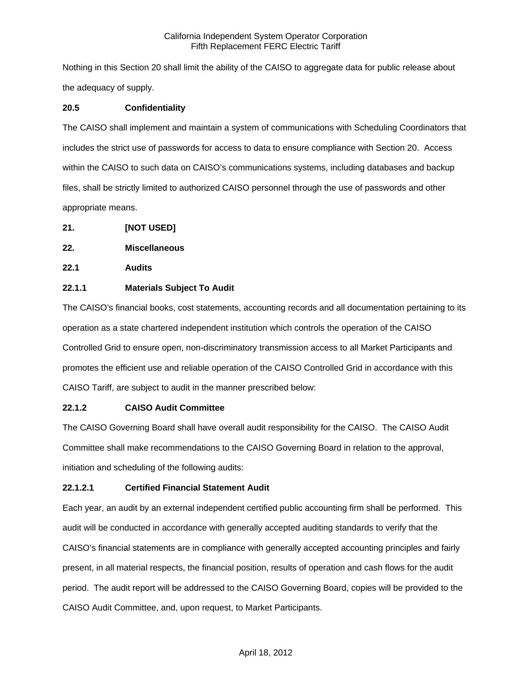Nothing in this Section 20 shall limit the ability of the CAISO to aggregate data for public release about the adequacy of supply.

# **20.5 Confidentiality**

The CAISO shall implement and maintain a system of communications with Scheduling Coordinators that includes the strict use of passwords for access to data to ensure compliance with Section 20. Access within the CAISO to such data on CAISO's communications systems, including databases and backup files, shall be strictly limited to authorized CAISO personnel through the use of passwords and other appropriate means.

- **21. [NOT USED]**
- **22. Miscellaneous**
- **22.1 Audits**

## **22.1.1 Materials Subject To Audit**

The CAISO's financial books, cost statements, accounting records and all documentation pertaining to its operation as a state chartered independent institution which controls the operation of the CAISO Controlled Grid to ensure open, non-discriminatory transmission access to all Market Participants and promotes the efficient use and reliable operation of the CAISO Controlled Grid in accordance with this CAISO Tariff, are subject to audit in the manner prescribed below:

# **22.1.2 CAISO Audit Committee**

The CAISO Governing Board shall have overall audit responsibility for the CAISO. The CAISO Audit Committee shall make recommendations to the CAISO Governing Board in relation to the approval, initiation and scheduling of the following audits:

# **22.1.2.1 Certified Financial Statement Audit**

Each year, an audit by an external independent certified public accounting firm shall be performed. This audit will be conducted in accordance with generally accepted auditing standards to verify that the CAISO's financial statements are in compliance with generally accepted accounting principles and fairly present, in all material respects, the financial position, results of operation and cash flows for the audit period. The audit report will be addressed to the CAISO Governing Board, copies will be provided to the CAISO Audit Committee, and, upon request, to Market Participants.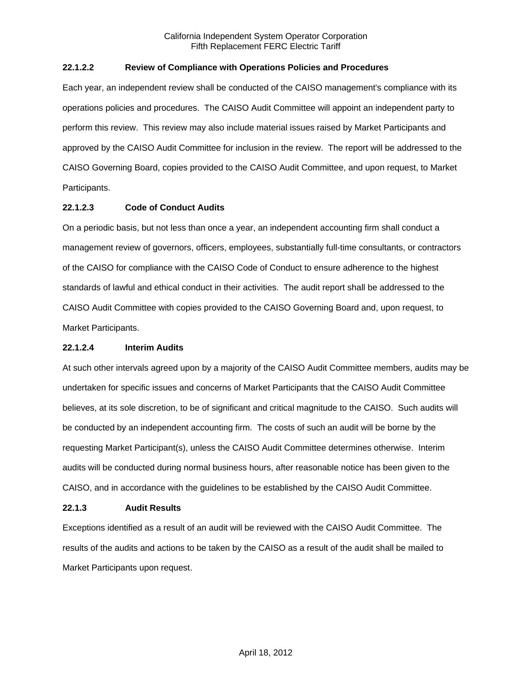## **22.1.2.2 Review of Compliance with Operations Policies and Procedures**

Each year, an independent review shall be conducted of the CAISO management's compliance with its operations policies and procedures. The CAISO Audit Committee will appoint an independent party to perform this review. This review may also include material issues raised by Market Participants and approved by the CAISO Audit Committee for inclusion in the review. The report will be addressed to the CAISO Governing Board, copies provided to the CAISO Audit Committee, and upon request, to Market Participants.

# **22.1.2.3 Code of Conduct Audits**

On a periodic basis, but not less than once a year, an independent accounting firm shall conduct a management review of governors, officers, employees, substantially full-time consultants, or contractors of the CAISO for compliance with the CAISO Code of Conduct to ensure adherence to the highest standards of lawful and ethical conduct in their activities. The audit report shall be addressed to the CAISO Audit Committee with copies provided to the CAISO Governing Board and, upon request, to Market Participants.

## **22.1.2.4 Interim Audits**

At such other intervals agreed upon by a majority of the CAISO Audit Committee members, audits may be undertaken for specific issues and concerns of Market Participants that the CAISO Audit Committee believes, at its sole discretion, to be of significant and critical magnitude to the CAISO. Such audits will be conducted by an independent accounting firm. The costs of such an audit will be borne by the requesting Market Participant(s), unless the CAISO Audit Committee determines otherwise. Interim audits will be conducted during normal business hours, after reasonable notice has been given to the CAISO, and in accordance with the guidelines to be established by the CAISO Audit Committee.

# **22.1.3 Audit Results**

Exceptions identified as a result of an audit will be reviewed with the CAISO Audit Committee. The results of the audits and actions to be taken by the CAISO as a result of the audit shall be mailed to Market Participants upon request.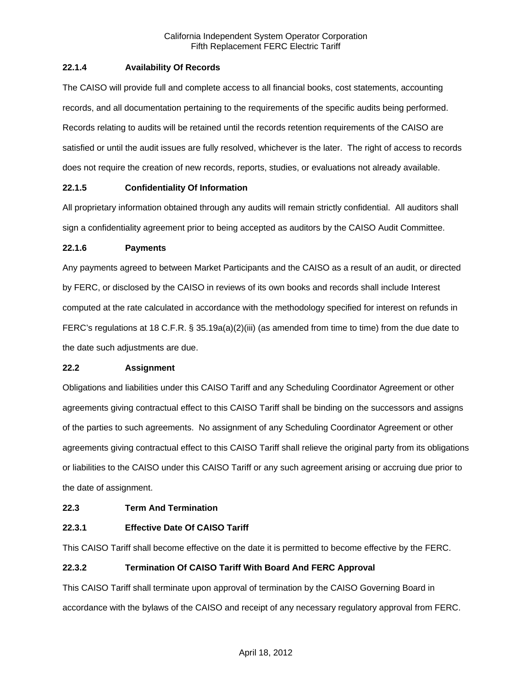## **22.1.4 Availability Of Records**

The CAISO will provide full and complete access to all financial books, cost statements, accounting records, and all documentation pertaining to the requirements of the specific audits being performed. Records relating to audits will be retained until the records retention requirements of the CAISO are satisfied or until the audit issues are fully resolved, whichever is the later. The right of access to records does not require the creation of new records, reports, studies, or evaluations not already available.

## **22.1.5 Confidentiality Of Information**

All proprietary information obtained through any audits will remain strictly confidential. All auditors shall sign a confidentiality agreement prior to being accepted as auditors by the CAISO Audit Committee.

## **22.1.6 Payments**

Any payments agreed to between Market Participants and the CAISO as a result of an audit, or directed by FERC, or disclosed by the CAISO in reviews of its own books and records shall include Interest computed at the rate calculated in accordance with the methodology specified for interest on refunds in FERC's regulations at 18 C.F.R. § 35.19a(a)(2)(iii) (as amended from time to time) from the due date to the date such adjustments are due.

## **22.2 Assignment**

Obligations and liabilities under this CAISO Tariff and any Scheduling Coordinator Agreement or other agreements giving contractual effect to this CAISO Tariff shall be binding on the successors and assigns of the parties to such agreements. No assignment of any Scheduling Coordinator Agreement or other agreements giving contractual effect to this CAISO Tariff shall relieve the original party from its obligations or liabilities to the CAISO under this CAISO Tariff or any such agreement arising or accruing due prior to the date of assignment.

## **22.3 Term And Termination**

## **22.3.1 Effective Date Of CAISO Tariff**

This CAISO Tariff shall become effective on the date it is permitted to become effective by the FERC.

## **22.3.2 Termination Of CAISO Tariff With Board And FERC Approval**

This CAISO Tariff shall terminate upon approval of termination by the CAISO Governing Board in accordance with the bylaws of the CAISO and receipt of any necessary regulatory approval from FERC.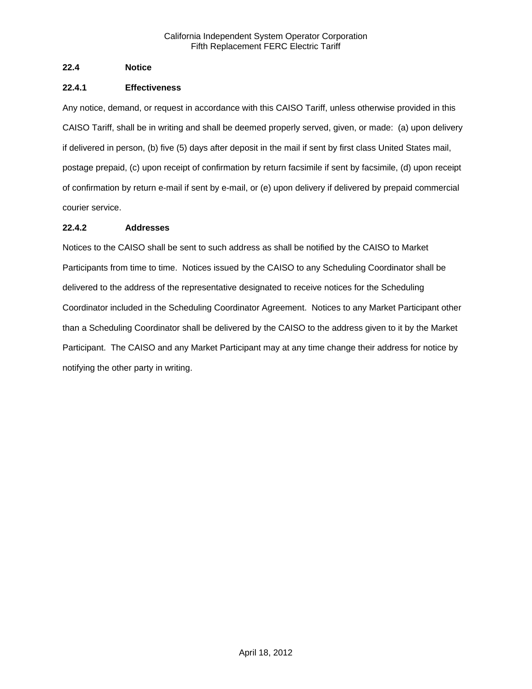## **22.4 Notice**

## **22.4.1 Effectiveness**

Any notice, demand, or request in accordance with this CAISO Tariff, unless otherwise provided in this CAISO Tariff, shall be in writing and shall be deemed properly served, given, or made: (a) upon delivery if delivered in person, (b) five (5) days after deposit in the mail if sent by first class United States mail, postage prepaid, (c) upon receipt of confirmation by return facsimile if sent by facsimile, (d) upon receipt of confirmation by return e-mail if sent by e-mail, or (e) upon delivery if delivered by prepaid commercial courier service.

# **22.4.2 Addresses**

Notices to the CAISO shall be sent to such address as shall be notified by the CAISO to Market Participants from time to time. Notices issued by the CAISO to any Scheduling Coordinator shall be delivered to the address of the representative designated to receive notices for the Scheduling Coordinator included in the Scheduling Coordinator Agreement. Notices to any Market Participant other than a Scheduling Coordinator shall be delivered by the CAISO to the address given to it by the Market Participant. The CAISO and any Market Participant may at any time change their address for notice by notifying the other party in writing.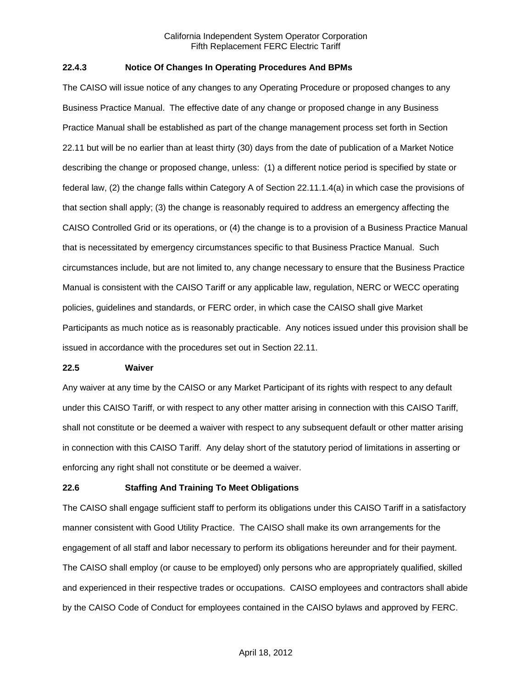## **22.4.3 Notice Of Changes In Operating Procedures And BPMs**

The CAISO will issue notice of any changes to any Operating Procedure or proposed changes to any Business Practice Manual. The effective date of any change or proposed change in any Business Practice Manual shall be established as part of the change management process set forth in Section 22.11 but will be no earlier than at least thirty (30) days from the date of publication of a Market Notice describing the change or proposed change, unless: (1) a different notice period is specified by state or federal law, (2) the change falls within Category A of Section 22.11.1.4(a) in which case the provisions of that section shall apply; (3) the change is reasonably required to address an emergency affecting the CAISO Controlled Grid or its operations, or (4) the change is to a provision of a Business Practice Manual that is necessitated by emergency circumstances specific to that Business Practice Manual. Such circumstances include, but are not limited to, any change necessary to ensure that the Business Practice Manual is consistent with the CAISO Tariff or any applicable law, regulation, NERC or WECC operating policies, guidelines and standards, or FERC order, in which case the CAISO shall give Market Participants as much notice as is reasonably practicable. Any notices issued under this provision shall be issued in accordance with the procedures set out in Section 22.11.

#### **22.5 Waiver**

Any waiver at any time by the CAISO or any Market Participant of its rights with respect to any default under this CAISO Tariff, or with respect to any other matter arising in connection with this CAISO Tariff, shall not constitute or be deemed a waiver with respect to any subsequent default or other matter arising in connection with this CAISO Tariff. Any delay short of the statutory period of limitations in asserting or enforcing any right shall not constitute or be deemed a waiver.

## **22.6 Staffing And Training To Meet Obligations**

The CAISO shall engage sufficient staff to perform its obligations under this CAISO Tariff in a satisfactory manner consistent with Good Utility Practice. The CAISO shall make its own arrangements for the engagement of all staff and labor necessary to perform its obligations hereunder and for their payment. The CAISO shall employ (or cause to be employed) only persons who are appropriately qualified, skilled and experienced in their respective trades or occupations. CAISO employees and contractors shall abide by the CAISO Code of Conduct for employees contained in the CAISO bylaws and approved by FERC.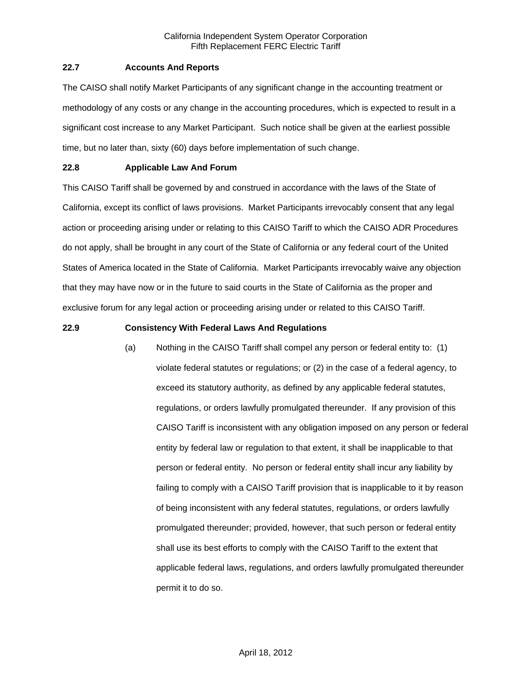## **22.7 Accounts And Reports**

The CAISO shall notify Market Participants of any significant change in the accounting treatment or methodology of any costs or any change in the accounting procedures, which is expected to result in a significant cost increase to any Market Participant. Such notice shall be given at the earliest possible time, but no later than, sixty (60) days before implementation of such change.

# **22.8 Applicable Law And Forum**

This CAISO Tariff shall be governed by and construed in accordance with the laws of the State of California, except its conflict of laws provisions. Market Participants irrevocably consent that any legal action or proceeding arising under or relating to this CAISO Tariff to which the CAISO ADR Procedures do not apply, shall be brought in any court of the State of California or any federal court of the United States of America located in the State of California. Market Participants irrevocably waive any objection that they may have now or in the future to said courts in the State of California as the proper and exclusive forum for any legal action or proceeding arising under or related to this CAISO Tariff.

## **22.9 Consistency With Federal Laws And Regulations**

(a) Nothing in the CAISO Tariff shall compel any person or federal entity to: (1) violate federal statutes or regulations; or (2) in the case of a federal agency, to exceed its statutory authority, as defined by any applicable federal statutes, regulations, or orders lawfully promulgated thereunder. If any provision of this CAISO Tariff is inconsistent with any obligation imposed on any person or federal entity by federal law or regulation to that extent, it shall be inapplicable to that person or federal entity. No person or federal entity shall incur any liability by failing to comply with a CAISO Tariff provision that is inapplicable to it by reason of being inconsistent with any federal statutes, regulations, or orders lawfully promulgated thereunder; provided, however, that such person or federal entity shall use its best efforts to comply with the CAISO Tariff to the extent that applicable federal laws, regulations, and orders lawfully promulgated thereunder permit it to do so.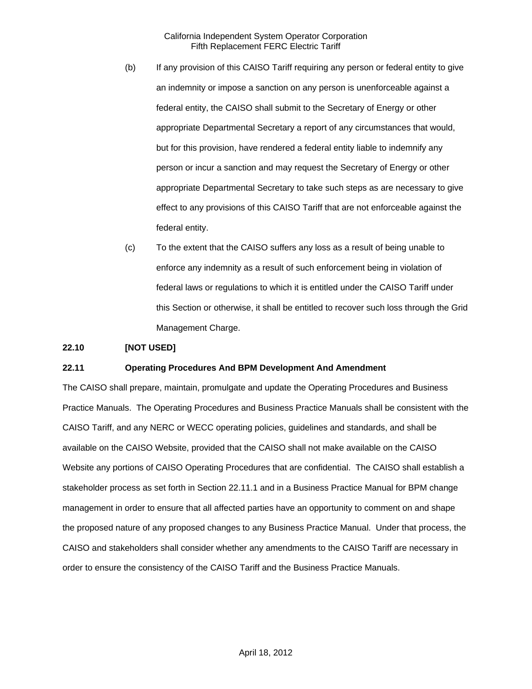- (b) If any provision of this CAISO Tariff requiring any person or federal entity to give an indemnity or impose a sanction on any person is unenforceable against a federal entity, the CAISO shall submit to the Secretary of Energy or other appropriate Departmental Secretary a report of any circumstances that would, but for this provision, have rendered a federal entity liable to indemnify any person or incur a sanction and may request the Secretary of Energy or other appropriate Departmental Secretary to take such steps as are necessary to give effect to any provisions of this CAISO Tariff that are not enforceable against the federal entity.
- (c) To the extent that the CAISO suffers any loss as a result of being unable to enforce any indemnity as a result of such enforcement being in violation of federal laws or regulations to which it is entitled under the CAISO Tariff under this Section or otherwise, it shall be entitled to recover such loss through the Grid Management Charge.

## **22.10 [NOT USED]**

## **22.11 Operating Procedures And BPM Development And Amendment**

The CAISO shall prepare, maintain, promulgate and update the Operating Procedures and Business Practice Manuals. The Operating Procedures and Business Practice Manuals shall be consistent with the CAISO Tariff, and any NERC or WECC operating policies, guidelines and standards, and shall be available on the CAISO Website, provided that the CAISO shall not make available on the CAISO Website any portions of CAISO Operating Procedures that are confidential. The CAISO shall establish a stakeholder process as set forth in Section 22.11.1 and in a Business Practice Manual for BPM change management in order to ensure that all affected parties have an opportunity to comment on and shape the proposed nature of any proposed changes to any Business Practice Manual. Under that process, the CAISO and stakeholders shall consider whether any amendments to the CAISO Tariff are necessary in order to ensure the consistency of the CAISO Tariff and the Business Practice Manuals.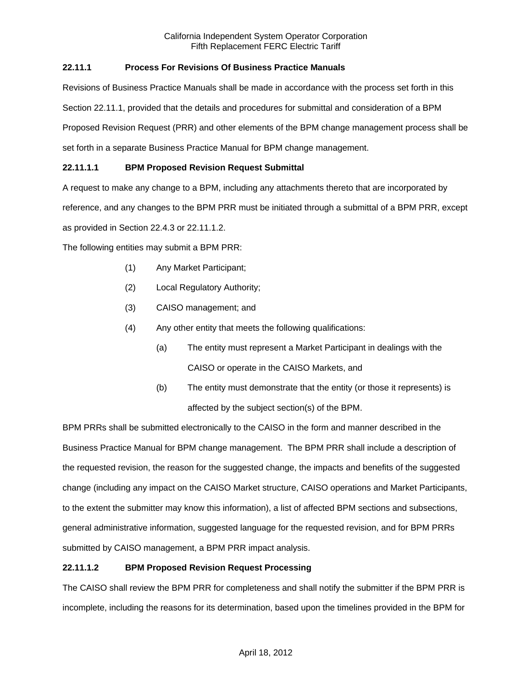# **22.11.1 Process For Revisions Of Business Practice Manuals**

Revisions of Business Practice Manuals shall be made in accordance with the process set forth in this Section 22.11.1, provided that the details and procedures for submittal and consideration of a BPM Proposed Revision Request (PRR) and other elements of the BPM change management process shall be set forth in a separate Business Practice Manual for BPM change management.

# **22.11.1.1 BPM Proposed Revision Request Submittal**

A request to make any change to a BPM, including any attachments thereto that are incorporated by

reference, and any changes to the BPM PRR must be initiated through a submittal of a BPM PRR, except

as provided in Section 22.4.3 or 22.11.1.2.

The following entities may submit a BPM PRR:

- (1) Any Market Participant;
- (2) Local Regulatory Authority;
- (3) CAISO management; and
- (4) Any other entity that meets the following qualifications:
	- (a) The entity must represent a Market Participant in dealings with the CAISO or operate in the CAISO Markets, and
	- (b) The entity must demonstrate that the entity (or those it represents) is affected by the subject section(s) of the BPM.

BPM PRRs shall be submitted electronically to the CAISO in the form and manner described in the Business Practice Manual for BPM change management. The BPM PRR shall include a description of the requested revision, the reason for the suggested change, the impacts and benefits of the suggested change (including any impact on the CAISO Market structure, CAISO operations and Market Participants, to the extent the submitter may know this information), a list of affected BPM sections and subsections, general administrative information, suggested language for the requested revision, and for BPM PRRs submitted by CAISO management, a BPM PRR impact analysis.

# **22.11.1.2 BPM Proposed Revision Request Processing**

The CAISO shall review the BPM PRR for completeness and shall notify the submitter if the BPM PRR is incomplete, including the reasons for its determination, based upon the timelines provided in the BPM for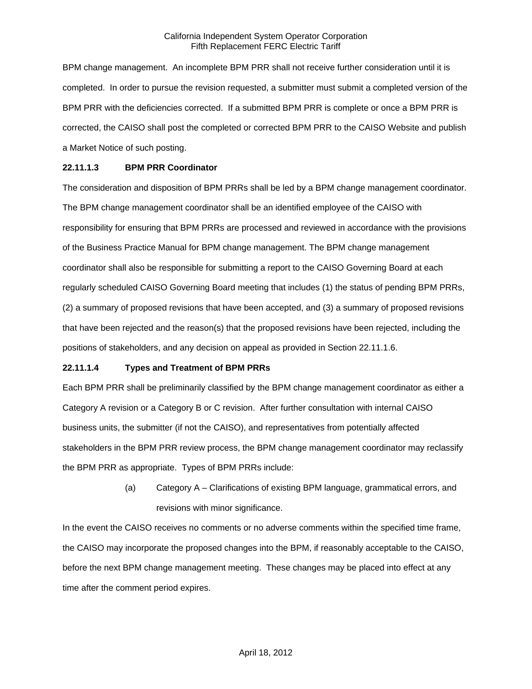BPM change management. An incomplete BPM PRR shall not receive further consideration until it is completed. In order to pursue the revision requested, a submitter must submit a completed version of the BPM PRR with the deficiencies corrected. If a submitted BPM PRR is complete or once a BPM PRR is corrected, the CAISO shall post the completed or corrected BPM PRR to the CAISO Website and publish a Market Notice of such posting.

## **22.11.1.3 BPM PRR Coordinator**

The consideration and disposition of BPM PRRs shall be led by a BPM change management coordinator. The BPM change management coordinator shall be an identified employee of the CAISO with responsibility for ensuring that BPM PRRs are processed and reviewed in accordance with the provisions of the Business Practice Manual for BPM change management. The BPM change management coordinator shall also be responsible for submitting a report to the CAISO Governing Board at each regularly scheduled CAISO Governing Board meeting that includes (1) the status of pending BPM PRRs, (2) a summary of proposed revisions that have been accepted, and (3) a summary of proposed revisions that have been rejected and the reason(s) that the proposed revisions have been rejected, including the positions of stakeholders, and any decision on appeal as provided in Section 22.11.1.6.

## **22.11.1.4 Types and Treatment of BPM PRRs**

Each BPM PRR shall be preliminarily classified by the BPM change management coordinator as either a Category A revision or a Category B or C revision. After further consultation with internal CAISO business units, the submitter (if not the CAISO), and representatives from potentially affected stakeholders in the BPM PRR review process, the BPM change management coordinator may reclassify the BPM PRR as appropriate. Types of BPM PRRs include:

> (a) Category A – Clarifications of existing BPM language, grammatical errors, and revisions with minor significance.

In the event the CAISO receives no comments or no adverse comments within the specified time frame, the CAISO may incorporate the proposed changes into the BPM, if reasonably acceptable to the CAISO, before the next BPM change management meeting. These changes may be placed into effect at any time after the comment period expires.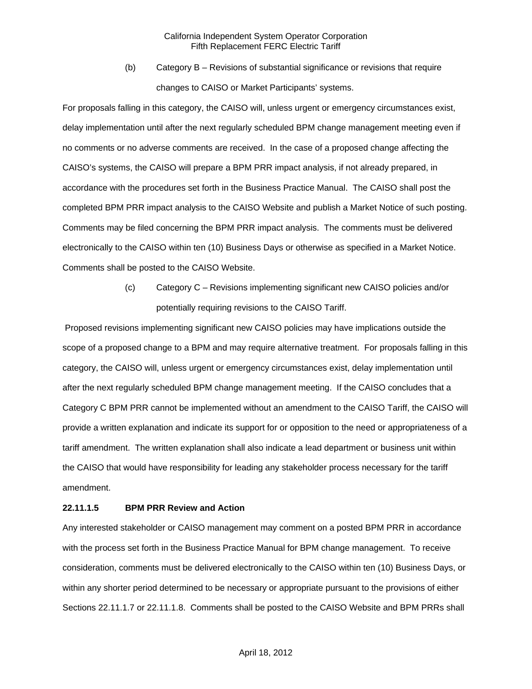(b) Category B – Revisions of substantial significance or revisions that require changes to CAISO or Market Participants' systems.

For proposals falling in this category, the CAISO will, unless urgent or emergency circumstances exist, delay implementation until after the next regularly scheduled BPM change management meeting even if no comments or no adverse comments are received. In the case of a proposed change affecting the CAISO's systems, the CAISO will prepare a BPM PRR impact analysis, if not already prepared, in accordance with the procedures set forth in the Business Practice Manual. The CAISO shall post the completed BPM PRR impact analysis to the CAISO Website and publish a Market Notice of such posting. Comments may be filed concerning the BPM PRR impact analysis. The comments must be delivered electronically to the CAISO within ten (10) Business Days or otherwise as specified in a Market Notice. Comments shall be posted to the CAISO Website.

> (c) Category C – Revisions implementing significant new CAISO policies and/or potentially requiring revisions to the CAISO Tariff.

 Proposed revisions implementing significant new CAISO policies may have implications outside the scope of a proposed change to a BPM and may require alternative treatment. For proposals falling in this category, the CAISO will, unless urgent or emergency circumstances exist, delay implementation until after the next regularly scheduled BPM change management meeting. If the CAISO concludes that a Category C BPM PRR cannot be implemented without an amendment to the CAISO Tariff, the CAISO will provide a written explanation and indicate its support for or opposition to the need or appropriateness of a tariff amendment. The written explanation shall also indicate a lead department or business unit within the CAISO that would have responsibility for leading any stakeholder process necessary for the tariff amendment.

## **22.11.1.5 BPM PRR Review and Action**

Any interested stakeholder or CAISO management may comment on a posted BPM PRR in accordance with the process set forth in the Business Practice Manual for BPM change management. To receive consideration, comments must be delivered electronically to the CAISO within ten (10) Business Days, or within any shorter period determined to be necessary or appropriate pursuant to the provisions of either Sections 22.11.1.7 or 22.11.1.8. Comments shall be posted to the CAISO Website and BPM PRRs shall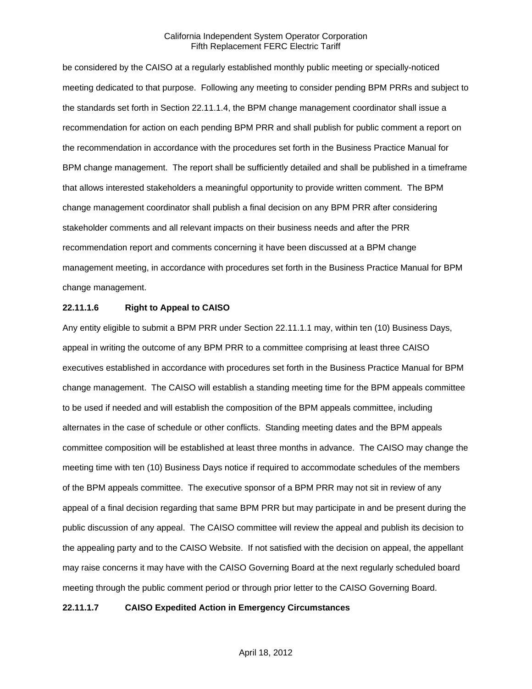be considered by the CAISO at a regularly established monthly public meeting or specially-noticed meeting dedicated to that purpose. Following any meeting to consider pending BPM PRRs and subject to the standards set forth in Section 22.11.1.4, the BPM change management coordinator shall issue a recommendation for action on each pending BPM PRR and shall publish for public comment a report on the recommendation in accordance with the procedures set forth in the Business Practice Manual for BPM change management. The report shall be sufficiently detailed and shall be published in a timeframe that allows interested stakeholders a meaningful opportunity to provide written comment. The BPM change management coordinator shall publish a final decision on any BPM PRR after considering stakeholder comments and all relevant impacts on their business needs and after the PRR recommendation report and comments concerning it have been discussed at a BPM change management meeting, in accordance with procedures set forth in the Business Practice Manual for BPM change management.

## **22.11.1.6 Right to Appeal to CAISO**

Any entity eligible to submit a BPM PRR under Section 22.11.1.1 may, within ten (10) Business Days, appeal in writing the outcome of any BPM PRR to a committee comprising at least three CAISO executives established in accordance with procedures set forth in the Business Practice Manual for BPM change management. The CAISO will establish a standing meeting time for the BPM appeals committee to be used if needed and will establish the composition of the BPM appeals committee, including alternates in the case of schedule or other conflicts. Standing meeting dates and the BPM appeals committee composition will be established at least three months in advance. The CAISO may change the meeting time with ten (10) Business Days notice if required to accommodate schedules of the members of the BPM appeals committee. The executive sponsor of a BPM PRR may not sit in review of any appeal of a final decision regarding that same BPM PRR but may participate in and be present during the public discussion of any appeal. The CAISO committee will review the appeal and publish its decision to the appealing party and to the CAISO Website. If not satisfied with the decision on appeal, the appellant may raise concerns it may have with the CAISO Governing Board at the next regularly scheduled board meeting through the public comment period or through prior letter to the CAISO Governing Board.

## **22.11.1.7 CAISO Expedited Action in Emergency Circumstances**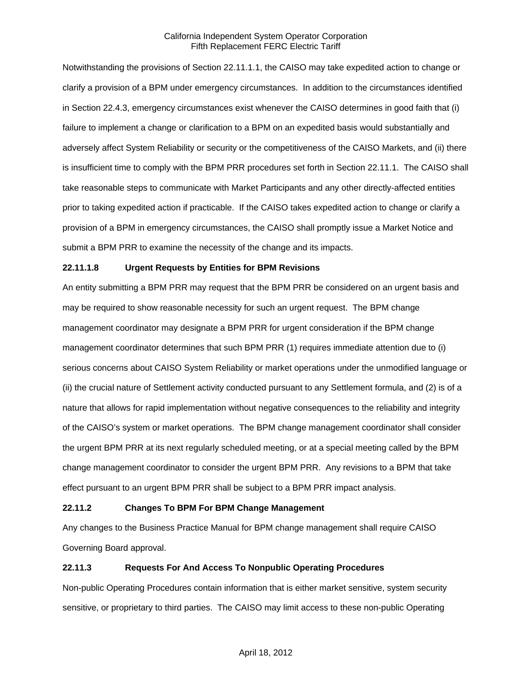Notwithstanding the provisions of Section 22.11.1.1, the CAISO may take expedited action to change or clarify a provision of a BPM under emergency circumstances. In addition to the circumstances identified in Section 22.4.3, emergency circumstances exist whenever the CAISO determines in good faith that (i) failure to implement a change or clarification to a BPM on an expedited basis would substantially and adversely affect System Reliability or security or the competitiveness of the CAISO Markets, and (ii) there is insufficient time to comply with the BPM PRR procedures set forth in Section 22.11.1. The CAISO shall take reasonable steps to communicate with Market Participants and any other directly-affected entities prior to taking expedited action if practicable. If the CAISO takes expedited action to change or clarify a provision of a BPM in emergency circumstances, the CAISO shall promptly issue a Market Notice and submit a BPM PRR to examine the necessity of the change and its impacts.

## **22.11.1.8 Urgent Requests by Entities for BPM Revisions**

An entity submitting a BPM PRR may request that the BPM PRR be considered on an urgent basis and may be required to show reasonable necessity for such an urgent request. The BPM change management coordinator may designate a BPM PRR for urgent consideration if the BPM change management coordinator determines that such BPM PRR (1) requires immediate attention due to (i) serious concerns about CAISO System Reliability or market operations under the unmodified language or (ii) the crucial nature of Settlement activity conducted pursuant to any Settlement formula, and (2) is of a nature that allows for rapid implementation without negative consequences to the reliability and integrity of the CAISO's system or market operations. The BPM change management coordinator shall consider the urgent BPM PRR at its next regularly scheduled meeting, or at a special meeting called by the BPM change management coordinator to consider the urgent BPM PRR. Any revisions to a BPM that take effect pursuant to an urgent BPM PRR shall be subject to a BPM PRR impact analysis.

## **22.11.2 Changes To BPM For BPM Change Management**

Any changes to the Business Practice Manual for BPM change management shall require CAISO Governing Board approval.

## **22.11.3 Requests For And Access To Nonpublic Operating Procedures**

Non-public Operating Procedures contain information that is either market sensitive, system security sensitive, or proprietary to third parties. The CAISO may limit access to these non-public Operating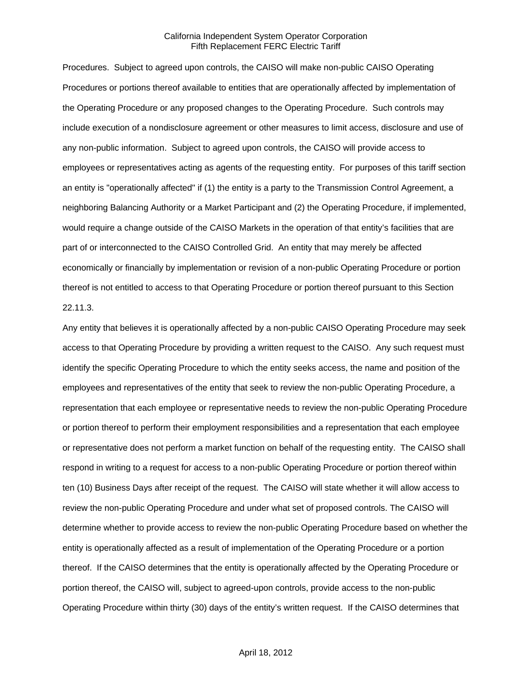Procedures. Subject to agreed upon controls, the CAISO will make non-public CAISO Operating Procedures or portions thereof available to entities that are operationally affected by implementation of the Operating Procedure or any proposed changes to the Operating Procedure. Such controls may include execution of a nondisclosure agreement or other measures to limit access, disclosure and use of any non-public information. Subject to agreed upon controls, the CAISO will provide access to employees or representatives acting as agents of the requesting entity. For purposes of this tariff section an entity is "operationally affected" if (1) the entity is a party to the Transmission Control Agreement, a neighboring Balancing Authority or a Market Participant and (2) the Operating Procedure, if implemented, would require a change outside of the CAISO Markets in the operation of that entity's facilities that are part of or interconnected to the CAISO Controlled Grid. An entity that may merely be affected economically or financially by implementation or revision of a non-public Operating Procedure or portion thereof is not entitled to access to that Operating Procedure or portion thereof pursuant to this Section 22.11.3.

Any entity that believes it is operationally affected by a non-public CAISO Operating Procedure may seek access to that Operating Procedure by providing a written request to the CAISO. Any such request must identify the specific Operating Procedure to which the entity seeks access, the name and position of the employees and representatives of the entity that seek to review the non-public Operating Procedure, a representation that each employee or representative needs to review the non-public Operating Procedure or portion thereof to perform their employment responsibilities and a representation that each employee or representative does not perform a market function on behalf of the requesting entity. The CAISO shall respond in writing to a request for access to a non-public Operating Procedure or portion thereof within ten (10) Business Days after receipt of the request. The CAISO will state whether it will allow access to review the non-public Operating Procedure and under what set of proposed controls. The CAISO will determine whether to provide access to review the non-public Operating Procedure based on whether the entity is operationally affected as a result of implementation of the Operating Procedure or a portion thereof. If the CAISO determines that the entity is operationally affected by the Operating Procedure or portion thereof, the CAISO will, subject to agreed-upon controls, provide access to the non-public Operating Procedure within thirty (30) days of the entity's written request. If the CAISO determines that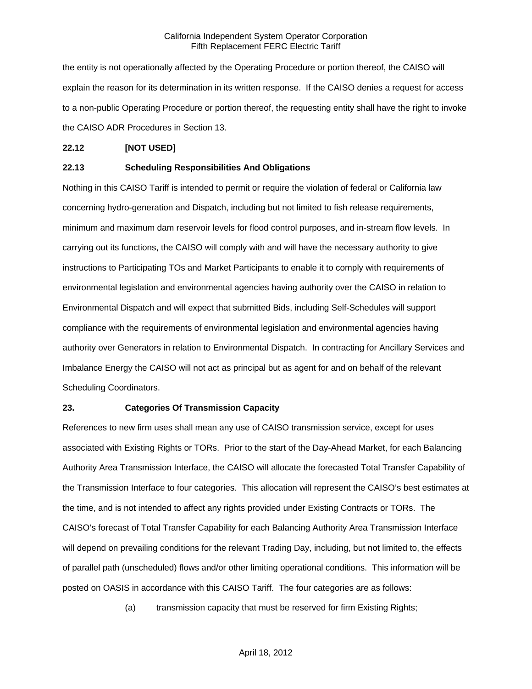the entity is not operationally affected by the Operating Procedure or portion thereof, the CAISO will explain the reason for its determination in its written response. If the CAISO denies a request for access to a non-public Operating Procedure or portion thereof, the requesting entity shall have the right to invoke the CAISO ADR Procedures in Section 13.

## **22.12 [NOT USED]**

## **22.13 Scheduling Responsibilities And Obligations**

Nothing in this CAISO Tariff is intended to permit or require the violation of federal or California law concerning hydro-generation and Dispatch, including but not limited to fish release requirements, minimum and maximum dam reservoir levels for flood control purposes, and in-stream flow levels. In carrying out its functions, the CAISO will comply with and will have the necessary authority to give instructions to Participating TOs and Market Participants to enable it to comply with requirements of environmental legislation and environmental agencies having authority over the CAISO in relation to Environmental Dispatch and will expect that submitted Bids, including Self-Schedules will support compliance with the requirements of environmental legislation and environmental agencies having authority over Generators in relation to Environmental Dispatch. In contracting for Ancillary Services and Imbalance Energy the CAISO will not act as principal but as agent for and on behalf of the relevant Scheduling Coordinators.

#### **23. Categories Of Transmission Capacity**

References to new firm uses shall mean any use of CAISO transmission service, except for uses associated with Existing Rights or TORs. Prior to the start of the Day-Ahead Market, for each Balancing Authority Area Transmission Interface, the CAISO will allocate the forecasted Total Transfer Capability of the Transmission Interface to four categories. This allocation will represent the CAISO's best estimates at the time, and is not intended to affect any rights provided under Existing Contracts or TORs. The CAISO's forecast of Total Transfer Capability for each Balancing Authority Area Transmission Interface will depend on prevailing conditions for the relevant Trading Day, including, but not limited to, the effects of parallel path (unscheduled) flows and/or other limiting operational conditions. This information will be posted on OASIS in accordance with this CAISO Tariff. The four categories are as follows:

(a) transmission capacity that must be reserved for firm Existing Rights;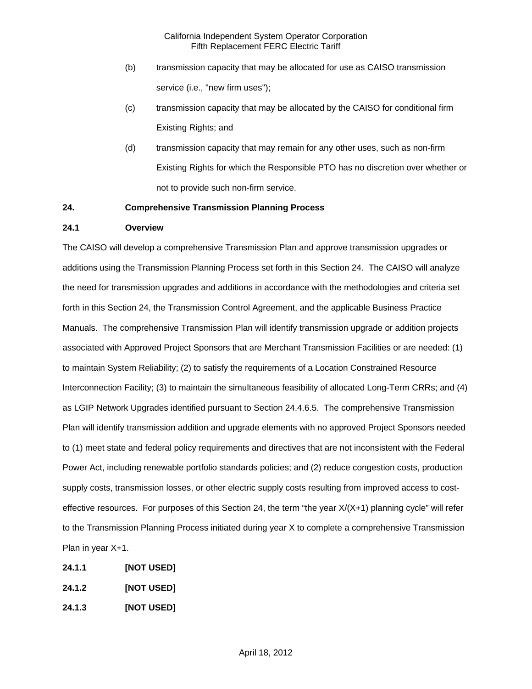- (b) transmission capacity that may be allocated for use as CAISO transmission service (i.e., "new firm uses");
- (c) transmission capacity that may be allocated by the CAISO for conditional firm Existing Rights; and
- (d) transmission capacity that may remain for any other uses, such as non-firm Existing Rights for which the Responsible PTO has no discretion over whether or not to provide such non-firm service.

## **24. Comprehensive Transmission Planning Process**

## **24.1 Overview**

The CAISO will develop a comprehensive Transmission Plan and approve transmission upgrades or additions using the Transmission Planning Process set forth in this Section 24. The CAISO will analyze the need for transmission upgrades and additions in accordance with the methodologies and criteria set forth in this Section 24, the Transmission Control Agreement, and the applicable Business Practice Manuals. The comprehensive Transmission Plan will identify transmission upgrade or addition projects associated with Approved Project Sponsors that are Merchant Transmission Facilities or are needed: (1) to maintain System Reliability; (2) to satisfy the requirements of a Location Constrained Resource Interconnection Facility; (3) to maintain the simultaneous feasibility of allocated Long-Term CRRs; and (4) as LGIP Network Upgrades identified pursuant to Section 24.4.6.5. The comprehensive Transmission Plan will identify transmission addition and upgrade elements with no approved Project Sponsors needed to (1) meet state and federal policy requirements and directives that are not inconsistent with the Federal Power Act, including renewable portfolio standards policies; and (2) reduce congestion costs, production supply costs, transmission losses, or other electric supply costs resulting from improved access to costeffective resources. For purposes of this Section 24, the term "the year X/(X+1) planning cycle" will refer to the Transmission Planning Process initiated during year X to complete a comprehensive Transmission Plan in year X+1.

- **24.1.1 [NOT USED]**
- **24.1.2 [NOT USED]**
- **24.1.3 [NOT USED]**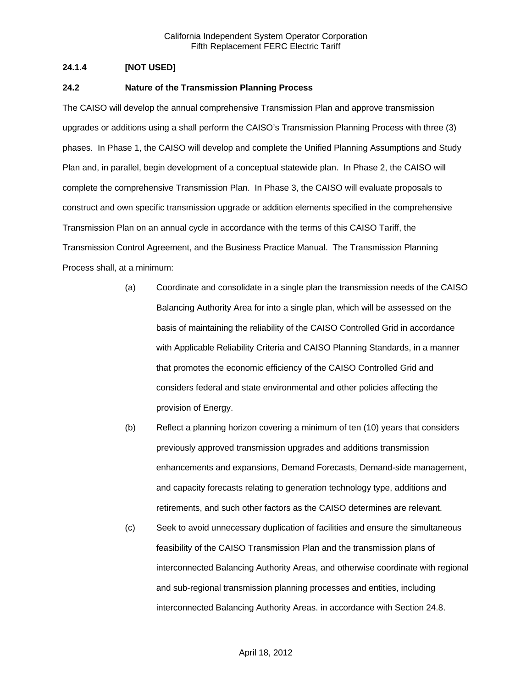# **24.1.4 [NOT USED]**

## **24.2 Nature of the Transmission Planning Process**

The CAISO will develop the annual comprehensive Transmission Plan and approve transmission upgrades or additions using a shall perform the CAISO's Transmission Planning Process with three (3) phases. In Phase 1, the CAISO will develop and complete the Unified Planning Assumptions and Study Plan and, in parallel, begin development of a conceptual statewide plan. In Phase 2, the CAISO will complete the comprehensive Transmission Plan. In Phase 3, the CAISO will evaluate proposals to construct and own specific transmission upgrade or addition elements specified in the comprehensive Transmission Plan on an annual cycle in accordance with the terms of this CAISO Tariff, the Transmission Control Agreement, and the Business Practice Manual. The Transmission Planning Process shall, at a minimum:

- (a) Coordinate and consolidate in a single plan the transmission needs of the CAISO Balancing Authority Area for into a single plan, which will be assessed on the basis of maintaining the reliability of the CAISO Controlled Grid in accordance with Applicable Reliability Criteria and CAISO Planning Standards, in a manner that promotes the economic efficiency of the CAISO Controlled Grid and considers federal and state environmental and other policies affecting the provision of Energy.
- (b) Reflect a planning horizon covering a minimum of ten (10) years that considers previously approved transmission upgrades and additions transmission enhancements and expansions, Demand Forecasts, Demand-side management, and capacity forecasts relating to generation technology type, additions and retirements, and such other factors as the CAISO determines are relevant.
- (c) Seek to avoid unnecessary duplication of facilities and ensure the simultaneous feasibility of the CAISO Transmission Plan and the transmission plans of interconnected Balancing Authority Areas, and otherwise coordinate with regional and sub-regional transmission planning processes and entities, including interconnected Balancing Authority Areas. in accordance with Section 24.8.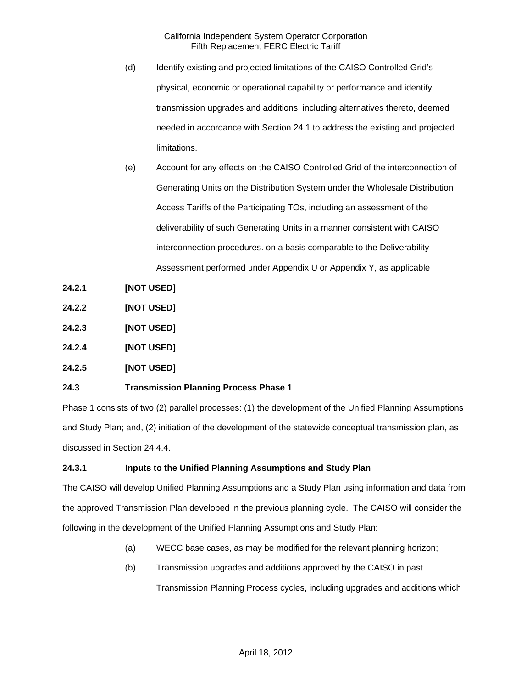- (d) Identify existing and projected limitations of the CAISO Controlled Grid's physical, economic or operational capability or performance and identify transmission upgrades and additions, including alternatives thereto, deemed needed in accordance with Section 24.1 to address the existing and projected limitations.
- (e) Account for any effects on the CAISO Controlled Grid of the interconnection of Generating Units on the Distribution System under the Wholesale Distribution Access Tariffs of the Participating TOs, including an assessment of the deliverability of such Generating Units in a manner consistent with CAISO interconnection procedures. on a basis comparable to the Deliverability Assessment performed under Appendix U or Appendix Y, as applicable
- **24.2.1 [NOT USED]**
- **24.2.2 [NOT USED]**
- **24.2.3 [NOT USED]**
- **24.2.4 [NOT USED]**
- **24.2.5 [NOT USED]**

# **24.3 Transmission Planning Process Phase 1**

Phase 1 consists of two (2) parallel processes: (1) the development of the Unified Planning Assumptions and Study Plan; and, (2) initiation of the development of the statewide conceptual transmission plan, as discussed in Section 24.4.4.

## **24.3.1 Inputs to the Unified Planning Assumptions and Study Plan**

The CAISO will develop Unified Planning Assumptions and a Study Plan using information and data from the approved Transmission Plan developed in the previous planning cycle. The CAISO will consider the following in the development of the Unified Planning Assumptions and Study Plan:

- (a) WECC base cases, as may be modified for the relevant planning horizon;
- (b) Transmission upgrades and additions approved by the CAISO in past

Transmission Planning Process cycles, including upgrades and additions which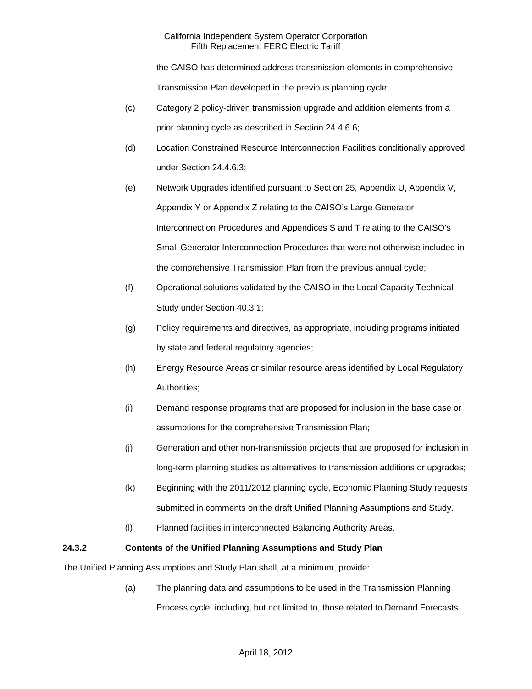the CAISO has determined address transmission elements in comprehensive Transmission Plan developed in the previous planning cycle;

- (c) Category 2 policy-driven transmission upgrade and addition elements from a prior planning cycle as described in Section 24.4.6.6;
- (d) Location Constrained Resource Interconnection Facilities conditionally approved under Section 24.4.6.3;
- (e) Network Upgrades identified pursuant to Section 25, Appendix U, Appendix V, Appendix Y or Appendix Z relating to the CAISO's Large Generator Interconnection Procedures and Appendices S and T relating to the CAISO's Small Generator Interconnection Procedures that were not otherwise included in the comprehensive Transmission Plan from the previous annual cycle;
- (f) Operational solutions validated by the CAISO in the Local Capacity Technical Study under Section 40.3.1;
- (g) Policy requirements and directives, as appropriate, including programs initiated by state and federal regulatory agencies;
- (h) Energy Resource Areas or similar resource areas identified by Local Regulatory Authorities;
- (i) Demand response programs that are proposed for inclusion in the base case or assumptions for the comprehensive Transmission Plan;
- (j) Generation and other non-transmission projects that are proposed for inclusion in long-term planning studies as alternatives to transmission additions or upgrades;
- (k) Beginning with the 2011/2012 planning cycle, Economic Planning Study requests submitted in comments on the draft Unified Planning Assumptions and Study.
- (l) Planned facilities in interconnected Balancing Authority Areas.

# **24.3.2 Contents of the Unified Planning Assumptions and Study Plan**

The Unified Planning Assumptions and Study Plan shall, at a minimum, provide:

(a) The planning data and assumptions to be used in the Transmission Planning Process cycle, including, but not limited to, those related to Demand Forecasts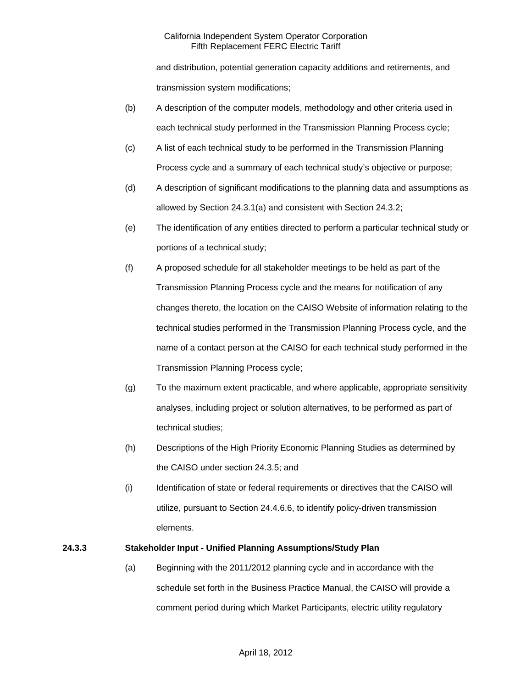and distribution, potential generation capacity additions and retirements, and transmission system modifications;

- (b) A description of the computer models, methodology and other criteria used in each technical study performed in the Transmission Planning Process cycle;
- (c) A list of each technical study to be performed in the Transmission Planning Process cycle and a summary of each technical study's objective or purpose;
- (d) A description of significant modifications to the planning data and assumptions as allowed by Section 24.3.1(a) and consistent with Section 24.3.2;
- (e) The identification of any entities directed to perform a particular technical study or portions of a technical study;
- (f) A proposed schedule for all stakeholder meetings to be held as part of the Transmission Planning Process cycle and the means for notification of any changes thereto, the location on the CAISO Website of information relating to the technical studies performed in the Transmission Planning Process cycle, and the name of a contact person at the CAISO for each technical study performed in the Transmission Planning Process cycle;
- (g) To the maximum extent practicable, and where applicable, appropriate sensitivity analyses, including project or solution alternatives, to be performed as part of technical studies;
- (h) Descriptions of the High Priority Economic Planning Studies as determined by the CAISO under section 24.3.5; and
- (i) Identification of state or federal requirements or directives that the CAISO will utilize, pursuant to Section 24.4.6.6, to identify policy-driven transmission elements.

# **24.3.3 Stakeholder Input - Unified Planning Assumptions/Study Plan**

(a) Beginning with the 2011/2012 planning cycle and in accordance with the schedule set forth in the Business Practice Manual, the CAISO will provide a comment period during which Market Participants, electric utility regulatory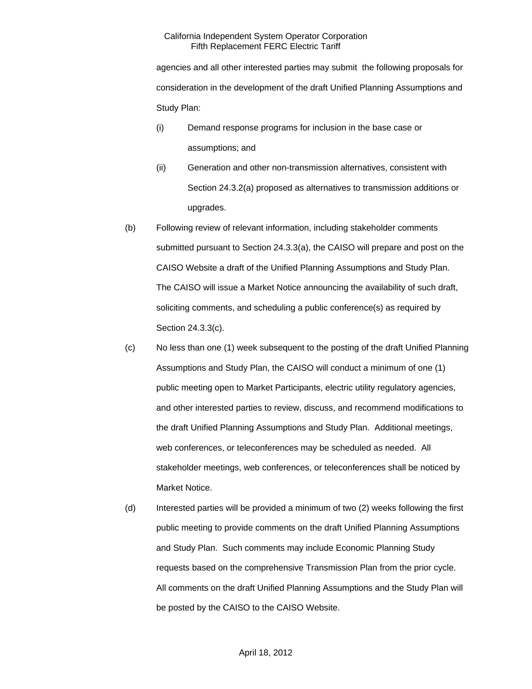agencies and all other interested parties may submit the following proposals for consideration in the development of the draft Unified Planning Assumptions and Study Plan:

- (i) Demand response programs for inclusion in the base case or assumptions; and
- (ii) Generation and other non-transmission alternatives, consistent with Section 24.3.2(a) proposed as alternatives to transmission additions or upgrades.
- (b) Following review of relevant information, including stakeholder comments submitted pursuant to Section 24.3.3(a), the CAISO will prepare and post on the CAISO Website a draft of the Unified Planning Assumptions and Study Plan. The CAISO will issue a Market Notice announcing the availability of such draft, soliciting comments, and scheduling a public conference(s) as required by Section 24.3.3(c).
- (c) No less than one (1) week subsequent to the posting of the draft Unified Planning Assumptions and Study Plan, the CAISO will conduct a minimum of one (1) public meeting open to Market Participants, electric utility regulatory agencies, and other interested parties to review, discuss, and recommend modifications to the draft Unified Planning Assumptions and Study Plan. Additional meetings, web conferences, or teleconferences may be scheduled as needed. All stakeholder meetings, web conferences, or teleconferences shall be noticed by Market Notice.
- (d) Interested parties will be provided a minimum of two (2) weeks following the first public meeting to provide comments on the draft Unified Planning Assumptions and Study Plan. Such comments may include Economic Planning Study requests based on the comprehensive Transmission Plan from the prior cycle. All comments on the draft Unified Planning Assumptions and the Study Plan will be posted by the CAISO to the CAISO Website.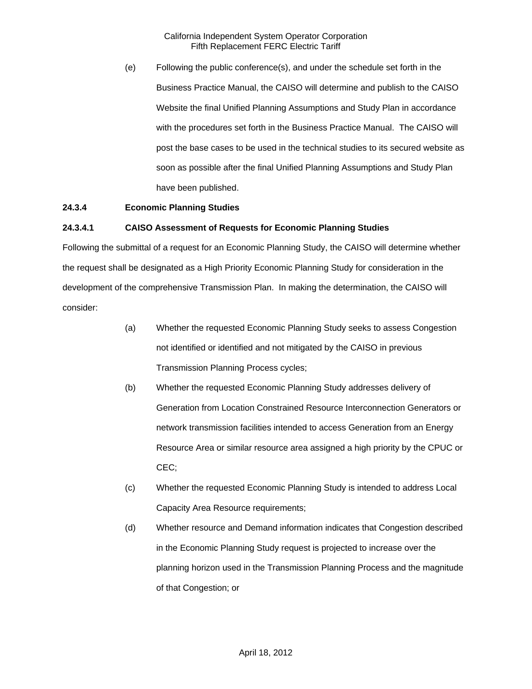(e) Following the public conference(s), and under the schedule set forth in the Business Practice Manual, the CAISO will determine and publish to the CAISO Website the final Unified Planning Assumptions and Study Plan in accordance with the procedures set forth in the Business Practice Manual. The CAISO will post the base cases to be used in the technical studies to its secured website as soon as possible after the final Unified Planning Assumptions and Study Plan have been published.

## **24.3.4 Economic Planning Studies**

## **24.3.4.1 CAISO Assessment of Requests for Economic Planning Studies**

Following the submittal of a request for an Economic Planning Study, the CAISO will determine whether the request shall be designated as a High Priority Economic Planning Study for consideration in the development of the comprehensive Transmission Plan. In making the determination, the CAISO will consider:

- (a) Whether the requested Economic Planning Study seeks to assess Congestion not identified or identified and not mitigated by the CAISO in previous Transmission Planning Process cycles;
- (b) Whether the requested Economic Planning Study addresses delivery of Generation from Location Constrained Resource Interconnection Generators or network transmission facilities intended to access Generation from an Energy Resource Area or similar resource area assigned a high priority by the CPUC or CEC;
- (c) Whether the requested Economic Planning Study is intended to address Local Capacity Area Resource requirements;
- (d) Whether resource and Demand information indicates that Congestion described in the Economic Planning Study request is projected to increase over the planning horizon used in the Transmission Planning Process and the magnitude of that Congestion; or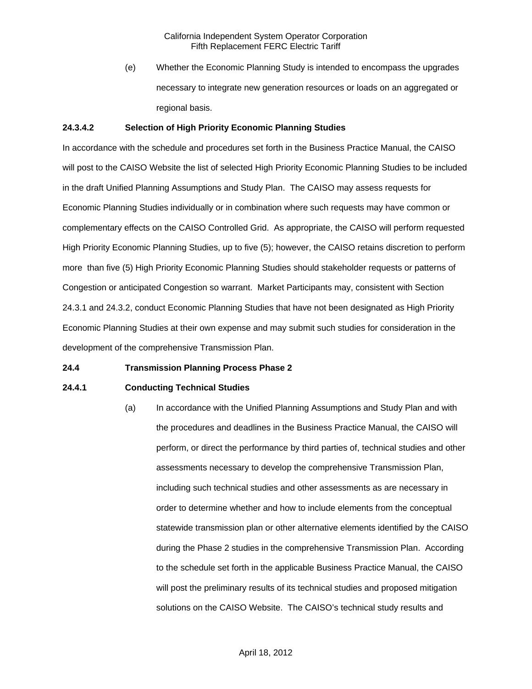(e) Whether the Economic Planning Study is intended to encompass the upgrades necessary to integrate new generation resources or loads on an aggregated or regional basis.

## **24.3.4.2 Selection of High Priority Economic Planning Studies**

In accordance with the schedule and procedures set forth in the Business Practice Manual, the CAISO will post to the CAISO Website the list of selected High Priority Economic Planning Studies to be included in the draft Unified Planning Assumptions and Study Plan. The CAISO may assess requests for Economic Planning Studies individually or in combination where such requests may have common or complementary effects on the CAISO Controlled Grid. As appropriate, the CAISO will perform requested High Priority Economic Planning Studies, up to five (5); however, the CAISO retains discretion to perform more than five (5) High Priority Economic Planning Studies should stakeholder requests or patterns of Congestion or anticipated Congestion so warrant. Market Participants may, consistent with Section 24.3.1 and 24.3.2, conduct Economic Planning Studies that have not been designated as High Priority Economic Planning Studies at their own expense and may submit such studies for consideration in the development of the comprehensive Transmission Plan.

## **24.4 Transmission Planning Process Phase 2**

## **24.4.1 Conducting Technical Studies**

(a) In accordance with the Unified Planning Assumptions and Study Plan and with the procedures and deadlines in the Business Practice Manual, the CAISO will perform, or direct the performance by third parties of, technical studies and other assessments necessary to develop the comprehensive Transmission Plan, including such technical studies and other assessments as are necessary in order to determine whether and how to include elements from the conceptual statewide transmission plan or other alternative elements identified by the CAISO during the Phase 2 studies in the comprehensive Transmission Plan. According to the schedule set forth in the applicable Business Practice Manual, the CAISO will post the preliminary results of its technical studies and proposed mitigation solutions on the CAISO Website. The CAISO's technical study results and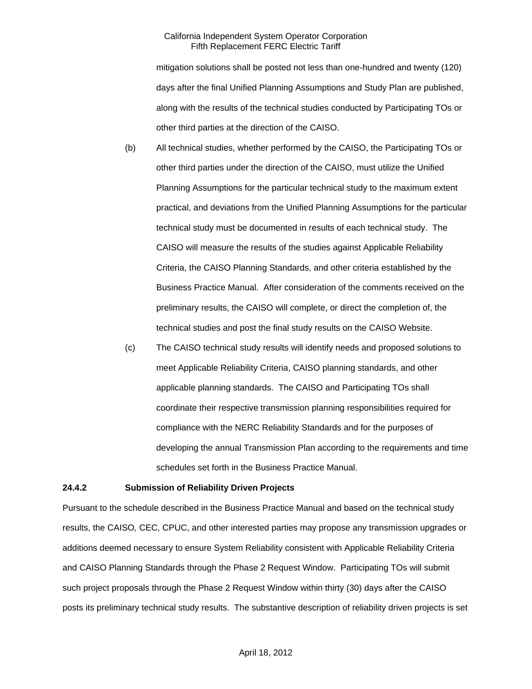mitigation solutions shall be posted not less than one-hundred and twenty (120) days after the final Unified Planning Assumptions and Study Plan are published, along with the results of the technical studies conducted by Participating TOs or other third parties at the direction of the CAISO.

- (b) All technical studies, whether performed by the CAISO, the Participating TOs or other third parties under the direction of the CAISO, must utilize the Unified Planning Assumptions for the particular technical study to the maximum extent practical, and deviations from the Unified Planning Assumptions for the particular technical study must be documented in results of each technical study. The CAISO will measure the results of the studies against Applicable Reliability Criteria, the CAISO Planning Standards, and other criteria established by the Business Practice Manual. After consideration of the comments received on the preliminary results, the CAISO will complete, or direct the completion of, the technical studies and post the final study results on the CAISO Website.
- (c) The CAISO technical study results will identify needs and proposed solutions to meet Applicable Reliability Criteria, CAISO planning standards, and other applicable planning standards. The CAISO and Participating TOs shall coordinate their respective transmission planning responsibilities required for compliance with the NERC Reliability Standards and for the purposes of developing the annual Transmission Plan according to the requirements and time schedules set forth in the Business Practice Manual.

#### **24.4.2 Submission of Reliability Driven Projects**

Pursuant to the schedule described in the Business Practice Manual and based on the technical study results, the CAISO*,* CEC, CPUC, and other interested parties may propose any transmission upgrades or additions deemed necessary to ensure System Reliability consistent with Applicable Reliability Criteria and CAISO Planning Standards through the Phase 2 Request Window. Participating TOs will submit such project proposals through the Phase 2 Request Window within thirty (30) days after the CAISO posts its preliminary technical study results. The substantive description of reliability driven projects is set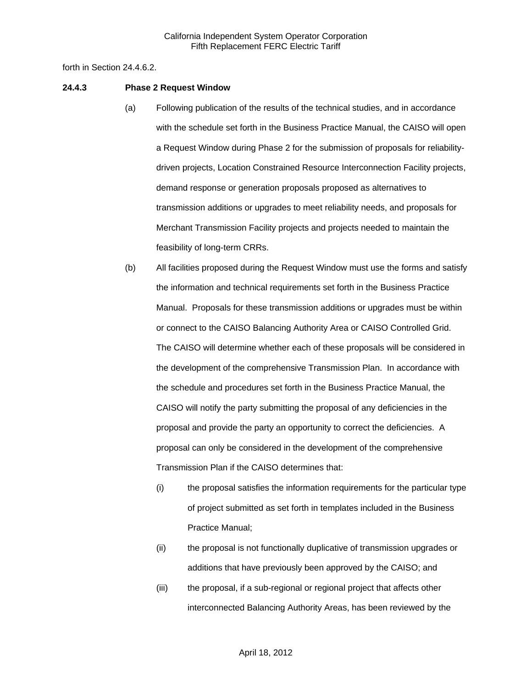forth in Section 24.4.6.2.

#### **24.4.3 Phase 2 Request Window**

- (a) Following publication of the results of the technical studies, and in accordance with the schedule set forth in the Business Practice Manual, the CAISO will open a Request Window during Phase 2 for the submission of proposals for reliabilitydriven projects, Location Constrained Resource Interconnection Facility projects, demand response or generation proposals proposed as alternatives to transmission additions or upgrades to meet reliability needs, and proposals for Merchant Transmission Facility projects and projects needed to maintain the feasibility of long-term CRRs.
- (b) All facilities proposed during the Request Window must use the forms and satisfy the information and technical requirements set forth in the Business Practice Manual. Proposals for these transmission additions or upgrades must be within or connect to the CAISO Balancing Authority Area or CAISO Controlled Grid. The CAISO will determine whether each of these proposals will be considered in the development of the comprehensive Transmission Plan. In accordance with the schedule and procedures set forth in the Business Practice Manual, the CAISO will notify the party submitting the proposal of any deficiencies in the proposal and provide the party an opportunity to correct the deficiencies. A proposal can only be considered in the development of the comprehensive Transmission Plan if the CAISO determines that:
	- (i) the proposal satisfies the information requirements for the particular type of project submitted as set forth in templates included in the Business Practice Manual;
	- (ii) the proposal is not functionally duplicative of transmission upgrades or additions that have previously been approved by the CAISO; and
	- (iii) the proposal, if a sub-regional or regional project that affects other interconnected Balancing Authority Areas, has been reviewed by the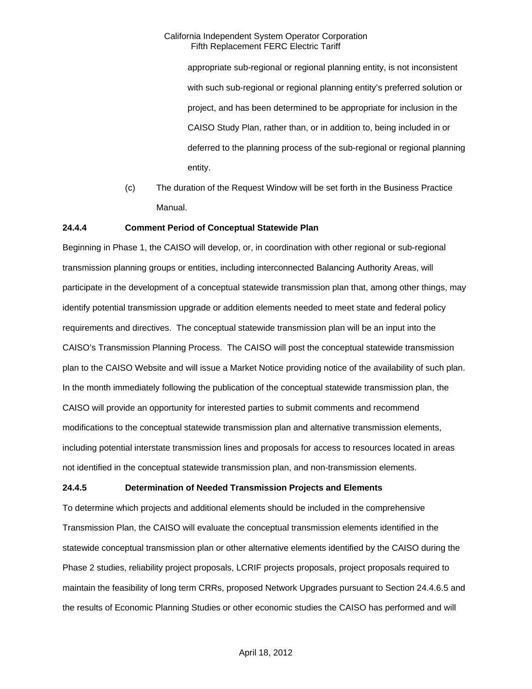appropriate sub-regional or regional planning entity, is not inconsistent with such sub-regional or regional planning entity's preferred solution or project, and has been determined to be appropriate for inclusion in the CAISO Study Plan, rather than, or in addition to, being included in or deferred to the planning process of the sub-regional or regional planning entity.

(c) The duration of the Request Window will be set forth in the Business Practice Manual.

### **24.4.4 Comment Period of Conceptual Statewide Plan**

Beginning in Phase 1, the CAISO will develop, or, in coordination with other regional or sub-regional transmission planning groups or entities, including interconnected Balancing Authority Areas, will participate in the development of a conceptual statewide transmission plan that, among other things, may identify potential transmission upgrade or addition elements needed to meet state and federal policy requirements and directives. The conceptual statewide transmission plan will be an input into the CAISO's Transmission Planning Process. The CAISO will post the conceptual statewide transmission plan to the CAISO Website and will issue a Market Notice providing notice of the availability of such plan. In the month immediately following the publication of the conceptual statewide transmission plan, the CAISO will provide an opportunity for interested parties to submit comments and recommend modifications to the conceptual statewide transmission plan and alternative transmission elements, including potential interstate transmission lines and proposals for access to resources located in areas not identified in the conceptual statewide transmission plan, and non-transmission elements.

## **24.4.5 Determination of Needed Transmission Projects and Elements**

To determine which projects and additional elements should be included in the comprehensive Transmission Plan, the CAISO will evaluate the conceptual transmission elements identified in the statewide conceptual transmission plan or other alternative elements identified by the CAISO during the Phase 2 studies, reliability project proposals, LCRIF projects proposals, project proposals required to maintain the feasibility of long term CRRs, proposed Network Upgrades pursuant to Section 24.4.6.5 and the results of Economic Planning Studies or other economic studies the CAISO has performed and will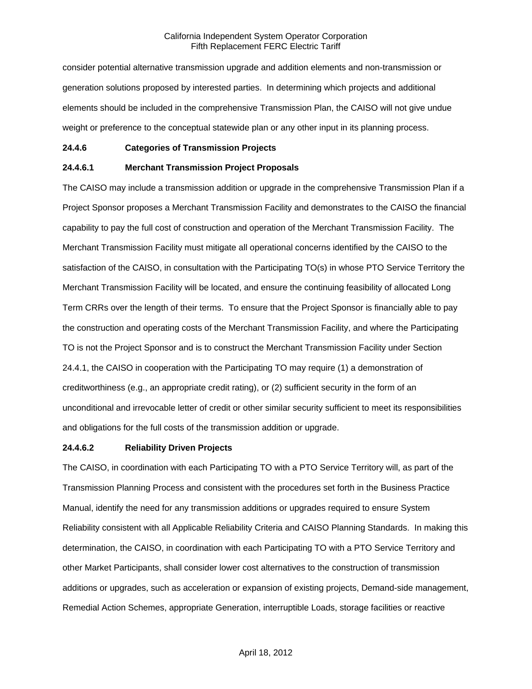consider potential alternative transmission upgrade and addition elements and non-transmission or generation solutions proposed by interested parties. In determining which projects and additional elements should be included in the comprehensive Transmission Plan, the CAISO will not give undue weight or preference to the conceptual statewide plan or any other input in its planning process.

### **24.4.6 Categories of Transmission Projects**

### **24.4.6.1 Merchant Transmission Project Proposals**

The CAISO may include a transmission addition or upgrade in the comprehensive Transmission Plan if a Project Sponsor proposes a Merchant Transmission Facility and demonstrates to the CAISO the financial capability to pay the full cost of construction and operation of the Merchant Transmission Facility. The Merchant Transmission Facility must mitigate all operational concerns identified by the CAISO to the satisfaction of the CAISO, in consultation with the Participating TO(s) in whose PTO Service Territory the Merchant Transmission Facility will be located, and ensure the continuing feasibility of allocated Long Term CRRs over the length of their terms. To ensure that the Project Sponsor is financially able to pay the construction and operating costs of the Merchant Transmission Facility, and where the Participating TO is not the Project Sponsor and is to construct the Merchant Transmission Facility under Section 24.4.1, the CAISO in cooperation with the Participating TO may require (1) a demonstration of creditworthiness (e.g., an appropriate credit rating), or (2) sufficient security in the form of an unconditional and irrevocable letter of credit or other similar security sufficient to meet its responsibilities and obligations for the full costs of the transmission addition or upgrade.

### **24.4.6.2 Reliability Driven Projects**

The CAISO, in coordination with each Participating TO with a PTO Service Territory will, as part of the Transmission Planning Process and consistent with the procedures set forth in the Business Practice Manual, identify the need for any transmission additions or upgrades required to ensure System Reliability consistent with all Applicable Reliability Criteria and CAISO Planning Standards. In making this determination, the CAISO, in coordination with each Participating TO with a PTO Service Territory and other Market Participants, shall consider lower cost alternatives to the construction of transmission additions or upgrades, such as acceleration or expansion of existing projects, Demand-side management, Remedial Action Schemes, appropriate Generation, interruptible Loads, storage facilities or reactive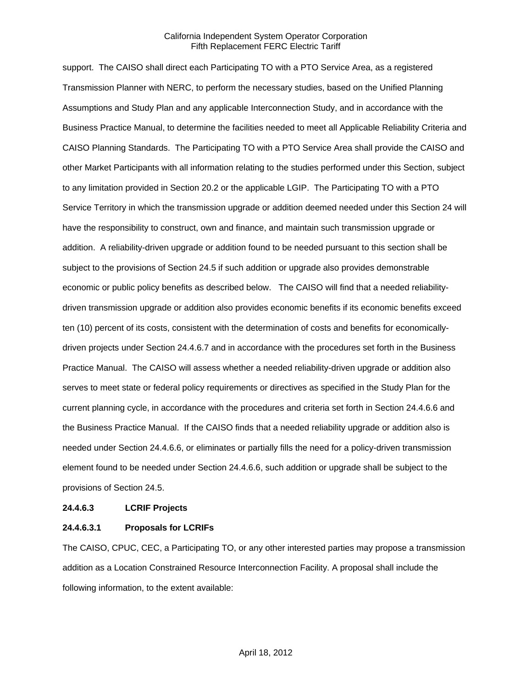support. The CAISO shall direct each Participating TO with a PTO Service Area, as a registered Transmission Planner with NERC, to perform the necessary studies, based on the Unified Planning Assumptions and Study Plan and any applicable Interconnection Study, and in accordance with the Business Practice Manual, to determine the facilities needed to meet all Applicable Reliability Criteria and CAISO Planning Standards. The Participating TO with a PTO Service Area shall provide the CAISO and other Market Participants with all information relating to the studies performed under this Section, subject to any limitation provided in Section 20.2 or the applicable LGIP. The Participating TO with a PTO Service Territory in which the transmission upgrade or addition deemed needed under this Section 24 will have the responsibility to construct, own and finance, and maintain such transmission upgrade or addition. A reliability-driven upgrade or addition found to be needed pursuant to this section shall be subject to the provisions of Section 24.5 if such addition or upgrade also provides demonstrable economic or public policy benefits as described below. The CAISO will find that a needed reliabilitydriven transmission upgrade or addition also provides economic benefits if its economic benefits exceed ten (10) percent of its costs, consistent with the determination of costs and benefits for economicallydriven projects under Section 24.4.6.7 and in accordance with the procedures set forth in the Business Practice Manual. The CAISO will assess whether a needed reliability-driven upgrade or addition also serves to meet state or federal policy requirements or directives as specified in the Study Plan for the current planning cycle, in accordance with the procedures and criteria set forth in Section 24.4.6.6 and the Business Practice Manual. If the CAISO finds that a needed reliability upgrade or addition also is needed under Section 24.4.6.6, or eliminates or partially fills the need for a policy-driven transmission element found to be needed under Section 24.4.6.6, such addition or upgrade shall be subject to the provisions of Section 24.5.

### **24.4.6.3 LCRIF Projects**

### **24.4.6.3.1 Proposals for LCRIFs**

The CAISO, CPUC, CEC, a Participating TO, or any other interested parties may propose a transmission addition as a Location Constrained Resource Interconnection Facility. A proposal shall include the following information, to the extent available: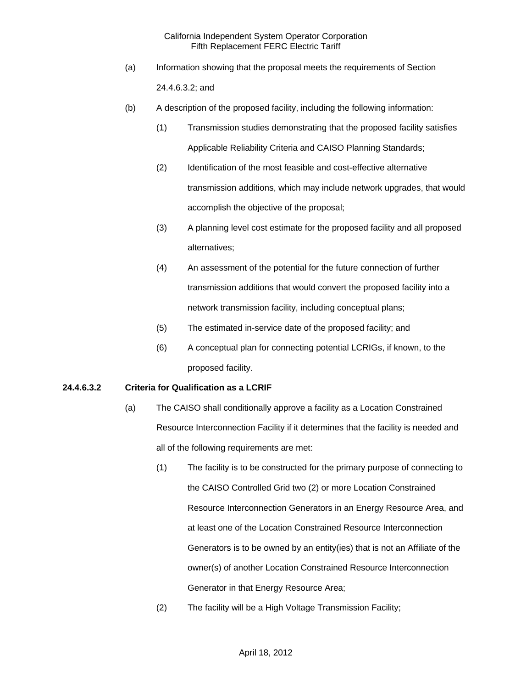- (a) Information showing that the proposal meets the requirements of Section 24.4.6.3.2; and
- (b) A description of the proposed facility, including the following information:
	- (1) Transmission studies demonstrating that the proposed facility satisfies Applicable Reliability Criteria and CAISO Planning Standards;
	- (2) Identification of the most feasible and cost-effective alternative transmission additions, which may include network upgrades, that would accomplish the objective of the proposal;
	- (3) A planning level cost estimate for the proposed facility and all proposed alternatives;
	- (4) An assessment of the potential for the future connection of further transmission additions that would convert the proposed facility into a network transmission facility, including conceptual plans;
	- (5) The estimated in-service date of the proposed facility; and
	- (6) A conceptual plan for connecting potential LCRIGs, if known, to the proposed facility.

## **24.4.6.3.2 Criteria for Qualification as a LCRIF**

- (a) The CAISO shall conditionally approve a facility as a Location Constrained Resource Interconnection Facility if it determines that the facility is needed and all of the following requirements are met:
	- (1) The facility is to be constructed for the primary purpose of connecting to the CAISO Controlled Grid two (2) or more Location Constrained Resource Interconnection Generators in an Energy Resource Area, and at least one of the Location Constrained Resource Interconnection Generators is to be owned by an entity(ies) that is not an Affiliate of the owner(s) of another Location Constrained Resource Interconnection Generator in that Energy Resource Area;
	- (2) The facility will be a High Voltage Transmission Facility;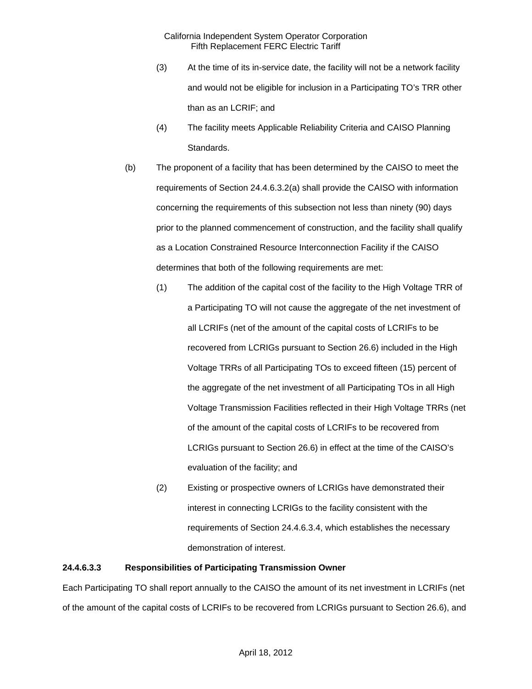- (3) At the time of its in-service date, the facility will not be a network facility and would not be eligible for inclusion in a Participating TO's TRR other than as an LCRIF; and
- (4) The facility meets Applicable Reliability Criteria and CAISO Planning Standards.
- (b) The proponent of a facility that has been determined by the CAISO to meet the requirements of Section 24.4.6.3.2(a) shall provide the CAISO with information concerning the requirements of this subsection not less than ninety (90) days prior to the planned commencement of construction, and the facility shall qualify as a Location Constrained Resource Interconnection Facility if the CAISO determines that both of the following requirements are met:
	- (1) The addition of the capital cost of the facility to the High Voltage TRR of a Participating TO will not cause the aggregate of the net investment of all LCRIFs (net of the amount of the capital costs of LCRIFs to be recovered from LCRIGs pursuant to Section 26.6) included in the High Voltage TRRs of all Participating TOs to exceed fifteen (15) percent of the aggregate of the net investment of all Participating TOs in all High Voltage Transmission Facilities reflected in their High Voltage TRRs (net of the amount of the capital costs of LCRIFs to be recovered from LCRIGs pursuant to Section 26.6) in effect at the time of the CAISO's evaluation of the facility; and
	- (2) Existing or prospective owners of LCRIGs have demonstrated their interest in connecting LCRIGs to the facility consistent with the requirements of Section 24.4.6.3.4, which establishes the necessary demonstration of interest.

### **24.4.6.3.3 Responsibilities of Participating Transmission Owner**

Each Participating TO shall report annually to the CAISO the amount of its net investment in LCRIFs (net of the amount of the capital costs of LCRIFs to be recovered from LCRIGs pursuant to Section 26.6), and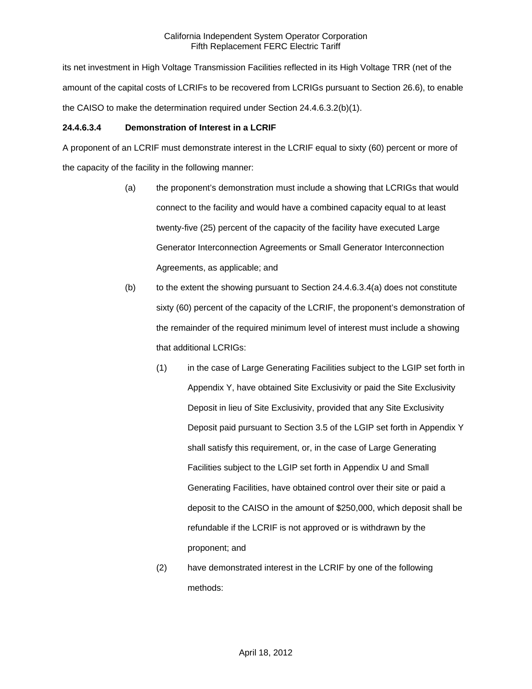its net investment in High Voltage Transmission Facilities reflected in its High Voltage TRR (net of the amount of the capital costs of LCRIFs to be recovered from LCRIGs pursuant to Section 26.6), to enable the CAISO to make the determination required under Section 24.4.6.3.2(b)(1).

# **24.4.6.3.4 Demonstration of Interest in a LCRIF**

A proponent of an LCRIF must demonstrate interest in the LCRIF equal to sixty (60) percent or more of the capacity of the facility in the following manner:

- (a) the proponent's demonstration must include a showing that LCRIGs that would connect to the facility and would have a combined capacity equal to at least twenty-five (25) percent of the capacity of the facility have executed Large Generator Interconnection Agreements or Small Generator Interconnection Agreements, as applicable; and
- (b) to the extent the showing pursuant to Section  $24.4.6.3.4(a)$  does not constitute sixty (60) percent of the capacity of the LCRIF, the proponent's demonstration of the remainder of the required minimum level of interest must include a showing that additional LCRIGs:
	- (1) in the case of Large Generating Facilities subject to the LGIP set forth in Appendix Y, have obtained Site Exclusivity or paid the Site Exclusivity Deposit in lieu of Site Exclusivity, provided that any Site Exclusivity Deposit paid pursuant to Section 3.5 of the LGIP set forth in Appendix Y shall satisfy this requirement, or, in the case of Large Generating Facilities subject to the LGIP set forth in Appendix U and Small Generating Facilities, have obtained control over their site or paid a deposit to the CAISO in the amount of \$250,000, which deposit shall be refundable if the LCRIF is not approved or is withdrawn by the proponent; and
	- (2) have demonstrated interest in the LCRIF by one of the following methods: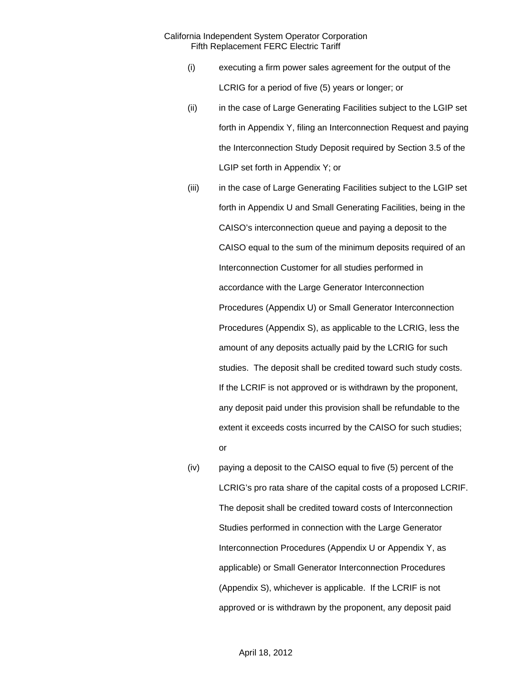- (i) executing a firm power sales agreement for the output of the LCRIG for a period of five (5) years or longer; or
- (ii) in the case of Large Generating Facilities subject to the LGIP set forth in Appendix Y, filing an Interconnection Request and paying the Interconnection Study Deposit required by Section 3.5 of the LGIP set forth in Appendix Y; or
- (iii) in the case of Large Generating Facilities subject to the LGIP set forth in Appendix U and Small Generating Facilities, being in the CAISO's interconnection queue and paying a deposit to the CAISO equal to the sum of the minimum deposits required of an Interconnection Customer for all studies performed in accordance with the Large Generator Interconnection Procedures (Appendix U) or Small Generator Interconnection Procedures (Appendix S), as applicable to the LCRIG, less the amount of any deposits actually paid by the LCRIG for such studies. The deposit shall be credited toward such study costs. If the LCRIF is not approved or is withdrawn by the proponent, any deposit paid under this provision shall be refundable to the extent it exceeds costs incurred by the CAISO for such studies; or
- (iv) paying a deposit to the CAISO equal to five (5) percent of the LCRIG's pro rata share of the capital costs of a proposed LCRIF. The deposit shall be credited toward costs of Interconnection Studies performed in connection with the Large Generator Interconnection Procedures (Appendix U or Appendix Y, as applicable) or Small Generator Interconnection Procedures (Appendix S), whichever is applicable. If the LCRIF is not approved or is withdrawn by the proponent, any deposit paid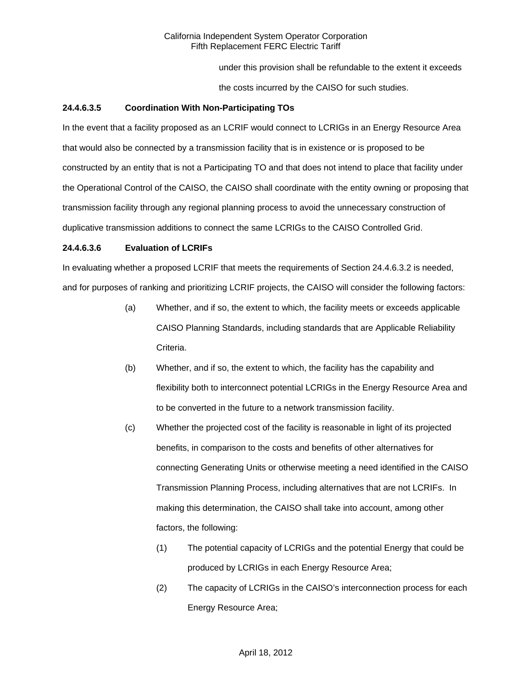under this provision shall be refundable to the extent it exceeds

the costs incurred by the CAISO for such studies.

## **24.4.6.3.5 Coordination With Non-Participating TOs**

In the event that a facility proposed as an LCRIF would connect to LCRIGs in an Energy Resource Area that would also be connected by a transmission facility that is in existence or is proposed to be constructed by an entity that is not a Participating TO and that does not intend to place that facility under the Operational Control of the CAISO, the CAISO shall coordinate with the entity owning or proposing that transmission facility through any regional planning process to avoid the unnecessary construction of duplicative transmission additions to connect the same LCRIGs to the CAISO Controlled Grid.

## **24.4.6.3.6 Evaluation of LCRIFs**

In evaluating whether a proposed LCRIF that meets the requirements of Section 24.4.6.3.2 is needed, and for purposes of ranking and prioritizing LCRIF projects, the CAISO will consider the following factors:

- (a) Whether, and if so, the extent to which, the facility meets or exceeds applicable CAISO Planning Standards, including standards that are Applicable Reliability Criteria.
- (b) Whether, and if so, the extent to which, the facility has the capability and flexibility both to interconnect potential LCRIGs in the Energy Resource Area and to be converted in the future to a network transmission facility.
- (c) Whether the projected cost of the facility is reasonable in light of its projected benefits, in comparison to the costs and benefits of other alternatives for connecting Generating Units or otherwise meeting a need identified in the CAISO Transmission Planning Process, including alternatives that are not LCRIFs. In making this determination, the CAISO shall take into account, among other factors, the following:
	- (1) The potential capacity of LCRIGs and the potential Energy that could be produced by LCRIGs in each Energy Resource Area;
	- (2) The capacity of LCRIGs in the CAISO's interconnection process for each Energy Resource Area;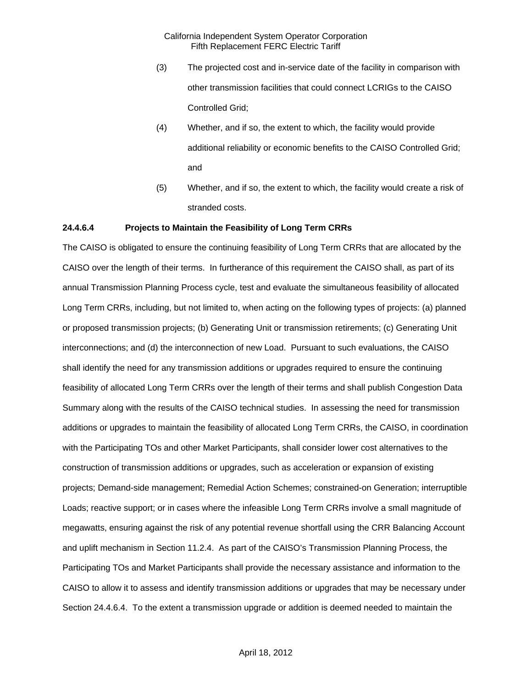- (3) The projected cost and in-service date of the facility in comparison with other transmission facilities that could connect LCRIGs to the CAISO Controlled Grid;
- (4) Whether, and if so, the extent to which, the facility would provide additional reliability or economic benefits to the CAISO Controlled Grid; and
- (5) Whether, and if so, the extent to which, the facility would create a risk of stranded costs.

#### **24.4.6.4 Projects to Maintain the Feasibility of Long Term CRRs**

The CAISO is obligated to ensure the continuing feasibility of Long Term CRRs that are allocated by the CAISO over the length of their terms. In furtherance of this requirement the CAISO shall, as part of its annual Transmission Planning Process cycle, test and evaluate the simultaneous feasibility of allocated Long Term CRRs, including, but not limited to, when acting on the following types of projects: (a) planned or proposed transmission projects; (b) Generating Unit or transmission retirements; (c) Generating Unit interconnections; and (d) the interconnection of new Load. Pursuant to such evaluations, the CAISO shall identify the need for any transmission additions or upgrades required to ensure the continuing feasibility of allocated Long Term CRRs over the length of their terms and shall publish Congestion Data Summary along with the results of the CAISO technical studies. In assessing the need for transmission additions or upgrades to maintain the feasibility of allocated Long Term CRRs, the CAISO, in coordination with the Participating TOs and other Market Participants, shall consider lower cost alternatives to the construction of transmission additions or upgrades, such as acceleration or expansion of existing projects; Demand-side management; Remedial Action Schemes; constrained-on Generation; interruptible Loads; reactive support; or in cases where the infeasible Long Term CRRs involve a small magnitude of megawatts, ensuring against the risk of any potential revenue shortfall using the CRR Balancing Account and uplift mechanism in Section 11.2.4. As part of the CAISO's Transmission Planning Process, the Participating TOs and Market Participants shall provide the necessary assistance and information to the CAISO to allow it to assess and identify transmission additions or upgrades that may be necessary under Section 24.4.6.4. To the extent a transmission upgrade or addition is deemed needed to maintain the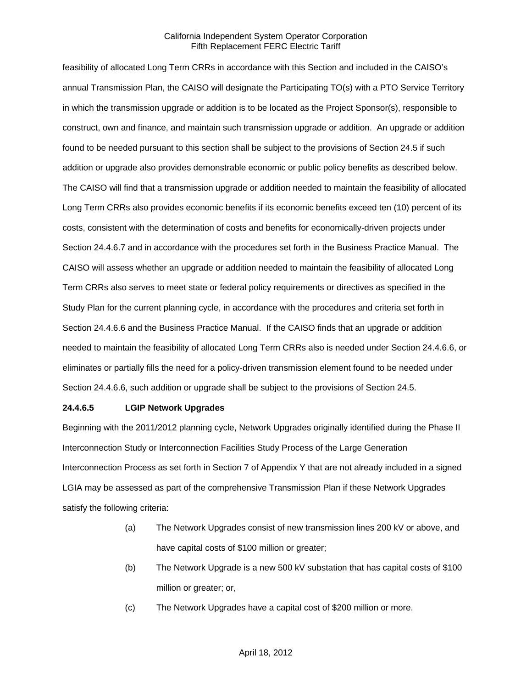feasibility of allocated Long Term CRRs in accordance with this Section and included in the CAISO's annual Transmission Plan, the CAISO will designate the Participating TO(s) with a PTO Service Territory in which the transmission upgrade or addition is to be located as the Project Sponsor(s), responsible to construct, own and finance, and maintain such transmission upgrade or addition. An upgrade or addition found to be needed pursuant to this section shall be subject to the provisions of Section 24.5 if such addition or upgrade also provides demonstrable economic or public policy benefits as described below. The CAISO will find that a transmission upgrade or addition needed to maintain the feasibility of allocated Long Term CRRs also provides economic benefits if its economic benefits exceed ten (10) percent of its costs, consistent with the determination of costs and benefits for economically-driven projects under Section 24.4.6.7 and in accordance with the procedures set forth in the Business Practice Manual. The CAISO will assess whether an upgrade or addition needed to maintain the feasibility of allocated Long Term CRRs also serves to meet state or federal policy requirements or directives as specified in the Study Plan for the current planning cycle, in accordance with the procedures and criteria set forth in Section 24.4.6.6 and the Business Practice Manual. If the CAISO finds that an upgrade or addition needed to maintain the feasibility of allocated Long Term CRRs also is needed under Section 24.4.6.6, or eliminates or partially fills the need for a policy-driven transmission element found to be needed under Section 24.4.6.6, such addition or upgrade shall be subject to the provisions of Section 24.5.

### **24.4.6.5 LGIP Network Upgrades**

Beginning with the 2011/2012 planning cycle, Network Upgrades originally identified during the Phase II Interconnection Study or Interconnection Facilities Study Process of the Large Generation Interconnection Process as set forth in Section 7 of Appendix Y that are not already included in a signed LGIA may be assessed as part of the comprehensive Transmission Plan if these Network Upgrades satisfy the following criteria:

- (a) The Network Upgrades consist of new transmission lines 200 kV or above, and have capital costs of \$100 million or greater;
- (b) The Network Upgrade is a new 500 kV substation that has capital costs of \$100 million or greater; or,
- (c) The Network Upgrades have a capital cost of \$200 million or more.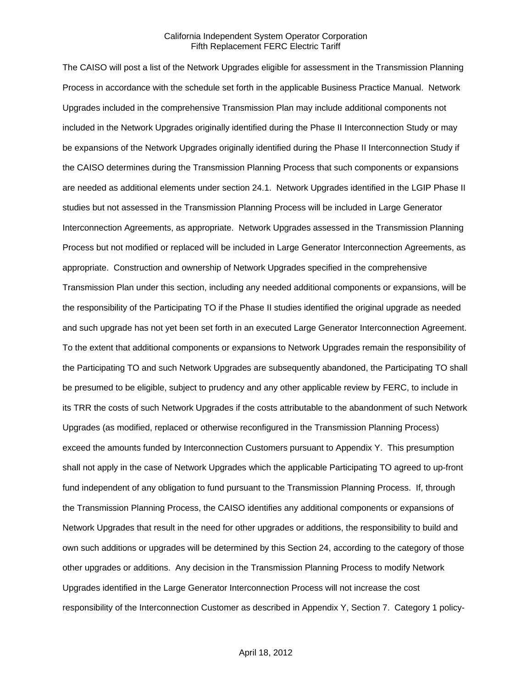The CAISO will post a list of the Network Upgrades eligible for assessment in the Transmission Planning Process in accordance with the schedule set forth in the applicable Business Practice Manual. Network Upgrades included in the comprehensive Transmission Plan may include additional components not included in the Network Upgrades originally identified during the Phase II Interconnection Study or may be expansions of the Network Upgrades originally identified during the Phase II Interconnection Study if the CAISO determines during the Transmission Planning Process that such components or expansions are needed as additional elements under section 24.1. Network Upgrades identified in the LGIP Phase II studies but not assessed in the Transmission Planning Process will be included in Large Generator Interconnection Agreements, as appropriate. Network Upgrades assessed in the Transmission Planning Process but not modified or replaced will be included in Large Generator Interconnection Agreements, as appropriate. Construction and ownership of Network Upgrades specified in the comprehensive Transmission Plan under this section, including any needed additional components or expansions, will be the responsibility of the Participating TO if the Phase II studies identified the original upgrade as needed and such upgrade has not yet been set forth in an executed Large Generator Interconnection Agreement. To the extent that additional components or expansions to Network Upgrades remain the responsibility of the Participating TO and such Network Upgrades are subsequently abandoned, the Participating TO shall be presumed to be eligible, subject to prudency and any other applicable review by FERC, to include in its TRR the costs of such Network Upgrades if the costs attributable to the abandonment of such Network Upgrades (as modified, replaced or otherwise reconfigured in the Transmission Planning Process) exceed the amounts funded by Interconnection Customers pursuant to Appendix Y. This presumption shall not apply in the case of Network Upgrades which the applicable Participating TO agreed to up-front fund independent of any obligation to fund pursuant to the Transmission Planning Process. If, through the Transmission Planning Process, the CAISO identifies any additional components or expansions of Network Upgrades that result in the need for other upgrades or additions, the responsibility to build and own such additions or upgrades will be determined by this Section 24, according to the category of those other upgrades or additions. Any decision in the Transmission Planning Process to modify Network Upgrades identified in the Large Generator Interconnection Process will not increase the cost responsibility of the Interconnection Customer as described in Appendix Y, Section 7. Category 1 policy-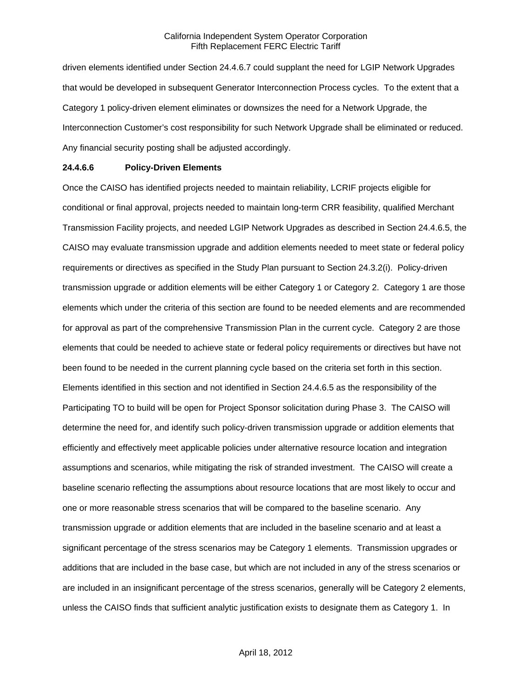driven elements identified under Section 24.4.6.7 could supplant the need for LGIP Network Upgrades that would be developed in subsequent Generator Interconnection Process cycles. To the extent that a Category 1 policy-driven element eliminates or downsizes the need for a Network Upgrade, the Interconnection Customer's cost responsibility for such Network Upgrade shall be eliminated or reduced. Any financial security posting shall be adjusted accordingly.

#### **24.4.6.6 Policy-Driven Elements**

Once the CAISO has identified projects needed to maintain reliability, LCRIF projects eligible for conditional or final approval, projects needed to maintain long-term CRR feasibility, qualified Merchant Transmission Facility projects, and needed LGIP Network Upgrades as described in Section 24.4.6.5, the CAISO may evaluate transmission upgrade and addition elements needed to meet state or federal policy requirements or directives as specified in the Study Plan pursuant to Section 24.3.2(i). Policy-driven transmission upgrade or addition elements will be either Category 1 or Category 2. Category 1 are those elements which under the criteria of this section are found to be needed elements and are recommended for approval as part of the comprehensive Transmission Plan in the current cycle. Category 2 are those elements that could be needed to achieve state or federal policy requirements or directives but have not been found to be needed in the current planning cycle based on the criteria set forth in this section. Elements identified in this section and not identified in Section 24.4.6.5 as the responsibility of the Participating TO to build will be open for Project Sponsor solicitation during Phase 3. The CAISO will determine the need for, and identify such policy-driven transmission upgrade or addition elements that efficiently and effectively meet applicable policies under alternative resource location and integration assumptions and scenarios, while mitigating the risk of stranded investment. The CAISO will create a baseline scenario reflecting the assumptions about resource locations that are most likely to occur and one or more reasonable stress scenarios that will be compared to the baseline scenario. Any transmission upgrade or addition elements that are included in the baseline scenario and at least a significant percentage of the stress scenarios may be Category 1 elements. Transmission upgrades or additions that are included in the base case, but which are not included in any of the stress scenarios or are included in an insignificant percentage of the stress scenarios, generally will be Category 2 elements, unless the CAISO finds that sufficient analytic justification exists to designate them as Category 1. In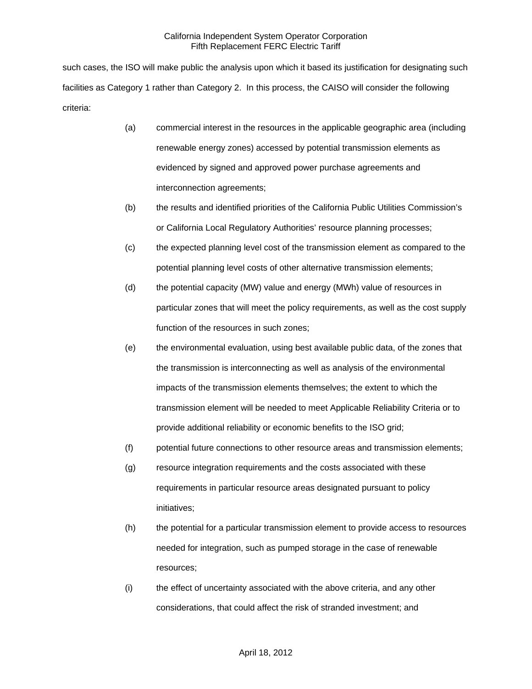such cases, the ISO will make public the analysis upon which it based its justification for designating such facilities as Category 1 rather than Category 2. In this process, the CAISO will consider the following criteria:

- (a) commercial interest in the resources in the applicable geographic area (including renewable energy zones) accessed by potential transmission elements as evidenced by signed and approved power purchase agreements and interconnection agreements;
- (b) the results and identified priorities of the California Public Utilities Commission's or California Local Regulatory Authorities' resource planning processes;
- (c) the expected planning level cost of the transmission element as compared to the potential planning level costs of other alternative transmission elements;
- (d) the potential capacity (MW) value and energy (MWh) value of resources in particular zones that will meet the policy requirements, as well as the cost supply function of the resources in such zones;
- (e) the environmental evaluation, using best available public data, of the zones that the transmission is interconnecting as well as analysis of the environmental impacts of the transmission elements themselves; the extent to which the transmission element will be needed to meet Applicable Reliability Criteria or to provide additional reliability or economic benefits to the ISO grid;
- (f) potential future connections to other resource areas and transmission elements;
- (g) resource integration requirements and the costs associated with these requirements in particular resource areas designated pursuant to policy initiatives;
- (h) the potential for a particular transmission element to provide access to resources needed for integration, such as pumped storage in the case of renewable resources;
- (i) the effect of uncertainty associated with the above criteria, and any other considerations, that could affect the risk of stranded investment; and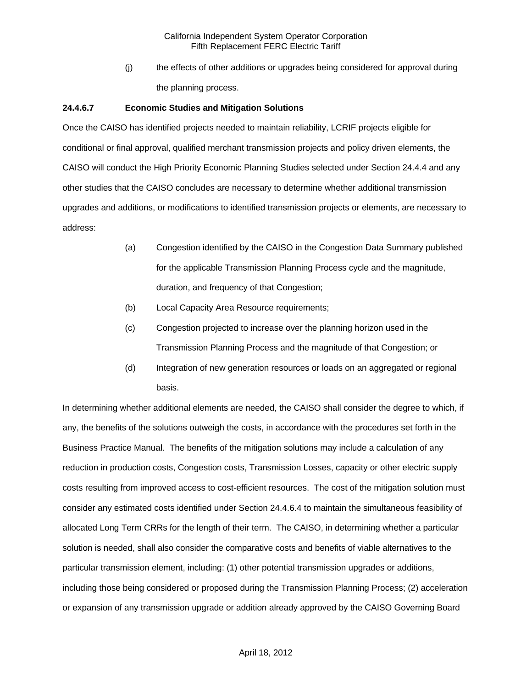(j) the effects of other additions or upgrades being considered for approval during the planning process.

## **24.4.6.7 Economic Studies and Mitigation Solutions**

Once the CAISO has identified projects needed to maintain reliability, LCRIF projects eligible for conditional or final approval, qualified merchant transmission projects and policy driven elements, the CAISO will conduct the High Priority Economic Planning Studies selected under Section 24.4.4 and any other studies that the CAISO concludes are necessary to determine whether additional transmission upgrades and additions, or modifications to identified transmission projects or elements, are necessary to address:

- (a) Congestion identified by the CAISO in the Congestion Data Summary published for the applicable Transmission Planning Process cycle and the magnitude, duration, and frequency of that Congestion;
- (b) Local Capacity Area Resource requirements;
- (c) Congestion projected to increase over the planning horizon used in the Transmission Planning Process and the magnitude of that Congestion; or
- (d) Integration of new generation resources or loads on an aggregated or regional basis.

In determining whether additional elements are needed, the CAISO shall consider the degree to which, if any, the benefits of the solutions outweigh the costs, in accordance with the procedures set forth in the Business Practice Manual. The benefits of the mitigation solutions may include a calculation of any reduction in production costs, Congestion costs, Transmission Losses, capacity or other electric supply costs resulting from improved access to cost-efficient resources. The cost of the mitigation solution must consider any estimated costs identified under Section 24.4.6.4 to maintain the simultaneous feasibility of allocated Long Term CRRs for the length of their term. The CAISO, in determining whether a particular solution is needed, shall also consider the comparative costs and benefits of viable alternatives to the particular transmission element, including: (1) other potential transmission upgrades or additions, including those being considered or proposed during the Transmission Planning Process; (2) acceleration or expansion of any transmission upgrade or addition already approved by the CAISO Governing Board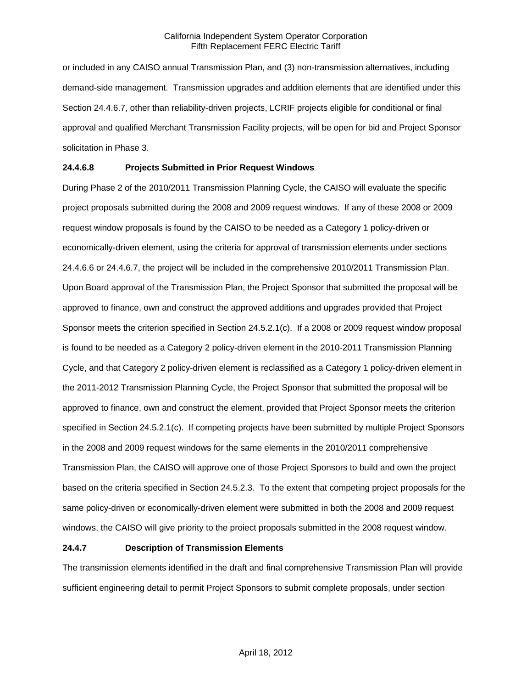or included in any CAISO annual Transmission Plan, and (3) non-transmission alternatives, including demand-side management. Transmission upgrades and addition elements that are identified under this Section 24.4.6.7, other than reliability-driven projects, LCRIF projects eligible for conditional or final approval and qualified Merchant Transmission Facility projects, will be open for bid and Project Sponsor solicitation in Phase 3.

## **24.4.6.8 Projects Submitted in Prior Request Windows**

During Phase 2 of the 2010/2011 Transmission Planning Cycle, the CAISO will evaluate the specific project proposals submitted during the 2008 and 2009 request windows. If any of these 2008 or 2009 request window proposals is found by the CAISO to be needed as a Category 1 policy-driven or economically-driven element, using the criteria for approval of transmission elements under sections 24.4.6.6 or 24.4.6.7, the project will be included in the comprehensive 2010/2011 Transmission Plan. Upon Board approval of the Transmission Plan, the Project Sponsor that submitted the proposal will be approved to finance, own and construct the approved additions and upgrades provided that Project Sponsor meets the criterion specified in Section 24.5.2.1(c). If a 2008 or 2009 request window proposal is found to be needed as a Category 2 policy-driven element in the 2010-2011 Transmission Planning Cycle, and that Category 2 policy-driven element is reclassified as a Category 1 policy-driven element in the 2011-2012 Transmission Planning Cycle, the Project Sponsor that submitted the proposal will be approved to finance, own and construct the element, provided that Project Sponsor meets the criterion specified in Section 24.5.2.1(c). If competing projects have been submitted by multiple Project Sponsors in the 2008 and 2009 request windows for the same elements in the 2010/2011 comprehensive Transmission Plan, the CAISO will approve one of those Project Sponsors to build and own the project based on the criteria specified in Section 24.5.2.3. To the extent that competing project proposals for the same policy-driven or economically-driven element were submitted in both the 2008 and 2009 request windows, the CAISO will give priority to the proiect proposals submitted in the 2008 request window.

### **24.4.7 Description of Transmission Elements**

The transmission elements identified in the draft and final comprehensive Transmission Plan will provide sufficient engineering detail to permit Project Sponsors to submit complete proposals, under section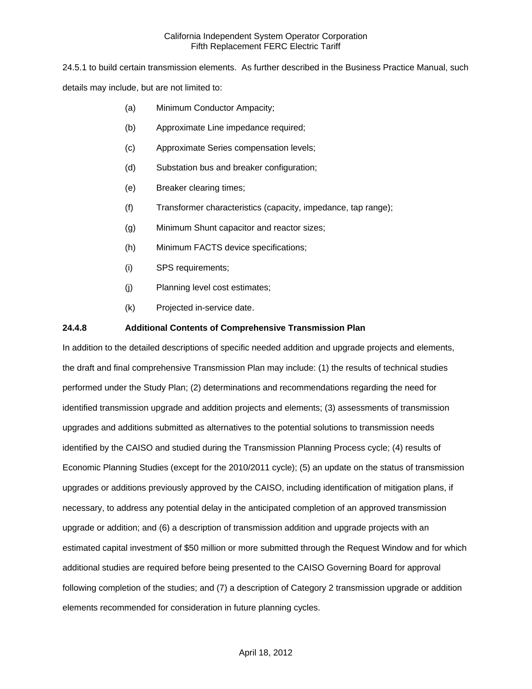24.5.1 to build certain transmission elements. As further described in the Business Practice Manual, such details may include, but are not limited to:

- (a) Minimum Conductor Ampacity;
- (b) Approximate Line impedance required;
- (c) Approximate Series compensation levels;
- (d) Substation bus and breaker configuration;
- (e) Breaker clearing times;
- (f) Transformer characteristics (capacity, impedance, tap range);
- (g) Minimum Shunt capacitor and reactor sizes;
- (h) Minimum FACTS device specifications;
- (i) SPS requirements;
- (j) Planning level cost estimates;
- (k) Projected in-service date.

## **24.4.8 Additional Contents of Comprehensive Transmission Plan**

In addition to the detailed descriptions of specific needed addition and upgrade projects and elements, the draft and final comprehensive Transmission Plan may include: (1) the results of technical studies performed under the Study Plan; (2) determinations and recommendations regarding the need for identified transmission upgrade and addition projects and elements; (3) assessments of transmission upgrades and additions submitted as alternatives to the potential solutions to transmission needs identified by the CAISO and studied during the Transmission Planning Process cycle; (4) results of Economic Planning Studies (except for the 2010/2011 cycle); (5) an update on the status of transmission upgrades or additions previously approved by the CAISO, including identification of mitigation plans, if necessary, to address any potential delay in the anticipated completion of an approved transmission upgrade or addition; and (6) a description of transmission addition and upgrade projects with an estimated capital investment of \$50 million or more submitted through the Request Window and for which additional studies are required before being presented to the CAISO Governing Board for approval following completion of the studies; and (7) a description of Category 2 transmission upgrade or addition elements recommended for consideration in future planning cycles.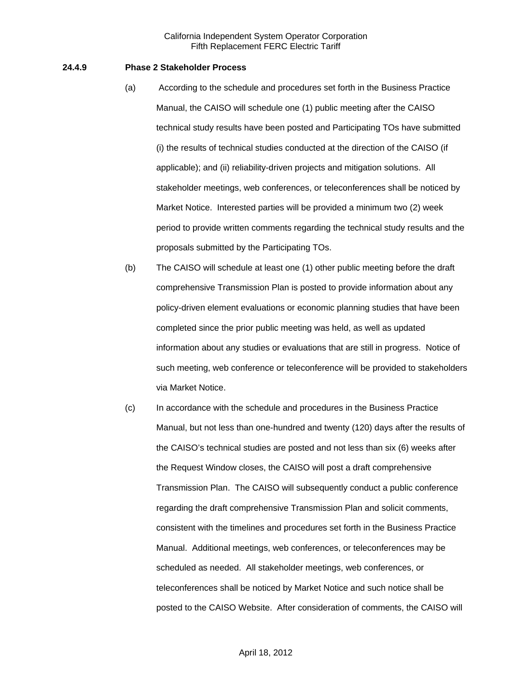### **24.4.9 Phase 2 Stakeholder Process**

- (a) According to the schedule and procedures set forth in the Business Practice Manual, the CAISO will schedule one (1) public meeting after the CAISO technical study results have been posted and Participating TOs have submitted (i) the results of technical studies conducted at the direction of the CAISO (if applicable); and (ii) reliability-driven projects and mitigation solutions. All stakeholder meetings, web conferences, or teleconferences shall be noticed by Market Notice. Interested parties will be provided a minimum two (2) week period to provide written comments regarding the technical study results and the proposals submitted by the Participating TOs.
- (b) The CAISO will schedule at least one (1) other public meeting before the draft comprehensive Transmission Plan is posted to provide information about any policy-driven element evaluations or economic planning studies that have been completed since the prior public meeting was held, as well as updated information about any studies or evaluations that are still in progress. Notice of such meeting, web conference or teleconference will be provided to stakeholders via Market Notice.
- (c) In accordance with the schedule and procedures in the Business Practice Manual, but not less than one-hundred and twenty (120) days after the results of the CAISO's technical studies are posted and not less than six (6) weeks after the Request Window closes, the CAISO will post a draft comprehensive Transmission Plan. The CAISO will subsequently conduct a public conference regarding the draft comprehensive Transmission Plan and solicit comments, consistent with the timelines and procedures set forth in the Business Practice Manual. Additional meetings, web conferences, or teleconferences may be scheduled as needed. All stakeholder meetings, web conferences, or teleconferences shall be noticed by Market Notice and such notice shall be posted to the CAISO Website. After consideration of comments, the CAISO will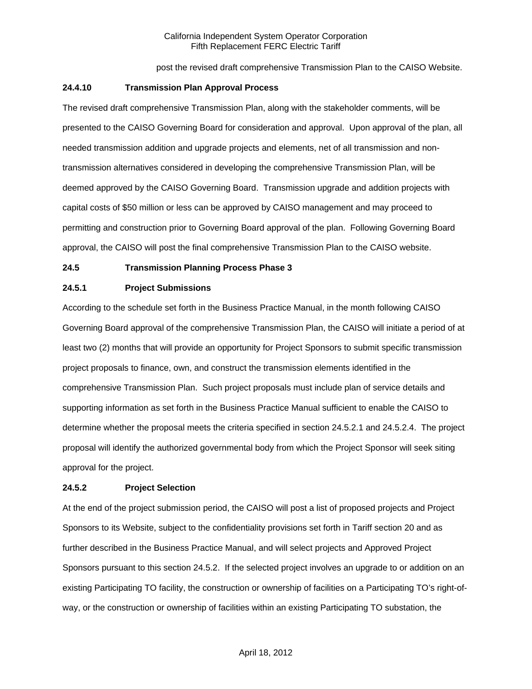post the revised draft comprehensive Transmission Plan to the CAISO Website.

### **24.4.10 Transmission Plan Approval Process**

The revised draft comprehensive Transmission Plan, along with the stakeholder comments, will be presented to the CAISO Governing Board for consideration and approval. Upon approval of the plan, all needed transmission addition and upgrade projects and elements, net of all transmission and nontransmission alternatives considered in developing the comprehensive Transmission Plan, will be deemed approved by the CAISO Governing Board. Transmission upgrade and addition projects with capital costs of \$50 million or less can be approved by CAISO management and may proceed to permitting and construction prior to Governing Board approval of the plan. Following Governing Board approval, the CAISO will post the final comprehensive Transmission Plan to the CAISO website.

## **24.5 Transmission Planning Process Phase 3**

#### **24.5.1 Project Submissions**

According to the schedule set forth in the Business Practice Manual, in the month following CAISO Governing Board approval of the comprehensive Transmission Plan, the CAISO will initiate a period of at least two (2) months that will provide an opportunity for Project Sponsors to submit specific transmission project proposals to finance, own, and construct the transmission elements identified in the comprehensive Transmission Plan. Such project proposals must include plan of service details and supporting information as set forth in the Business Practice Manual sufficient to enable the CAISO to determine whether the proposal meets the criteria specified in section 24.5.2.1 and 24.5.2.4. The project proposal will identify the authorized governmental body from which the Project Sponsor will seek siting approval for the project.

### **24.5.2 Project Selection**

At the end of the project submission period, the CAISO will post a list of proposed projects and Project Sponsors to its Website, subject to the confidentiality provisions set forth in Tariff section 20 and as further described in the Business Practice Manual, and will select projects and Approved Project Sponsors pursuant to this section 24.5.2. If the selected project involves an upgrade to or addition on an existing Participating TO facility, the construction or ownership of facilities on a Participating TO's right-ofway, or the construction or ownership of facilities within an existing Participating TO substation, the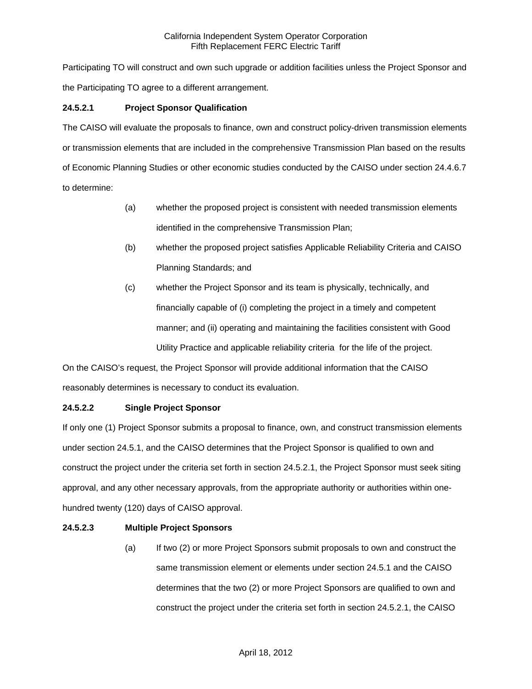Participating TO will construct and own such upgrade or addition facilities unless the Project Sponsor and the Participating TO agree to a different arrangement.

# **24.5.2.1 Project Sponsor Qualification**

The CAISO will evaluate the proposals to finance, own and construct policy-driven transmission elements or transmission elements that are included in the comprehensive Transmission Plan based on the results of Economic Planning Studies or other economic studies conducted by the CAISO under section 24.4.6.7 to determine:

- (a) whether the proposed project is consistent with needed transmission elements identified in the comprehensive Transmission Plan;
- (b) whether the proposed project satisfies Applicable Reliability Criteria and CAISO Planning Standards; and
- (c) whether the Project Sponsor and its team is physically, technically, and financially capable of (i) completing the project in a timely and competent manner; and (ii) operating and maintaining the facilities consistent with Good Utility Practice and applicable reliability criteria for the life of the project.

On the CAISO's request, the Project Sponsor will provide additional information that the CAISO reasonably determines is necessary to conduct its evaluation.

## **24.5.2.2 Single Project Sponsor**

If only one (1) Project Sponsor submits a proposal to finance, own, and construct transmission elements under section 24.5.1, and the CAISO determines that the Project Sponsor is qualified to own and construct the project under the criteria set forth in section 24.5.2.1, the Project Sponsor must seek siting approval, and any other necessary approvals, from the appropriate authority or authorities within onehundred twenty (120) days of CAISO approval.

## **24.5.2.3 Multiple Project Sponsors**

(a) If two (2) or more Project Sponsors submit proposals to own and construct the same transmission element or elements under section 24.5.1 and the CAISO determines that the two (2) or more Project Sponsors are qualified to own and construct the project under the criteria set forth in section 24.5.2.1, the CAISO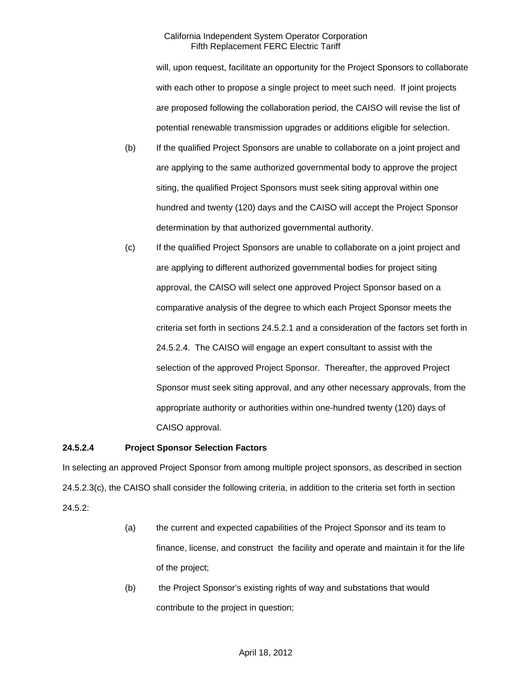will, upon request, facilitate an opportunity for the Project Sponsors to collaborate with each other to propose a single project to meet such need. If joint projects are proposed following the collaboration period, the CAISO will revise the list of potential renewable transmission upgrades or additions eligible for selection.

- (b) If the qualified Project Sponsors are unable to collaborate on a joint project and are applying to the same authorized governmental body to approve the project siting, the qualified Project Sponsors must seek siting approval within one hundred and twenty (120) days and the CAISO will accept the Project Sponsor determination by that authorized governmental authority.
- (c) If the qualified Project Sponsors are unable to collaborate on a joint project and are applying to different authorized governmental bodies for project siting approval, the CAISO will select one approved Project Sponsor based on a comparative analysis of the degree to which each Project Sponsor meets the criteria set forth in sections 24.5.2.1 and a consideration of the factors set forth in 24.5.2.4. The CAISO will engage an expert consultant to assist with the selection of the approved Project Sponsor. Thereafter, the approved Project Sponsor must seek siting approval, and any other necessary approvals, from the appropriate authority or authorities within one-hundred twenty (120) days of CAISO approval.

## **24.5.2.4 Project Sponsor Selection Factors**

In selecting an approved Project Sponsor from among multiple project sponsors, as described in section 24.5.2.3(c), the CAISO shall consider the following criteria, in addition to the criteria set forth in section 24.5.2:

- (a) the current and expected capabilities of the Project Sponsor and its team to finance, license, and construct the facility and operate and maintain it for the life of the project;
- (b) the Project Sponsor's existing rights of way and substations that would contribute to the project in question;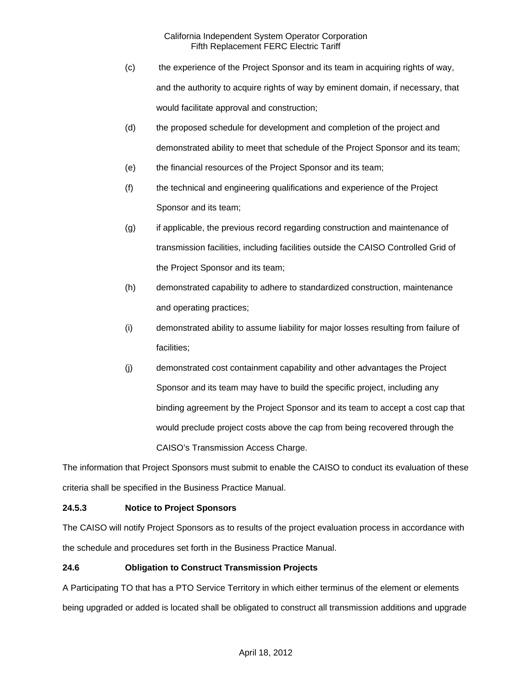- (c) the experience of the Project Sponsor and its team in acquiring rights of way, and the authority to acquire rights of way by eminent domain, if necessary, that would facilitate approval and construction;
- (d) the proposed schedule for development and completion of the project and demonstrated ability to meet that schedule of the Project Sponsor and its team;
- (e) the financial resources of the Project Sponsor and its team;
- (f) the technical and engineering qualifications and experience of the Project Sponsor and its team;
- (g) if applicable, the previous record regarding construction and maintenance of transmission facilities, including facilities outside the CAISO Controlled Grid of the Project Sponsor and its team;
- (h) demonstrated capability to adhere to standardized construction, maintenance and operating practices;
- (i) demonstrated ability to assume liability for major losses resulting from failure of facilities;
- (j) demonstrated cost containment capability and other advantages the Project Sponsor and its team may have to build the specific project, including any binding agreement by the Project Sponsor and its team to accept a cost cap that would preclude project costs above the cap from being recovered through the CAISO's Transmission Access Charge.

The information that Project Sponsors must submit to enable the CAISO to conduct its evaluation of these criteria shall be specified in the Business Practice Manual.

# **24.5.3 Notice to Project Sponsors**

The CAISO will notify Project Sponsors as to results of the project evaluation process in accordance with the schedule and procedures set forth in the Business Practice Manual.

# **24.6 Obligation to Construct Transmission Projects**

A Participating TO that has a PTO Service Territory in which either terminus of the element or elements being upgraded or added is located shall be obligated to construct all transmission additions and upgrade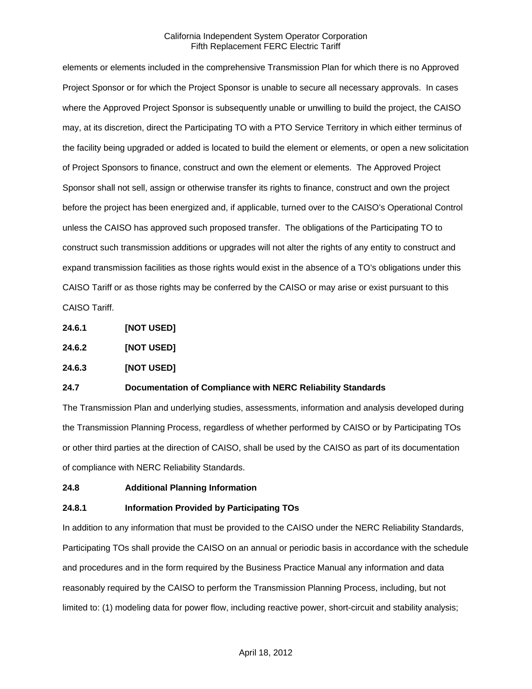elements or elements included in the comprehensive Transmission Plan for which there is no Approved Project Sponsor or for which the Project Sponsor is unable to secure all necessary approvals. In cases where the Approved Project Sponsor is subsequently unable or unwilling to build the project, the CAISO may, at its discretion, direct the Participating TO with a PTO Service Territory in which either terminus of the facility being upgraded or added is located to build the element or elements, or open a new solicitation of Project Sponsors to finance, construct and own the element or elements. The Approved Project Sponsor shall not sell, assign or otherwise transfer its rights to finance, construct and own the project before the project has been energized and, if applicable, turned over to the CAISO's Operational Control unless the CAISO has approved such proposed transfer. The obligations of the Participating TO to construct such transmission additions or upgrades will not alter the rights of any entity to construct and expand transmission facilities as those rights would exist in the absence of a TO's obligations under this CAISO Tariff or as those rights may be conferred by the CAISO or may arise or exist pursuant to this CAISO Tariff.

- **24.6.1 [NOT USED]**
- **24.6.2 [NOT USED]**
- **24.6.3 [NOT USED]**

### **24.7 Documentation of Compliance with NERC Reliability Standards**

The Transmission Plan and underlying studies, assessments, information and analysis developed during the Transmission Planning Process, regardless of whether performed by CAISO or by Participating TOs or other third parties at the direction of CAISO, shall be used by the CAISO as part of its documentation of compliance with NERC Reliability Standards.

**24.8 Additional Planning Information**

## **24.8.1 Information Provided by Participating TOs**

In addition to any information that must be provided to the CAISO under the NERC Reliability Standards, Participating TOs shall provide the CAISO on an annual or periodic basis in accordance with the schedule and procedures and in the form required by the Business Practice Manual any information and data reasonably required by the CAISO to perform the Transmission Planning Process, including, but not limited to: (1) modeling data for power flow, including reactive power, short-circuit and stability analysis;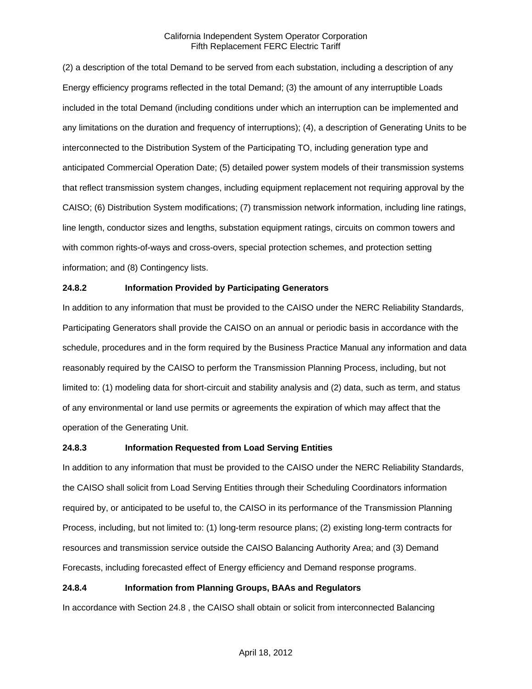(2) a description of the total Demand to be served from each substation, including a description of any Energy efficiency programs reflected in the total Demand; (3) the amount of any interruptible Loads included in the total Demand (including conditions under which an interruption can be implemented and any limitations on the duration and frequency of interruptions); (4), a description of Generating Units to be interconnected to the Distribution System of the Participating TO, including generation type and anticipated Commercial Operation Date; (5) detailed power system models of their transmission systems that reflect transmission system changes, including equipment replacement not requiring approval by the CAISO; (6) Distribution System modifications; (7) transmission network information, including line ratings, line length, conductor sizes and lengths, substation equipment ratings, circuits on common towers and with common rights-of-ways and cross-overs, special protection schemes, and protection setting information; and (8) Contingency lists.

## **24.8.2 Information Provided by Participating Generators**

In addition to any information that must be provided to the CAISO under the NERC Reliability Standards, Participating Generators shall provide the CAISO on an annual or periodic basis in accordance with the schedule, procedures and in the form required by the Business Practice Manual any information and data reasonably required by the CAISO to perform the Transmission Planning Process, including, but not limited to: (1) modeling data for short-circuit and stability analysis and (2) data, such as term, and status of any environmental or land use permits or agreements the expiration of which may affect that the operation of the Generating Unit.

## **24.8.3 Information Requested from Load Serving Entities**

In addition to any information that must be provided to the CAISO under the NERC Reliability Standards, the CAISO shall solicit from Load Serving Entities through their Scheduling Coordinators information required by, or anticipated to be useful to, the CAISO in its performance of the Transmission Planning Process, including, but not limited to: (1) long-term resource plans; (2) existing long-term contracts for resources and transmission service outside the CAISO Balancing Authority Area; and (3) Demand Forecasts, including forecasted effect of Energy efficiency and Demand response programs.

## **24.8.4 Information from Planning Groups, BAAs and Regulators**

In accordance with Section 24.8 , the CAISO shall obtain or solicit from interconnected Balancing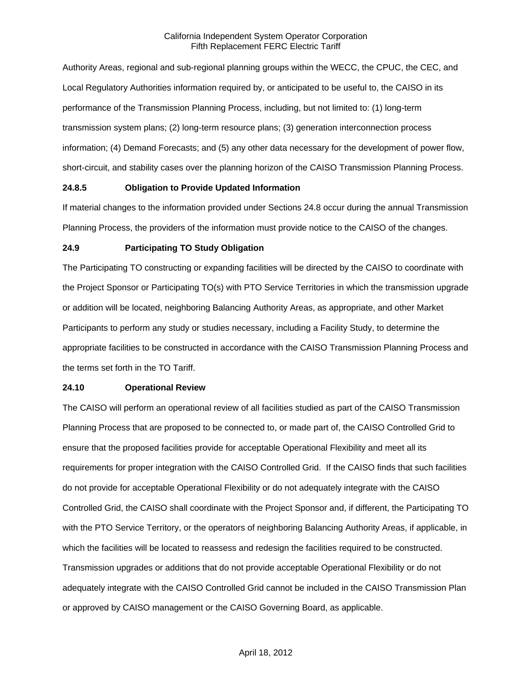Authority Areas, regional and sub-regional planning groups within the WECC, the CPUC, the CEC, and Local Regulatory Authorities information required by, or anticipated to be useful to, the CAISO in its performance of the Transmission Planning Process, including, but not limited to: (1) long-term transmission system plans; (2) long-term resource plans; (3) generation interconnection process information; (4) Demand Forecasts; and (5) any other data necessary for the development of power flow, short-circuit, and stability cases over the planning horizon of the CAISO Transmission Planning Process.

### **24.8.5 Obligation to Provide Updated Information**

If material changes to the information provided under Sections 24.8 occur during the annual Transmission Planning Process, the providers of the information must provide notice to the CAISO of the changes.

## **24.9 Participating TO Study Obligation**

The Participating TO constructing or expanding facilities will be directed by the CAISO to coordinate with the Project Sponsor or Participating TO(s) with PTO Service Territories in which the transmission upgrade or addition will be located, neighboring Balancing Authority Areas, as appropriate, and other Market Participants to perform any study or studies necessary, including a Facility Study, to determine the appropriate facilities to be constructed in accordance with the CAISO Transmission Planning Process and the terms set forth in the TO Tariff.

### **24.10 Operational Review**

The CAISO will perform an operational review of all facilities studied as part of the CAISO Transmission Planning Process that are proposed to be connected to, or made part of, the CAISO Controlled Grid to ensure that the proposed facilities provide for acceptable Operational Flexibility and meet all its requirements for proper integration with the CAISO Controlled Grid. If the CAISO finds that such facilities do not provide for acceptable Operational Flexibility or do not adequately integrate with the CAISO Controlled Grid, the CAISO shall coordinate with the Project Sponsor and, if different, the Participating TO with the PTO Service Territory, or the operators of neighboring Balancing Authority Areas, if applicable, in which the facilities will be located to reassess and redesign the facilities required to be constructed. Transmission upgrades or additions that do not provide acceptable Operational Flexibility or do not adequately integrate with the CAISO Controlled Grid cannot be included in the CAISO Transmission Plan or approved by CAISO management or the CAISO Governing Board, as applicable.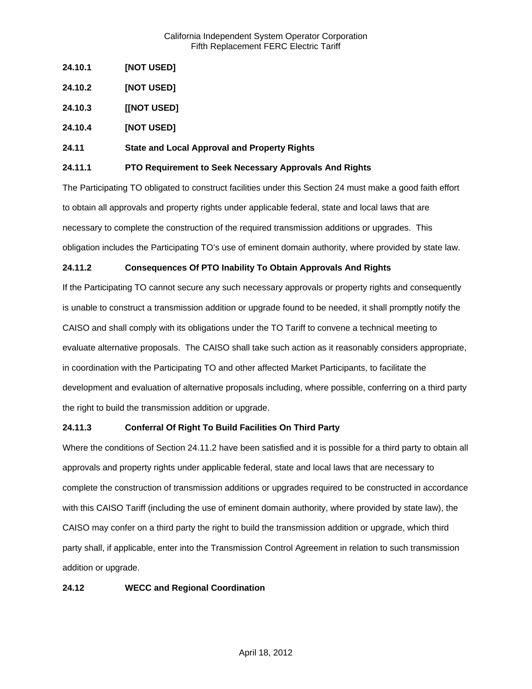- **24.10.1 [NOT USED]**
- **24.10.2 [NOT USED]**
- **24.10.3 [[NOT USED]**
- **24.10.4 [NOT USED]**

## **24.11 State and Local Approval and Property Rights**

### **24.11.1 PTO Requirement to Seek Necessary Approvals And Rights**

The Participating TO obligated to construct facilities under this Section 24 must make a good faith effort to obtain all approvals and property rights under applicable federal, state and local laws that are necessary to complete the construction of the required transmission additions or upgrades. This obligation includes the Participating TO's use of eminent domain authority, where provided by state law.

## **24.11.2 Consequences Of PTO Inability To Obtain Approvals And Rights**

If the Participating TO cannot secure any such necessary approvals or property rights and consequently is unable to construct a transmission addition or upgrade found to be needed, it shall promptly notify the CAISO and shall comply with its obligations under the TO Tariff to convene a technical meeting to evaluate alternative proposals. The CAISO shall take such action as it reasonably considers appropriate, in coordination with the Participating TO and other affected Market Participants, to facilitate the development and evaluation of alternative proposals including, where possible, conferring on a third party the right to build the transmission addition or upgrade.

## **24.11.3 Conferral Of Right To Build Facilities On Third Party**

Where the conditions of Section 24.11.2 have been satisfied and it is possible for a third party to obtain all approvals and property rights under applicable federal, state and local laws that are necessary to complete the construction of transmission additions or upgrades required to be constructed in accordance with this CAISO Tariff (including the use of eminent domain authority, where provided by state law), the CAISO may confer on a third party the right to build the transmission addition or upgrade, which third party shall, if applicable, enter into the Transmission Control Agreement in relation to such transmission addition or upgrade.

### **24.12 WECC and Regional Coordination**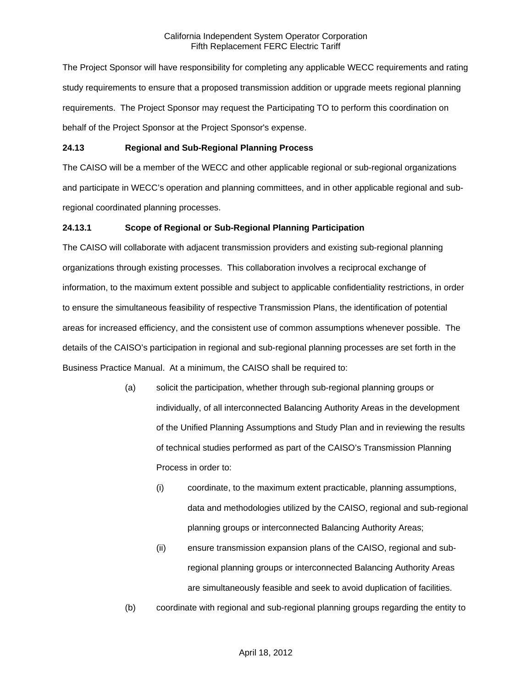The Project Sponsor will have responsibility for completing any applicable WECC requirements and rating study requirements to ensure that a proposed transmission addition or upgrade meets regional planning requirements. The Project Sponsor may request the Participating TO to perform this coordination on behalf of the Project Sponsor at the Project Sponsor's expense.

## **24.13 Regional and Sub-Regional Planning Process**

The CAISO will be a member of the WECC and other applicable regional or sub-regional organizations and participate in WECC's operation and planning committees, and in other applicable regional and subregional coordinated planning processes.

## **24.13.1 Scope of Regional or Sub-Regional Planning Participation**

The CAISO will collaborate with adjacent transmission providers and existing sub-regional planning organizations through existing processes. This collaboration involves a reciprocal exchange of information, to the maximum extent possible and subject to applicable confidentiality restrictions, in order to ensure the simultaneous feasibility of respective Transmission Plans, the identification of potential areas for increased efficiency, and the consistent use of common assumptions whenever possible. The details of the CAISO's participation in regional and sub-regional planning processes are set forth in the Business Practice Manual. At a minimum, the CAISO shall be required to:

- (a) solicit the participation, whether through sub-regional planning groups or individually, of all interconnected Balancing Authority Areas in the development of the Unified Planning Assumptions and Study Plan and in reviewing the results of technical studies performed as part of the CAISO's Transmission Planning Process in order to:
	- (i) coordinate, to the maximum extent practicable, planning assumptions, data and methodologies utilized by the CAISO, regional and sub-regional planning groups or interconnected Balancing Authority Areas;
	- (ii) ensure transmission expansion plans of the CAISO, regional and subregional planning groups or interconnected Balancing Authority Areas are simultaneously feasible and seek to avoid duplication of facilities.
- (b) coordinate with regional and sub-regional planning groups regarding the entity to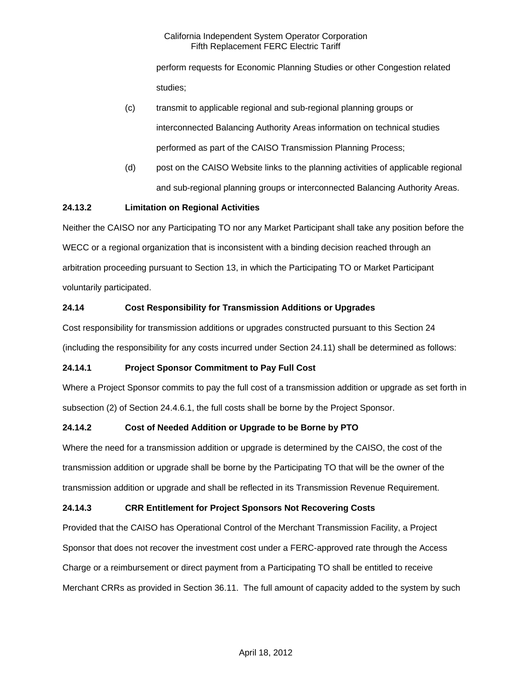perform requests for Economic Planning Studies or other Congestion related studies;

- (c) transmit to applicable regional and sub-regional planning groups or interconnected Balancing Authority Areas information on technical studies performed as part of the CAISO Transmission Planning Process;
- (d) post on the CAISO Website links to the planning activities of applicable regional and sub-regional planning groups or interconnected Balancing Authority Areas.

# **24.13.2 Limitation on Regional Activities**

Neither the CAISO nor any Participating TO nor any Market Participant shall take any position before the WECC or a regional organization that is inconsistent with a binding decision reached through an arbitration proceeding pursuant to Section 13, in which the Participating TO or Market Participant voluntarily participated.

# **24.14 Cost Responsibility for Transmission Additions or Upgrades**

Cost responsibility for transmission additions or upgrades constructed pursuant to this Section 24 (including the responsibility for any costs incurred under Section 24.11) shall be determined as follows:

# **24.14.1 Project Sponsor Commitment to Pay Full Cost**

Where a Project Sponsor commits to pay the full cost of a transmission addition or upgrade as set forth in subsection (2) of Section 24.4.6.1, the full costs shall be borne by the Project Sponsor.

# **24.14.2 Cost of Needed Addition or Upgrade to be Borne by PTO**

Where the need for a transmission addition or upgrade is determined by the CAISO, the cost of the transmission addition or upgrade shall be borne by the Participating TO that will be the owner of the transmission addition or upgrade and shall be reflected in its Transmission Revenue Requirement.

# **24.14.3 CRR Entitlement for Project Sponsors Not Recovering Costs**

Provided that the CAISO has Operational Control of the Merchant Transmission Facility, a Project Sponsor that does not recover the investment cost under a FERC-approved rate through the Access Charge or a reimbursement or direct payment from a Participating TO shall be entitled to receive Merchant CRRs as provided in Section 36.11. The full amount of capacity added to the system by such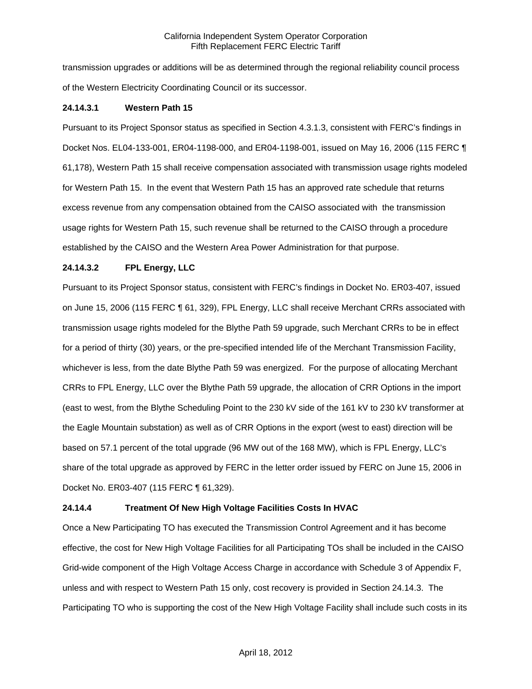transmission upgrades or additions will be as determined through the regional reliability council process of the Western Electricity Coordinating Council or its successor.

### **24.14.3.1 Western Path 15**

Pursuant to its Project Sponsor status as specified in Section 4.3.1.3, consistent with FERC's findings in Docket Nos. EL04-133-001, ER04-1198-000, and ER04-1198-001, issued on May 16, 2006 (115 FERC ¶ 61,178), Western Path 15 shall receive compensation associated with transmission usage rights modeled for Western Path 15. In the event that Western Path 15 has an approved rate schedule that returns excess revenue from any compensation obtained from the CAISO associated with the transmission usage rights for Western Path 15, such revenue shall be returned to the CAISO through a procedure established by the CAISO and the Western Area Power Administration for that purpose.

## **24.14.3.2 FPL Energy, LLC**

Pursuant to its Project Sponsor status, consistent with FERC's findings in Docket No. ER03-407, issued on June 15, 2006 (115 FERC ¶ 61, 329), FPL Energy, LLC shall receive Merchant CRRs associated with transmission usage rights modeled for the Blythe Path 59 upgrade, such Merchant CRRs to be in effect for a period of thirty (30) years, or the pre-specified intended life of the Merchant Transmission Facility, whichever is less, from the date Blythe Path 59 was energized. For the purpose of allocating Merchant CRRs to FPL Energy, LLC over the Blythe Path 59 upgrade, the allocation of CRR Options in the import (east to west, from the Blythe Scheduling Point to the 230 kV side of the 161 kV to 230 kV transformer at the Eagle Mountain substation) as well as of CRR Options in the export (west to east) direction will be based on 57.1 percent of the total upgrade (96 MW out of the 168 MW), which is FPL Energy, LLC's share of the total upgrade as approved by FERC in the letter order issued by FERC on June 15, 2006 in Docket No. ER03-407 (115 FERC ¶ 61,329).

### **24.14.4 Treatment Of New High Voltage Facilities Costs In HVAC**

Once a New Participating TO has executed the Transmission Control Agreement and it has become effective, the cost for New High Voltage Facilities for all Participating TOs shall be included in the CAISO Grid-wide component of the High Voltage Access Charge in accordance with Schedule 3 of Appendix F, unless and with respect to Western Path 15 only, cost recovery is provided in Section 24.14.3. The Participating TO who is supporting the cost of the New High Voltage Facility shall include such costs in its